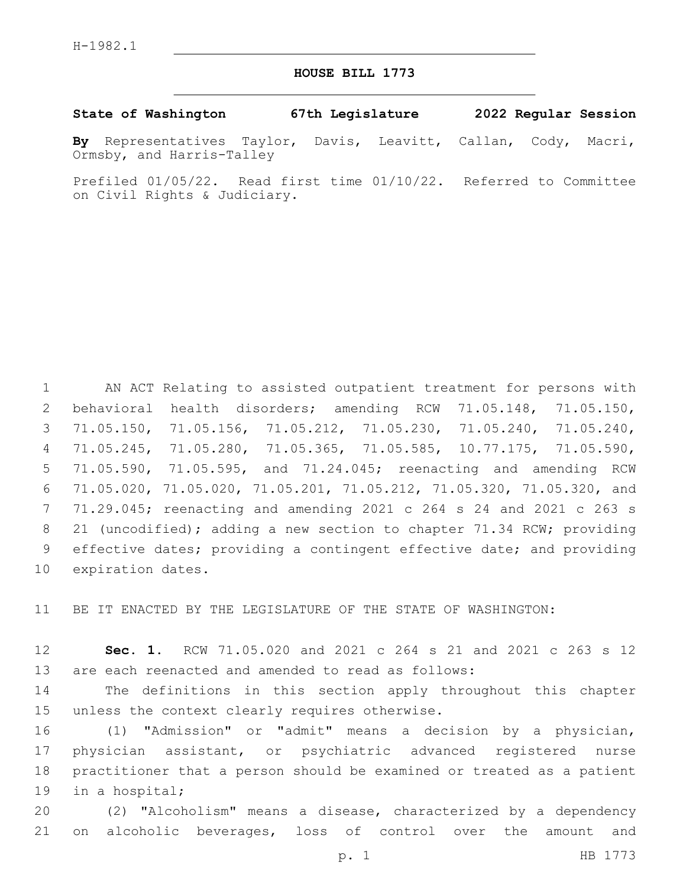## **HOUSE BILL 1773**

**State of Washington 67th Legislature 2022 Regular Session**

**By** Representatives Taylor, Davis, Leavitt, Callan, Cody, Macri, Ormsby, and Harris-Talley

Prefiled 01/05/22. Read first time 01/10/22. Referred to Committee on Civil Rights & Judiciary.

 AN ACT Relating to assisted outpatient treatment for persons with behavioral health disorders; amending RCW 71.05.148, 71.05.150, 71.05.150, 71.05.156, 71.05.212, 71.05.230, 71.05.240, 71.05.240, 71.05.245, 71.05.280, 71.05.365, 71.05.585, 10.77.175, 71.05.590, 71.05.590, 71.05.595, and 71.24.045; reenacting and amending RCW 71.05.020, 71.05.020, 71.05.201, 71.05.212, 71.05.320, 71.05.320, and 71.29.045; reenacting and amending 2021 c 264 s 24 and 2021 c 263 s 21 (uncodified); adding a new section to chapter 71.34 RCW; providing effective dates; providing a contingent effective date; and providing 10 expiration dates.

BE IT ENACTED BY THE LEGISLATURE OF THE STATE OF WASHINGTON:

 **Sec. 1.** RCW 71.05.020 and 2021 c 264 s 21 and 2021 c 263 s 12 are each reenacted and amended to read as follows:

 The definitions in this section apply throughout this chapter 15 unless the context clearly requires otherwise.

 (1) "Admission" or "admit" means a decision by a physician, physician assistant, or psychiatric advanced registered nurse practitioner that a person should be examined or treated as a patient 19 in a hospital;

 (2) "Alcoholism" means a disease, characterized by a dependency on alcoholic beverages, loss of control over the amount and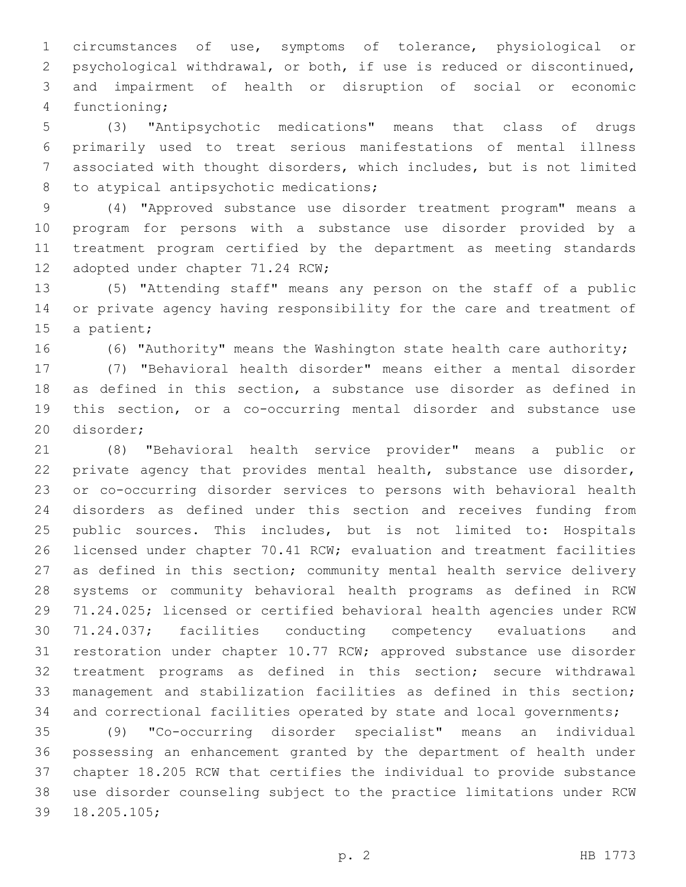circumstances of use, symptoms of tolerance, physiological or psychological withdrawal, or both, if use is reduced or discontinued, and impairment of health or disruption of social or economic 4 functioning;

 (3) "Antipsychotic medications" means that class of drugs primarily used to treat serious manifestations of mental illness associated with thought disorders, which includes, but is not limited 8 to atypical antipsychotic medications;

 (4) "Approved substance use disorder treatment program" means a program for persons with a substance use disorder provided by a treatment program certified by the department as meeting standards 12 adopted under chapter 71.24 RCW;

 (5) "Attending staff" means any person on the staff of a public or private agency having responsibility for the care and treatment of 15 a patient;

(6) "Authority" means the Washington state health care authority;

 (7) "Behavioral health disorder" means either a mental disorder as defined in this section, a substance use disorder as defined in this section, or a co-occurring mental disorder and substance use 20 disorder;

 (8) "Behavioral health service provider" means a public or 22 private agency that provides mental health, substance use disorder, or co-occurring disorder services to persons with behavioral health disorders as defined under this section and receives funding from public sources. This includes, but is not limited to: Hospitals licensed under chapter 70.41 RCW; evaluation and treatment facilities as defined in this section; community mental health service delivery systems or community behavioral health programs as defined in RCW 71.24.025; licensed or certified behavioral health agencies under RCW 71.24.037; facilities conducting competency evaluations and restoration under chapter 10.77 RCW; approved substance use disorder treatment programs as defined in this section; secure withdrawal management and stabilization facilities as defined in this section; 34 and correctional facilities operated by state and local governments;

 (9) "Co-occurring disorder specialist" means an individual possessing an enhancement granted by the department of health under chapter 18.205 RCW that certifies the individual to provide substance use disorder counseling subject to the practice limitations under RCW 39 18.205.105;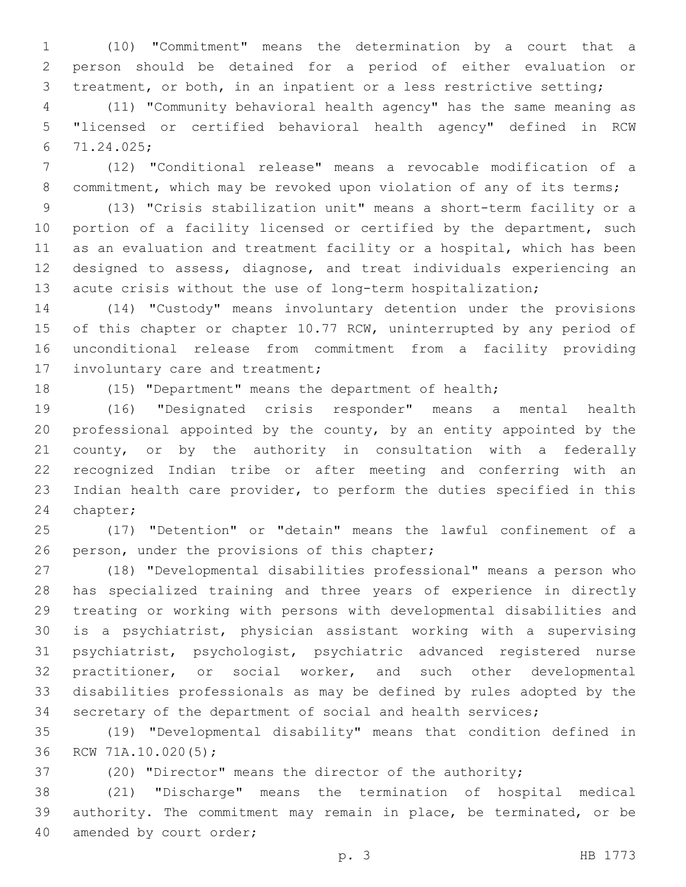(10) "Commitment" means the determination by a court that a person should be detained for a period of either evaluation or treatment, or both, in an inpatient or a less restrictive setting;

 (11) "Community behavioral health agency" has the same meaning as "licensed or certified behavioral health agency" defined in RCW 71.24.025;6

 (12) "Conditional release" means a revocable modification of a 8 commitment, which may be revoked upon violation of any of its terms;

 (13) "Crisis stabilization unit" means a short-term facility or a portion of a facility licensed or certified by the department, such as an evaluation and treatment facility or a hospital, which has been designed to assess, diagnose, and treat individuals experiencing an acute crisis without the use of long-term hospitalization;

 (14) "Custody" means involuntary detention under the provisions 15 of this chapter or chapter 10.77 RCW, uninterrupted by any period of unconditional release from commitment from a facility providing 17 involuntary care and treatment;

(15) "Department" means the department of health;

 (16) "Designated crisis responder" means a mental health professional appointed by the county, by an entity appointed by the county, or by the authority in consultation with a federally recognized Indian tribe or after meeting and conferring with an Indian health care provider, to perform the duties specified in this 24 chapter;

 (17) "Detention" or "detain" means the lawful confinement of a 26 person, under the provisions of this chapter;

 (18) "Developmental disabilities professional" means a person who has specialized training and three years of experience in directly treating or working with persons with developmental disabilities and is a psychiatrist, physician assistant working with a supervising psychiatrist, psychologist, psychiatric advanced registered nurse practitioner, or social worker, and such other developmental disabilities professionals as may be defined by rules adopted by the secretary of the department of social and health services;

 (19) "Developmental disability" means that condition defined in 36 RCW 71A.10.020(5);

(20) "Director" means the director of the authority;

 (21) "Discharge" means the termination of hospital medical authority. The commitment may remain in place, be terminated, or be 40 amended by court order;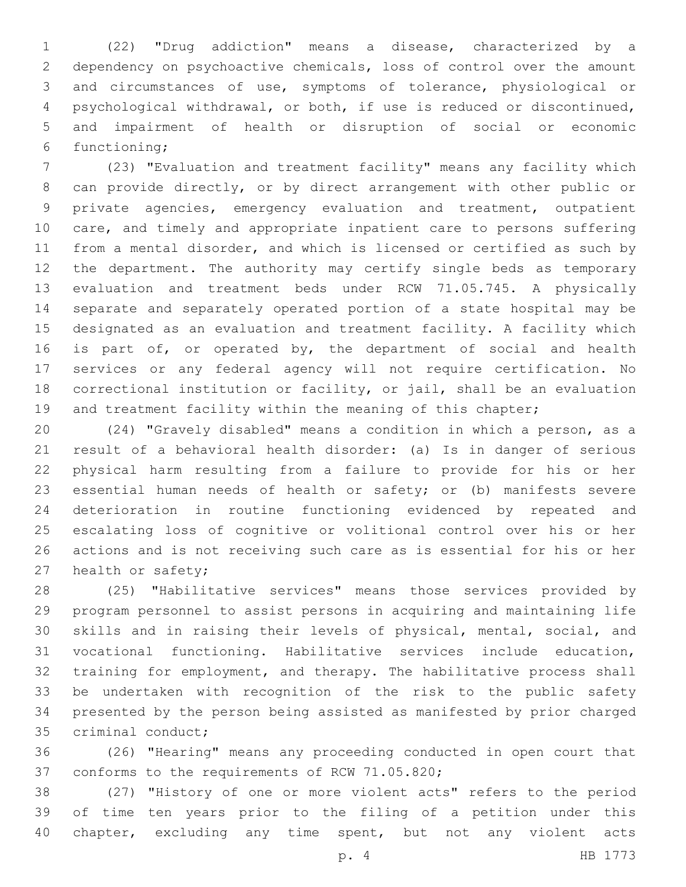(22) "Drug addiction" means a disease, characterized by a dependency on psychoactive chemicals, loss of control over the amount and circumstances of use, symptoms of tolerance, physiological or psychological withdrawal, or both, if use is reduced or discontinued, and impairment of health or disruption of social or economic 6 functioning;

 (23) "Evaluation and treatment facility" means any facility which can provide directly, or by direct arrangement with other public or private agencies, emergency evaluation and treatment, outpatient care, and timely and appropriate inpatient care to persons suffering from a mental disorder, and which is licensed or certified as such by the department. The authority may certify single beds as temporary evaluation and treatment beds under RCW 71.05.745. A physically separate and separately operated portion of a state hospital may be designated as an evaluation and treatment facility. A facility which 16 is part of, or operated by, the department of social and health services or any federal agency will not require certification. No correctional institution or facility, or jail, shall be an evaluation 19 and treatment facility within the meaning of this chapter;

 (24) "Gravely disabled" means a condition in which a person, as a result of a behavioral health disorder: (a) Is in danger of serious physical harm resulting from a failure to provide for his or her essential human needs of health or safety; or (b) manifests severe deterioration in routine functioning evidenced by repeated and escalating loss of cognitive or volitional control over his or her actions and is not receiving such care as is essential for his or her 27 health or safety;

 (25) "Habilitative services" means those services provided by program personnel to assist persons in acquiring and maintaining life skills and in raising their levels of physical, mental, social, and vocational functioning. Habilitative services include education, training for employment, and therapy. The habilitative process shall be undertaken with recognition of the risk to the public safety presented by the person being assisted as manifested by prior charged 35 criminal conduct;

 (26) "Hearing" means any proceeding conducted in open court that 37 conforms to the requirements of RCW 71.05.820;

 (27) "History of one or more violent acts" refers to the period of time ten years prior to the filing of a petition under this 40 chapter, excluding any time spent, but not any violent acts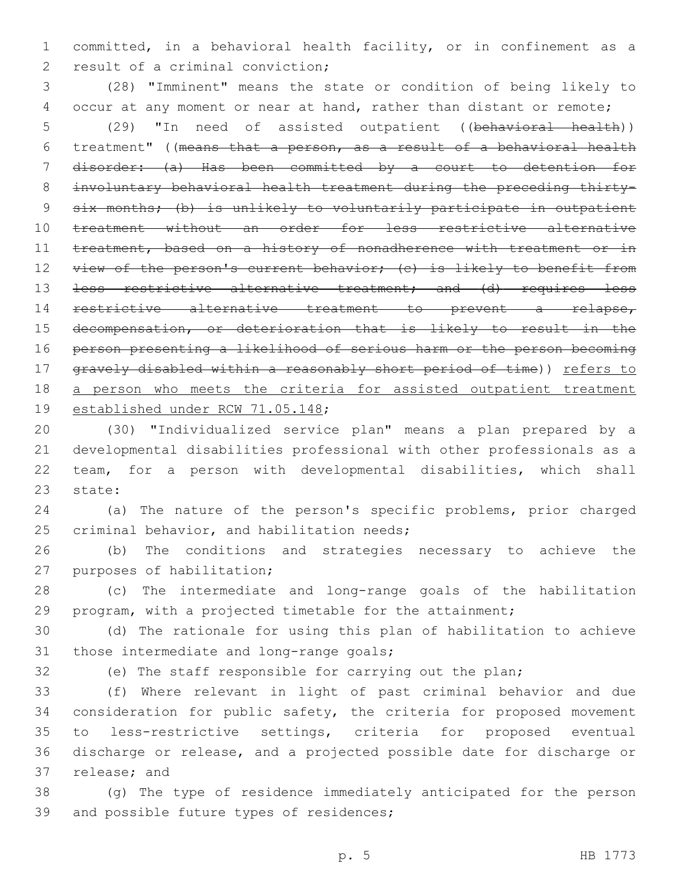committed, in a behavioral health facility, or in confinement as a 2 result of a criminal conviction;

 (28) "Imminent" means the state or condition of being likely to 4 occur at any moment or near at hand, rather than distant or remote; (29) "In need of assisted outpatient ((behavioral health)) treatment" ((means that a person, as a result of a behavioral health disorder: (a) Has been committed by a court to detention for involuntary behavioral health treatment during the preceding thirty- six months; (b) is unlikely to voluntarily participate in outpatient treatment without an order for less restrictive alternative 11 treatment, based on a history of nonadherence with treatment or in 12 view of the person's current behavior; (c) is likely to benefit from 13 <del>less restrictive alternative treatment; and (d) requires less</del> restrictive alternative treatment to prevent a relapse, decompensation, or deterioration that is likely to result in the person presenting a likelihood of serious harm or the person becoming 17 gravely disabled within a reasonably short period of time)) refers to 18 a person who meets the criteria for assisted outpatient treatment 19 established under RCW 71.05.148;

 (30) "Individualized service plan" means a plan prepared by a developmental disabilities professional with other professionals as a team, for a person with developmental disabilities, which shall 23 state:

 (a) The nature of the person's specific problems, prior charged 25 criminal behavior, and habilitation needs;

 (b) The conditions and strategies necessary to achieve the 27 purposes of habilitation;

 (c) The intermediate and long-range goals of the habilitation program, with a projected timetable for the attainment;

 (d) The rationale for using this plan of habilitation to achieve 31 those intermediate and long-range goals;

(e) The staff responsible for carrying out the plan;

 (f) Where relevant in light of past criminal behavior and due consideration for public safety, the criteria for proposed movement to less-restrictive settings, criteria for proposed eventual discharge or release, and a projected possible date for discharge or 37 release; and

 (g) The type of residence immediately anticipated for the person 39 and possible future types of residences;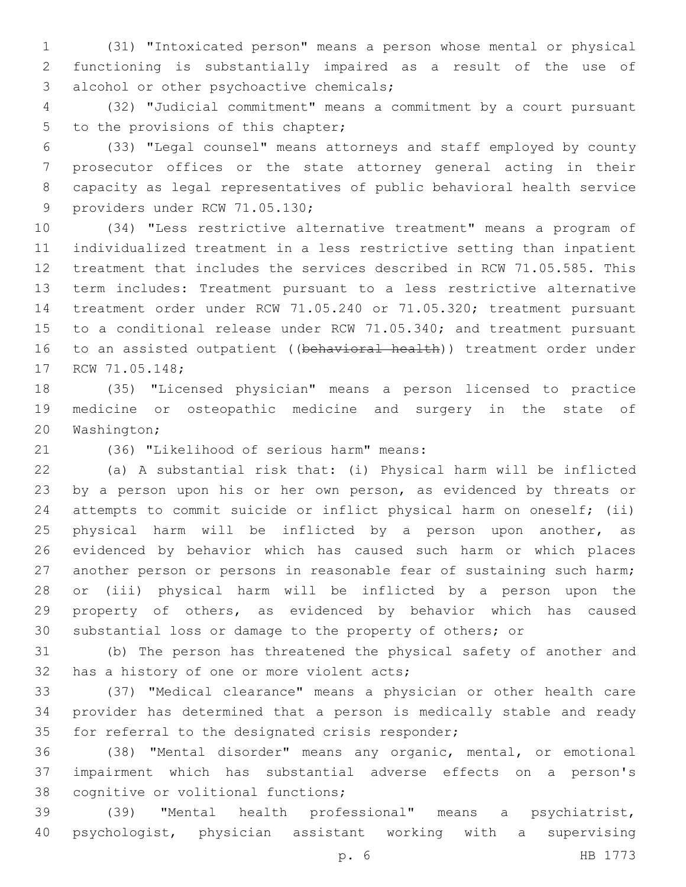(31) "Intoxicated person" means a person whose mental or physical functioning is substantially impaired as a result of the use of 3 alcohol or other psychoactive chemicals;

 (32) "Judicial commitment" means a commitment by a court pursuant 5 to the provisions of this chapter;

 (33) "Legal counsel" means attorneys and staff employed by county prosecutor offices or the state attorney general acting in their capacity as legal representatives of public behavioral health service 9 providers under RCW 71.05.130;

 (34) "Less restrictive alternative treatment" means a program of individualized treatment in a less restrictive setting than inpatient treatment that includes the services described in RCW 71.05.585. This term includes: Treatment pursuant to a less restrictive alternative treatment order under RCW 71.05.240 or 71.05.320; treatment pursuant to a conditional release under RCW 71.05.340; and treatment pursuant 16 to an assisted outpatient ((behavioral health)) treatment order under 17 RCW 71.05.148;

 (35) "Licensed physician" means a person licensed to practice medicine or osteopathic medicine and surgery in the state of 20 Washington;

(36) "Likelihood of serious harm" means:21

 (a) A substantial risk that: (i) Physical harm will be inflicted by a person upon his or her own person, as evidenced by threats or attempts to commit suicide or inflict physical harm on oneself; (ii) physical harm will be inflicted by a person upon another, as evidenced by behavior which has caused such harm or which places another person or persons in reasonable fear of sustaining such harm; or (iii) physical harm will be inflicted by a person upon the property of others, as evidenced by behavior which has caused substantial loss or damage to the property of others; or

 (b) The person has threatened the physical safety of another and 32 has a history of one or more violent acts;

 (37) "Medical clearance" means a physician or other health care provider has determined that a person is medically stable and ready 35 for referral to the designated crisis responder;

 (38) "Mental disorder" means any organic, mental, or emotional impairment which has substantial adverse effects on a person's 38 cognitive or volitional functions;

 (39) "Mental health professional" means a psychiatrist, psychologist, physician assistant working with a supervising

p. 6 HB 1773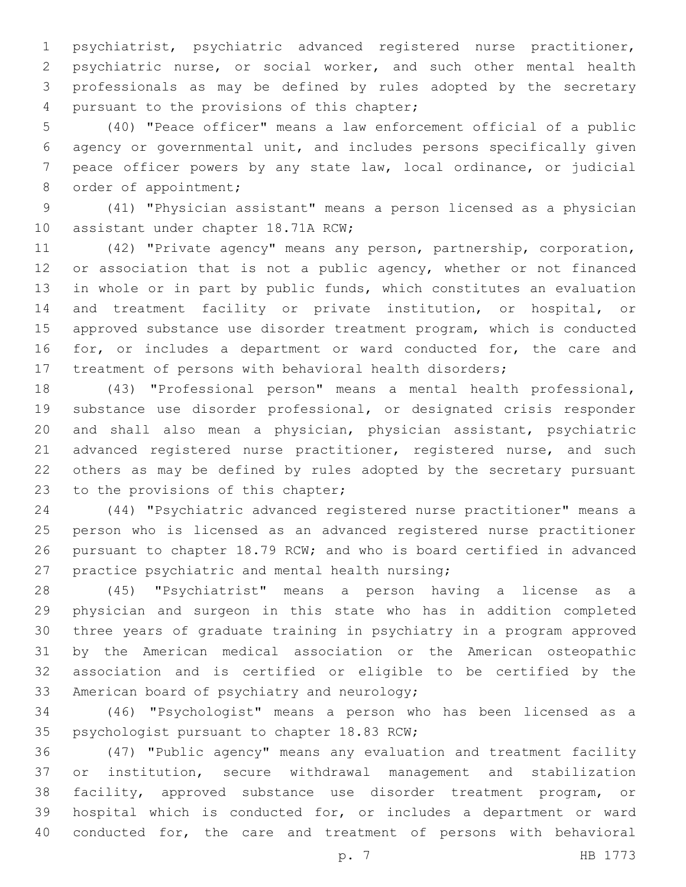psychiatrist, psychiatric advanced registered nurse practitioner, psychiatric nurse, or social worker, and such other mental health professionals as may be defined by rules adopted by the secretary 4 pursuant to the provisions of this chapter;

 (40) "Peace officer" means a law enforcement official of a public agency or governmental unit, and includes persons specifically given peace officer powers by any state law, local ordinance, or judicial 8 order of appointment;

 (41) "Physician assistant" means a person licensed as a physician 10 assistant under chapter 18.71A RCW;

 (42) "Private agency" means any person, partnership, corporation, 12 or association that is not a public agency, whether or not financed in whole or in part by public funds, which constitutes an evaluation and treatment facility or private institution, or hospital, or approved substance use disorder treatment program, which is conducted 16 for, or includes a department or ward conducted for, the care and treatment of persons with behavioral health disorders;

 (43) "Professional person" means a mental health professional, substance use disorder professional, or designated crisis responder and shall also mean a physician, physician assistant, psychiatric 21 advanced registered nurse practitioner, registered nurse, and such others as may be defined by rules adopted by the secretary pursuant 23 to the provisions of this chapter;

 (44) "Psychiatric advanced registered nurse practitioner" means a person who is licensed as an advanced registered nurse practitioner pursuant to chapter 18.79 RCW; and who is board certified in advanced 27 practice psychiatric and mental health nursing;

 (45) "Psychiatrist" means a person having a license as a physician and surgeon in this state who has in addition completed three years of graduate training in psychiatry in a program approved by the American medical association or the American osteopathic association and is certified or eligible to be certified by the 33 American board of psychiatry and neurology;

 (46) "Psychologist" means a person who has been licensed as a 35 psychologist pursuant to chapter 18.83 RCW;

 (47) "Public agency" means any evaluation and treatment facility or institution, secure withdrawal management and stabilization facility, approved substance use disorder treatment program, or hospital which is conducted for, or includes a department or ward conducted for, the care and treatment of persons with behavioral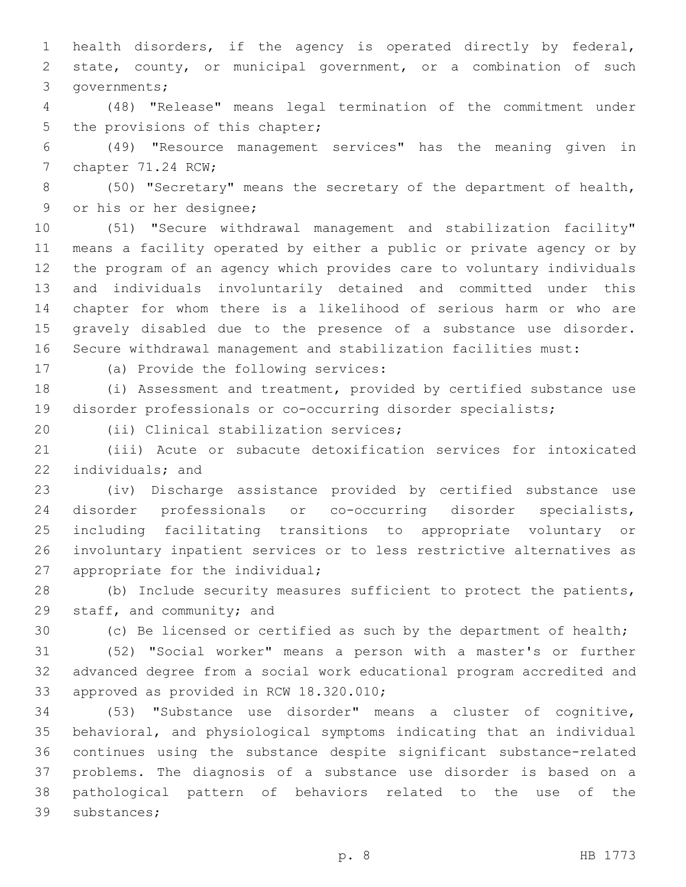health disorders, if the agency is operated directly by federal, state, county, or municipal government, or a combination of such 3 governments;

 (48) "Release" means legal termination of the commitment under 5 the provisions of this chapter;

 (49) "Resource management services" has the meaning given in 7 chapter 71.24 RCW;

 (50) "Secretary" means the secretary of the department of health, 9 or his or her designee;

 (51) "Secure withdrawal management and stabilization facility" means a facility operated by either a public or private agency or by the program of an agency which provides care to voluntary individuals and individuals involuntarily detained and committed under this chapter for whom there is a likelihood of serious harm or who are gravely disabled due to the presence of a substance use disorder. Secure withdrawal management and stabilization facilities must:

17 (a) Provide the following services:

 (i) Assessment and treatment, provided by certified substance use disorder professionals or co-occurring disorder specialists;

20 (ii) Clinical stabilization services;

 (iii) Acute or subacute detoxification services for intoxicated 22 individuals; and

 (iv) Discharge assistance provided by certified substance use disorder professionals or co-occurring disorder specialists, including facilitating transitions to appropriate voluntary or involuntary inpatient services or to less restrictive alternatives as 27 appropriate for the individual;

 (b) Include security measures sufficient to protect the patients, 29 staff, and community; and

(c) Be licensed or certified as such by the department of health;

 (52) "Social worker" means a person with a master's or further advanced degree from a social work educational program accredited and 33 approved as provided in RCW 18.320.010;

 (53) "Substance use disorder" means a cluster of cognitive, behavioral, and physiological symptoms indicating that an individual continues using the substance despite significant substance-related problems. The diagnosis of a substance use disorder is based on a pathological pattern of behaviors related to the use of the 39 substances;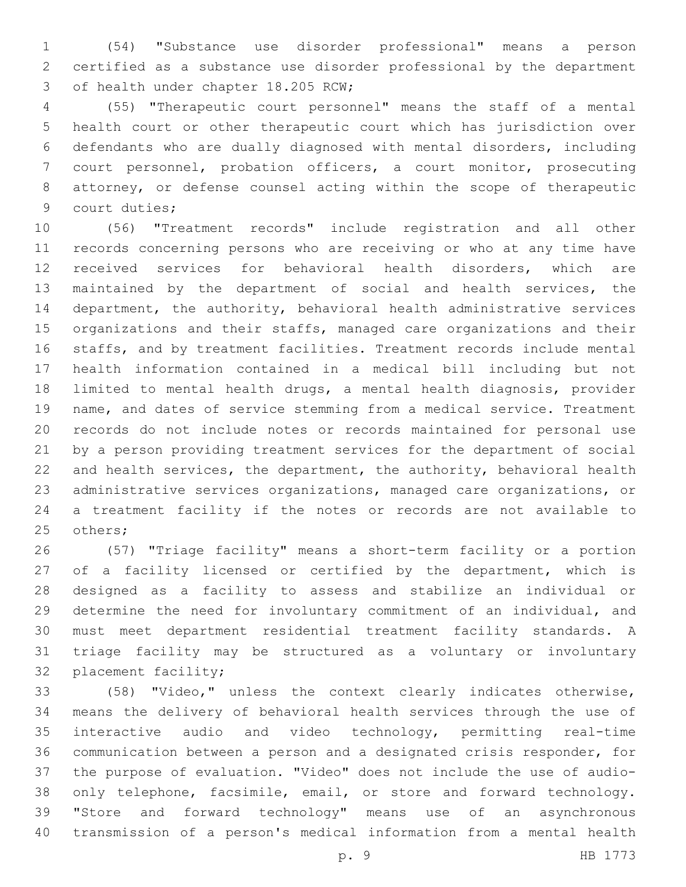(54) "Substance use disorder professional" means a person certified as a substance use disorder professional by the department 3 of health under chapter 18.205 RCW;

 (55) "Therapeutic court personnel" means the staff of a mental health court or other therapeutic court which has jurisdiction over defendants who are dually diagnosed with mental disorders, including court personnel, probation officers, a court monitor, prosecuting attorney, or defense counsel acting within the scope of therapeutic 9 court duties;

 (56) "Treatment records" include registration and all other records concerning persons who are receiving or who at any time have received services for behavioral health disorders, which are maintained by the department of social and health services, the department, the authority, behavioral health administrative services organizations and their staffs, managed care organizations and their staffs, and by treatment facilities. Treatment records include mental health information contained in a medical bill including but not limited to mental health drugs, a mental health diagnosis, provider name, and dates of service stemming from a medical service. Treatment records do not include notes or records maintained for personal use by a person providing treatment services for the department of social and health services, the department, the authority, behavioral health administrative services organizations, managed care organizations, or a treatment facility if the notes or records are not available to 25 others;

 (57) "Triage facility" means a short-term facility or a portion 27 of a facility licensed or certified by the department, which is designed as a facility to assess and stabilize an individual or determine the need for involuntary commitment of an individual, and must meet department residential treatment facility standards. A triage facility may be structured as a voluntary or involuntary 32 placement facility;

 (58) "Video," unless the context clearly indicates otherwise, means the delivery of behavioral health services through the use of interactive audio and video technology, permitting real-time communication between a person and a designated crisis responder, for the purpose of evaluation. "Video" does not include the use of audio- only telephone, facsimile, email, or store and forward technology. "Store and forward technology" means use of an asynchronous transmission of a person's medical information from a mental health

p. 9 HB 1773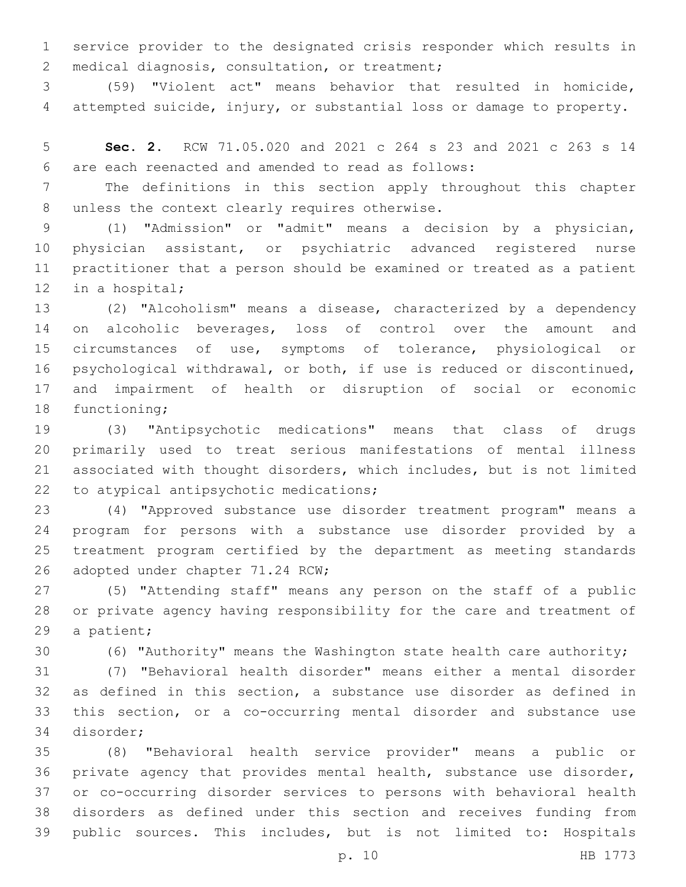service provider to the designated crisis responder which results in 2 medical diagnosis, consultation, or treatment;

 (59) "Violent act" means behavior that resulted in homicide, attempted suicide, injury, or substantial loss or damage to property.

 **Sec. 2.** RCW 71.05.020 and 2021 c 264 s 23 and 2021 c 263 s 14 are each reenacted and amended to read as follows:6

 The definitions in this section apply throughout this chapter 8 unless the context clearly requires otherwise.

 (1) "Admission" or "admit" means a decision by a physician, physician assistant, or psychiatric advanced registered nurse practitioner that a person should be examined or treated as a patient 12 in a hospital;

 (2) "Alcoholism" means a disease, characterized by a dependency 14 on alcoholic beverages, loss of control over the amount and circumstances of use, symptoms of tolerance, physiological or psychological withdrawal, or both, if use is reduced or discontinued, and impairment of health or disruption of social or economic 18 functioning;

 (3) "Antipsychotic medications" means that class of drugs primarily used to treat serious manifestations of mental illness associated with thought disorders, which includes, but is not limited 22 to atypical antipsychotic medications;

 (4) "Approved substance use disorder treatment program" means a program for persons with a substance use disorder provided by a treatment program certified by the department as meeting standards 26 adopted under chapter 71.24 RCW;

 (5) "Attending staff" means any person on the staff of a public or private agency having responsibility for the care and treatment of 29 a patient;

(6) "Authority" means the Washington state health care authority;

 (7) "Behavioral health disorder" means either a mental disorder as defined in this section, a substance use disorder as defined in this section, or a co-occurring mental disorder and substance use 34 disorder;

 (8) "Behavioral health service provider" means a public or private agency that provides mental health, substance use disorder, or co-occurring disorder services to persons with behavioral health disorders as defined under this section and receives funding from public sources. This includes, but is not limited to: Hospitals

p. 10 HB 1773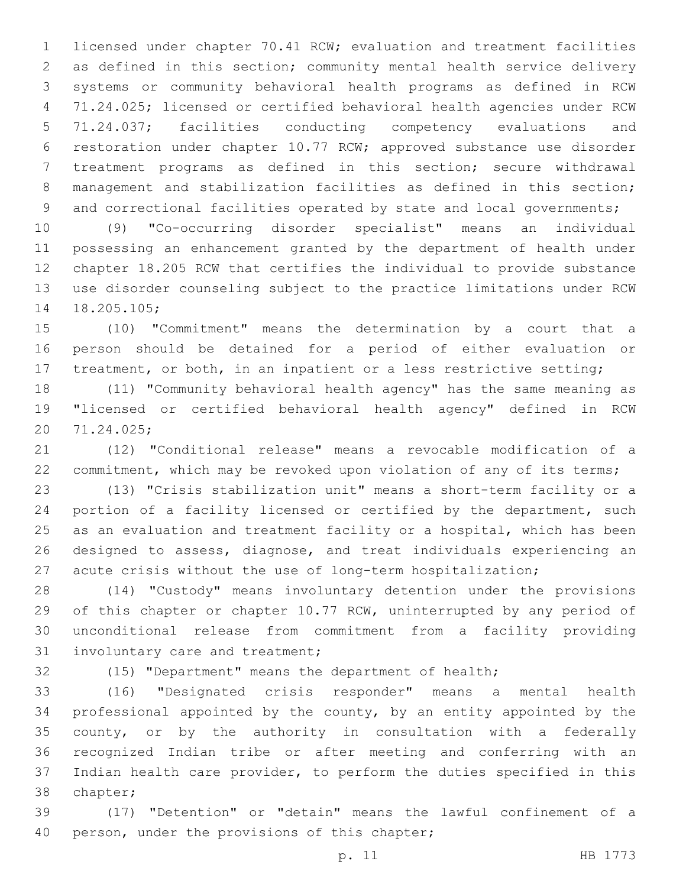licensed under chapter 70.41 RCW; evaluation and treatment facilities as defined in this section; community mental health service delivery systems or community behavioral health programs as defined in RCW 71.24.025; licensed or certified behavioral health agencies under RCW 71.24.037; facilities conducting competency evaluations and restoration under chapter 10.77 RCW; approved substance use disorder treatment programs as defined in this section; secure withdrawal management and stabilization facilities as defined in this section; 9 and correctional facilities operated by state and local governments;

 (9) "Co-occurring disorder specialist" means an individual possessing an enhancement granted by the department of health under chapter 18.205 RCW that certifies the individual to provide substance use disorder counseling subject to the practice limitations under RCW 14 18.205.105;

 (10) "Commitment" means the determination by a court that a person should be detained for a period of either evaluation or 17 treatment, or both, in an inpatient or a less restrictive setting;

 (11) "Community behavioral health agency" has the same meaning as "licensed or certified behavioral health agency" defined in RCW 71.24.025;20

 (12) "Conditional release" means a revocable modification of a 22 commitment, which may be revoked upon violation of any of its terms;

 (13) "Crisis stabilization unit" means a short-term facility or a portion of a facility licensed or certified by the department, such as an evaluation and treatment facility or a hospital, which has been designed to assess, diagnose, and treat individuals experiencing an acute crisis without the use of long-term hospitalization;

 (14) "Custody" means involuntary detention under the provisions of this chapter or chapter 10.77 RCW, uninterrupted by any period of unconditional release from commitment from a facility providing 31 involuntary care and treatment;

(15) "Department" means the department of health;

 (16) "Designated crisis responder" means a mental health professional appointed by the county, by an entity appointed by the county, or by the authority in consultation with a federally recognized Indian tribe or after meeting and conferring with an Indian health care provider, to perform the duties specified in this 38 chapter;

 (17) "Detention" or "detain" means the lawful confinement of a 40 person, under the provisions of this chapter;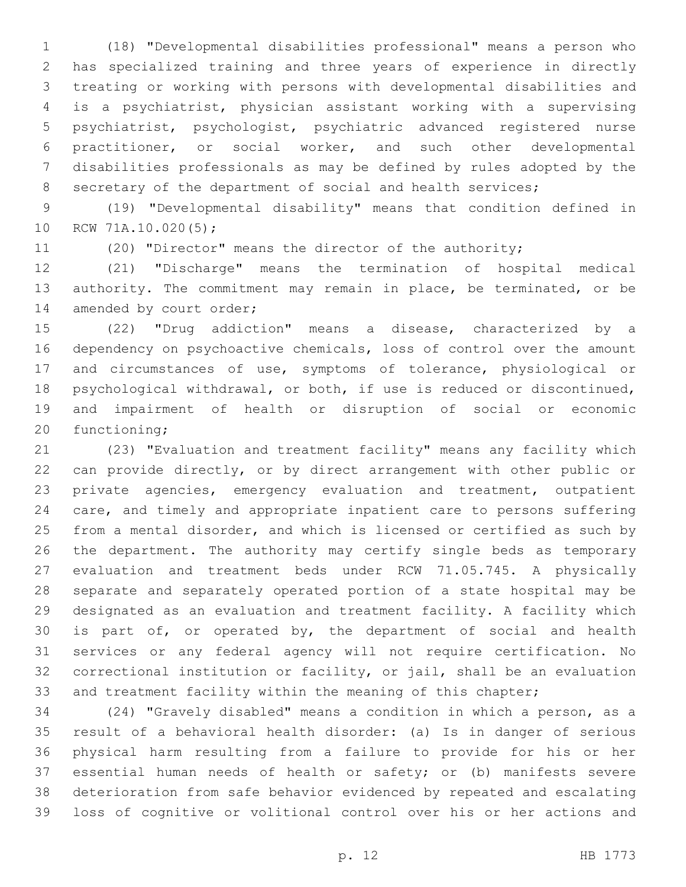(18) "Developmental disabilities professional" means a person who has specialized training and three years of experience in directly treating or working with persons with developmental disabilities and is a psychiatrist, physician assistant working with a supervising psychiatrist, psychologist, psychiatric advanced registered nurse practitioner, or social worker, and such other developmental disabilities professionals as may be defined by rules adopted by the 8 secretary of the department of social and health services;

 (19) "Developmental disability" means that condition defined in 10 RCW 71A.10.020(5);

(20) "Director" means the director of the authority;

 (21) "Discharge" means the termination of hospital medical 13 authority. The commitment may remain in place, be terminated, or be 14 amended by court order;

 (22) "Drug addiction" means a disease, characterized by a dependency on psychoactive chemicals, loss of control over the amount and circumstances of use, symptoms of tolerance, physiological or psychological withdrawal, or both, if use is reduced or discontinued, and impairment of health or disruption of social or economic 20 functioning;

 (23) "Evaluation and treatment facility" means any facility which can provide directly, or by direct arrangement with other public or private agencies, emergency evaluation and treatment, outpatient care, and timely and appropriate inpatient care to persons suffering from a mental disorder, and which is licensed or certified as such by the department. The authority may certify single beds as temporary evaluation and treatment beds under RCW 71.05.745. A physically separate and separately operated portion of a state hospital may be designated as an evaluation and treatment facility. A facility which is part of, or operated by, the department of social and health services or any federal agency will not require certification. No correctional institution or facility, or jail, shall be an evaluation 33 and treatment facility within the meaning of this chapter;

 (24) "Gravely disabled" means a condition in which a person, as a result of a behavioral health disorder: (a) Is in danger of serious physical harm resulting from a failure to provide for his or her essential human needs of health or safety; or (b) manifests severe deterioration from safe behavior evidenced by repeated and escalating loss of cognitive or volitional control over his or her actions and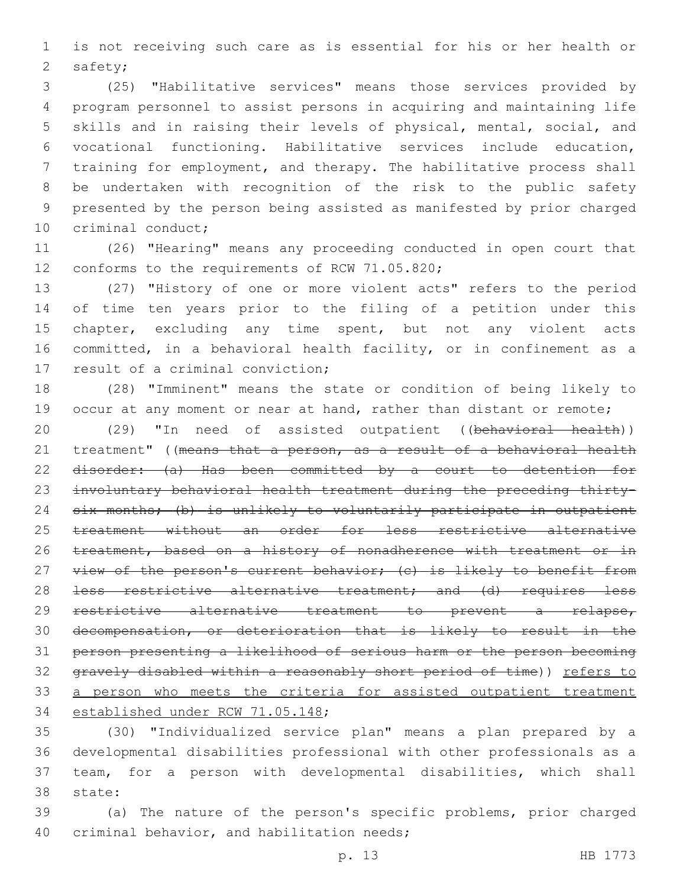is not receiving such care as is essential for his or her health or 2 safety;

 (25) "Habilitative services" means those services provided by program personnel to assist persons in acquiring and maintaining life skills and in raising their levels of physical, mental, social, and vocational functioning. Habilitative services include education, training for employment, and therapy. The habilitative process shall be undertaken with recognition of the risk to the public safety presented by the person being assisted as manifested by prior charged 10 criminal conduct;

 (26) "Hearing" means any proceeding conducted in open court that 12 conforms to the requirements of RCW 71.05.820;

 (27) "History of one or more violent acts" refers to the period of time ten years prior to the filing of a petition under this 15 chapter, excluding any time spent, but not any violent acts committed, in a behavioral health facility, or in confinement as a 17 result of a criminal conviction;

 (28) "Imminent" means the state or condition of being likely to 19 occur at any moment or near at hand, rather than distant or remote;

20 (29) "In need of assisted outpatient ((behavioral health)) 21 treatment" ((means that a person, as a result of a behavioral health disorder: (a) Has been committed by a court to detention for involuntary behavioral health treatment during the preceding thirty- six months; (b) is unlikely to voluntarily participate in outpatient treatment without an order for less restrictive alternative 26 treatment, based on a history of nonadherence with treatment or in 27 view of the person's current behavior; (c) is likely to benefit from 28 <del>less restrictive alternative treatment; and (d) requires less</del> restrictive alternative treatment to prevent a relapse, decompensation, or deterioration that is likely to result in the person presenting a likelihood of serious harm or the person becoming gravely disabled within a reasonably short period of time)) refers to 33 a person who meets the criteria for assisted outpatient treatment 34 established under RCW 71.05.148;

 (30) "Individualized service plan" means a plan prepared by a developmental disabilities professional with other professionals as a team, for a person with developmental disabilities, which shall 38 state:

 (a) The nature of the person's specific problems, prior charged 40 criminal behavior, and habilitation needs;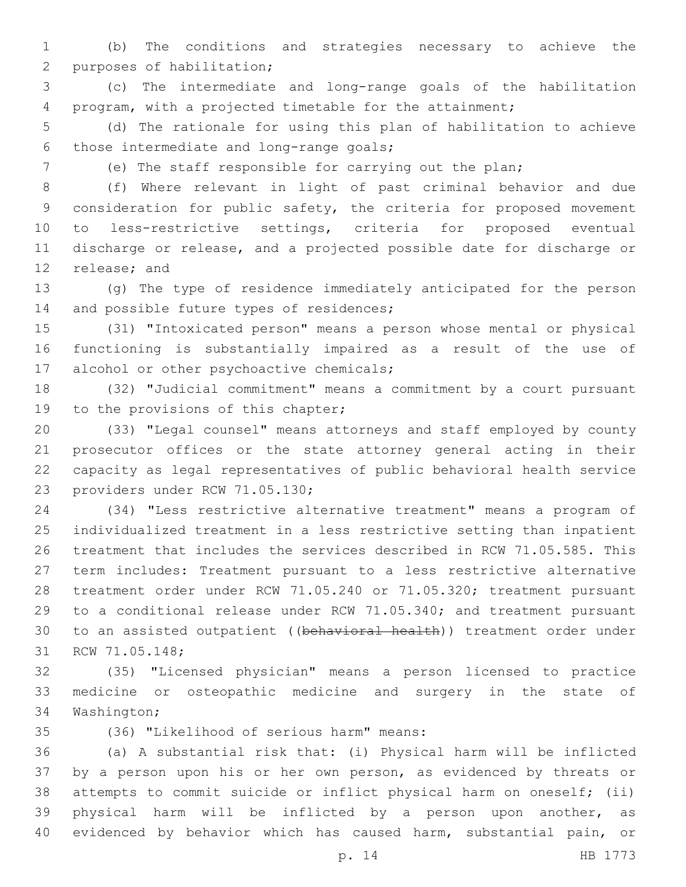(b) The conditions and strategies necessary to achieve the 2 purposes of habilitation;

 (c) The intermediate and long-range goals of the habilitation program, with a projected timetable for the attainment;

 (d) The rationale for using this plan of habilitation to achieve 6 those intermediate and long-range goals;

(e) The staff responsible for carrying out the plan;

 (f) Where relevant in light of past criminal behavior and due consideration for public safety, the criteria for proposed movement to less-restrictive settings, criteria for proposed eventual discharge or release, and a projected possible date for discharge or 12 release; and

 (g) The type of residence immediately anticipated for the person 14 and possible future types of residences;

 (31) "Intoxicated person" means a person whose mental or physical functioning is substantially impaired as a result of the use of 17 alcohol or other psychoactive chemicals;

 (32) "Judicial commitment" means a commitment by a court pursuant 19 to the provisions of this chapter;

 (33) "Legal counsel" means attorneys and staff employed by county prosecutor offices or the state attorney general acting in their capacity as legal representatives of public behavioral health service 23 providers under RCW 71.05.130;

 (34) "Less restrictive alternative treatment" means a program of individualized treatment in a less restrictive setting than inpatient treatment that includes the services described in RCW 71.05.585. This term includes: Treatment pursuant to a less restrictive alternative treatment order under RCW 71.05.240 or 71.05.320; treatment pursuant to a conditional release under RCW 71.05.340; and treatment pursuant to an assisted outpatient ((behavioral health)) treatment order under 31 RCW 71.05.148;

 (35) "Licensed physician" means a person licensed to practice medicine or osteopathic medicine and surgery in the state of 34 Washington;

(36) "Likelihood of serious harm" means:35

 (a) A substantial risk that: (i) Physical harm will be inflicted by a person upon his or her own person, as evidenced by threats or attempts to commit suicide or inflict physical harm on oneself; (ii) physical harm will be inflicted by a person upon another, as evidenced by behavior which has caused harm, substantial pain, or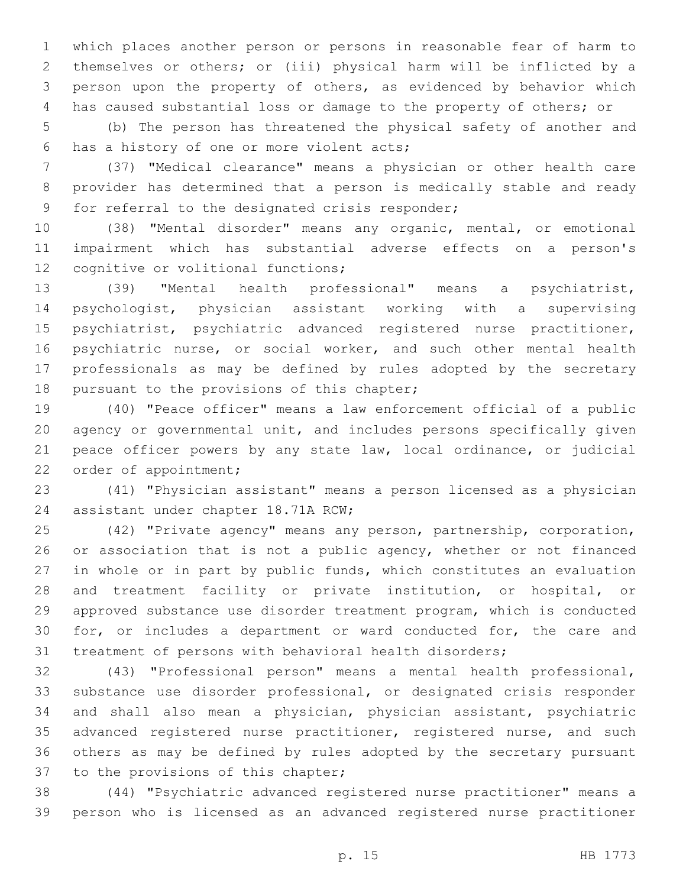which places another person or persons in reasonable fear of harm to themselves or others; or (iii) physical harm will be inflicted by a person upon the property of others, as evidenced by behavior which has caused substantial loss or damage to the property of others; or

 (b) The person has threatened the physical safety of another and 6 has a history of one or more violent acts;

 (37) "Medical clearance" means a physician or other health care provider has determined that a person is medically stable and ready 9 for referral to the designated crisis responder;

 (38) "Mental disorder" means any organic, mental, or emotional impairment which has substantial adverse effects on a person's 12 cognitive or volitional functions;

 (39) "Mental health professional" means a psychiatrist, psychologist, physician assistant working with a supervising psychiatrist, psychiatric advanced registered nurse practitioner, psychiatric nurse, or social worker, and such other mental health professionals as may be defined by rules adopted by the secretary 18 pursuant to the provisions of this chapter;

 (40) "Peace officer" means a law enforcement official of a public agency or governmental unit, and includes persons specifically given peace officer powers by any state law, local ordinance, or judicial 22 order of appointment;

 (41) "Physician assistant" means a person licensed as a physician 24 assistant under chapter 18.71A RCW;

 (42) "Private agency" means any person, partnership, corporation, 26 or association that is not a public agency, whether or not financed in whole or in part by public funds, which constitutes an evaluation and treatment facility or private institution, or hospital, or approved substance use disorder treatment program, which is conducted for, or includes a department or ward conducted for, the care and treatment of persons with behavioral health disorders;

 (43) "Professional person" means a mental health professional, substance use disorder professional, or designated crisis responder and shall also mean a physician, physician assistant, psychiatric 35 advanced registered nurse practitioner, registered nurse, and such others as may be defined by rules adopted by the secretary pursuant 37 to the provisions of this chapter;

 (44) "Psychiatric advanced registered nurse practitioner" means a person who is licensed as an advanced registered nurse practitioner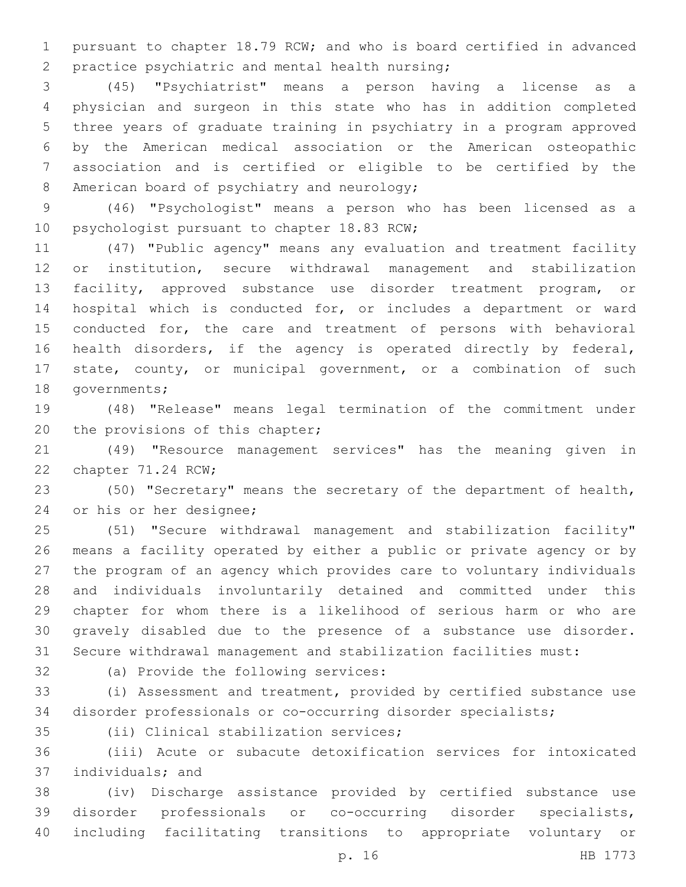pursuant to chapter 18.79 RCW; and who is board certified in advanced 2 practice psychiatric and mental health nursing;

 (45) "Psychiatrist" means a person having a license as a physician and surgeon in this state who has in addition completed three years of graduate training in psychiatry in a program approved by the American medical association or the American osteopathic association and is certified or eligible to be certified by the 8 American board of psychiatry and neurology;

 (46) "Psychologist" means a person who has been licensed as a 10 psychologist pursuant to chapter 18.83 RCW;

 (47) "Public agency" means any evaluation and treatment facility or institution, secure withdrawal management and stabilization facility, approved substance use disorder treatment program, or hospital which is conducted for, or includes a department or ward conducted for, the care and treatment of persons with behavioral health disorders, if the agency is operated directly by federal, state, county, or municipal government, or a combination of such 18 governments;

 (48) "Release" means legal termination of the commitment under 20 the provisions of this chapter;

 (49) "Resource management services" has the meaning given in 22 chapter 71.24 RCW;

 (50) "Secretary" means the secretary of the department of health, 24 or his or her designee;

 (51) "Secure withdrawal management and stabilization facility" means a facility operated by either a public or private agency or by the program of an agency which provides care to voluntary individuals and individuals involuntarily detained and committed under this chapter for whom there is a likelihood of serious harm or who are gravely disabled due to the presence of a substance use disorder. Secure withdrawal management and stabilization facilities must:

32 (a) Provide the following services:

 (i) Assessment and treatment, provided by certified substance use disorder professionals or co-occurring disorder specialists;

35 (ii) Clinical stabilization services;

 (iii) Acute or subacute detoxification services for intoxicated 37 individuals; and

 (iv) Discharge assistance provided by certified substance use disorder professionals or co-occurring disorder specialists, including facilitating transitions to appropriate voluntary or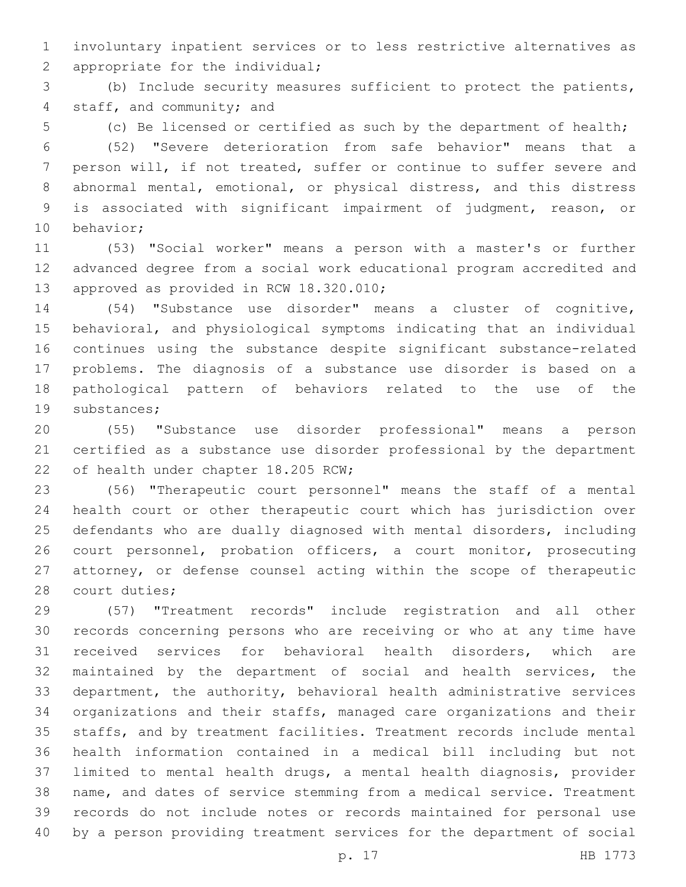involuntary inpatient services or to less restrictive alternatives as 2 appropriate for the individual;

 (b) Include security measures sufficient to protect the patients, 4 staff, and community; and

(c) Be licensed or certified as such by the department of health;

 (52) "Severe deterioration from safe behavior" means that a person will, if not treated, suffer or continue to suffer severe and abnormal mental, emotional, or physical distress, and this distress is associated with significant impairment of judgment, reason, or 10 behavior;

 (53) "Social worker" means a person with a master's or further advanced degree from a social work educational program accredited and 13 approved as provided in RCW 18.320.010;

 (54) "Substance use disorder" means a cluster of cognitive, behavioral, and physiological symptoms indicating that an individual continues using the substance despite significant substance-related problems. The diagnosis of a substance use disorder is based on a pathological pattern of behaviors related to the use of the 19 substances;

 (55) "Substance use disorder professional" means a person certified as a substance use disorder professional by the department 22 of health under chapter 18.205 RCW;

 (56) "Therapeutic court personnel" means the staff of a mental health court or other therapeutic court which has jurisdiction over defendants who are dually diagnosed with mental disorders, including court personnel, probation officers, a court monitor, prosecuting attorney, or defense counsel acting within the scope of therapeutic 28 court duties;

 (57) "Treatment records" include registration and all other records concerning persons who are receiving or who at any time have received services for behavioral health disorders, which are maintained by the department of social and health services, the department, the authority, behavioral health administrative services organizations and their staffs, managed care organizations and their staffs, and by treatment facilities. Treatment records include mental health information contained in a medical bill including but not limited to mental health drugs, a mental health diagnosis, provider name, and dates of service stemming from a medical service. Treatment records do not include notes or records maintained for personal use by a person providing treatment services for the department of social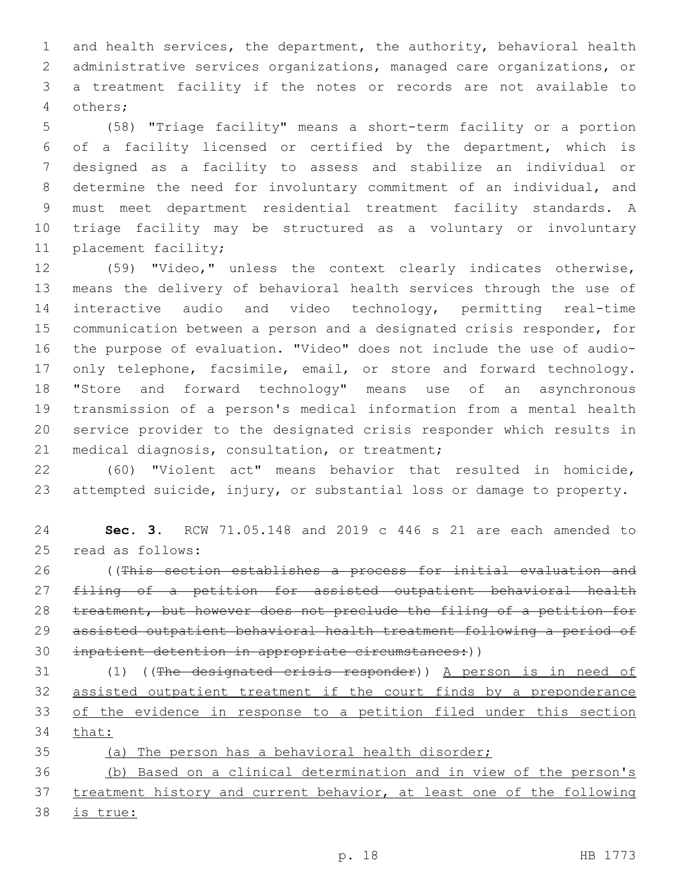and health services, the department, the authority, behavioral health administrative services organizations, managed care organizations, or a treatment facility if the notes or records are not available to others;4

 (58) "Triage facility" means a short-term facility or a portion of a facility licensed or certified by the department, which is designed as a facility to assess and stabilize an individual or determine the need for involuntary commitment of an individual, and must meet department residential treatment facility standards. A triage facility may be structured as a voluntary or involuntary 11 placement facility;

 (59) "Video," unless the context clearly indicates otherwise, means the delivery of behavioral health services through the use of interactive audio and video technology, permitting real-time communication between a person and a designated crisis responder, for the purpose of evaluation. "Video" does not include the use of audio-17 only telephone, facsimile, email, or store and forward technology. "Store and forward technology" means use of an asynchronous transmission of a person's medical information from a mental health service provider to the designated crisis responder which results in 21 medical diagnosis, consultation, or treatment;

 (60) "Violent act" means behavior that resulted in homicide, attempted suicide, injury, or substantial loss or damage to property.

 **Sec. 3.** RCW 71.05.148 and 2019 c 446 s 21 are each amended to 25 read as follows:

 ((This section establishes a process for initial evaluation and filing of a petition for assisted outpatient behavioral health 28 treatment, but however does not preclude the filing of a petition for assisted outpatient behavioral health treatment following a period of 30 inpatient detention in appropriate circumstances:))

31 (1) ((The designated crisis responder)) A person is in need of assisted outpatient treatment if the court finds by a preponderance of the evidence in response to a petition filed under this section that:

(a) The person has a behavioral health disorder;

 (b) Based on a clinical determination and in view of the person's 37 treatment history and current behavior, at least one of the following

is true: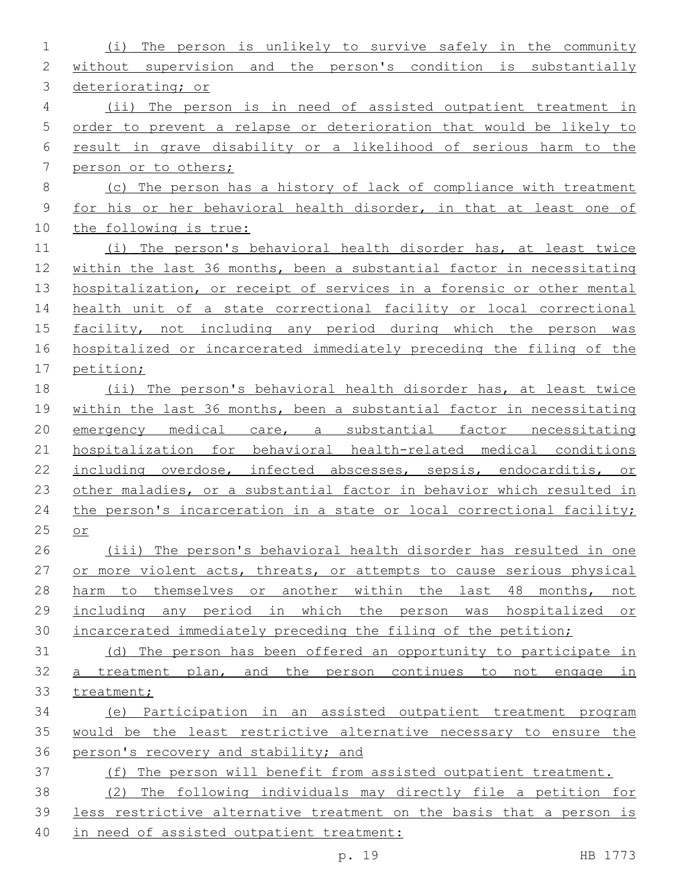| $\mathbf 1$  | The person is unlikely to survive safely in the community<br>(i)      |
|--------------|-----------------------------------------------------------------------|
| $\mathbf{2}$ | without supervision and the person's condition is substantially       |
| 3            | deteriorating; or                                                     |
| 4            | (ii) The person is in need of assisted outpatient treatment in        |
| 5            | order to prevent a relapse or deterioration that would be likely to   |
| 6            | result in grave disability or a likelihood of serious harm to the     |
| 7            | person or to others;                                                  |
| 8            | (c) The person has a history of lack of compliance with treatment     |
| 9            | for his or her behavioral health disorder, in that at least one of    |
| 10           | the following is true:                                                |
| 11           | (i) The person's behavioral health disorder has, at least twice       |
| 12           | within the last 36 months, been a substantial factor in necessitating |
| 13           | hospitalization, or receipt of services in a forensic or other mental |
| 14           | health unit of a state correctional facility or local correctional    |
| 15           | facility, not including any period during which the person was        |
| 16           | hospitalized or incarcerated immediately preceding the filing of the  |
| 17           | petition;                                                             |
| 18           | (ii) The person's behavioral health disorder has, at least twice      |
| 19           | within the last 36 months, been a substantial factor in necessitating |
| 20           | emergency medical care, a substantial factor necessitating            |
| 21           | hospitalization for behavioral health-related medical conditions      |
| 22           | including overdose, infected abscesses, sepsis, endocarditis, or      |
| 23           | other maladies, or a substantial factor in behavior which resulted in |
| 24           | the person's incarceration in a state or local correctional facility; |
| 25           | or                                                                    |
| 26           | (iii) The person's behavioral health disorder has resulted in one     |
| 27           | or more violent acts, threats, or attempts to cause serious physical  |
| 28           | harm to themselves or another within the last 48 months, not          |
| 29           | including any period in which the person was hospitalized or          |
| 30           | incarcerated immediately preceding the filing of the petition;        |
| 31           | (d) The person has been offered an opportunity to participate in      |
| 32           | a treatment plan, and the person continues to not engage in           |
| 33           | treatment;                                                            |
| 34           | (e) Participation in an assisted outpatient treatment program         |
| 35           | would be the least restrictive alternative necessary to ensure the    |
| 36           | person's recovery and stability; and                                  |
| 37           | (f) The person will benefit from assisted outpatient treatment.       |
| 38           | (2) The following individuals may directly file a petition for        |
| 39           | less restrictive alternative treatment on the basis that a person is  |
| 40           | in need of assisted outpatient treatment:                             |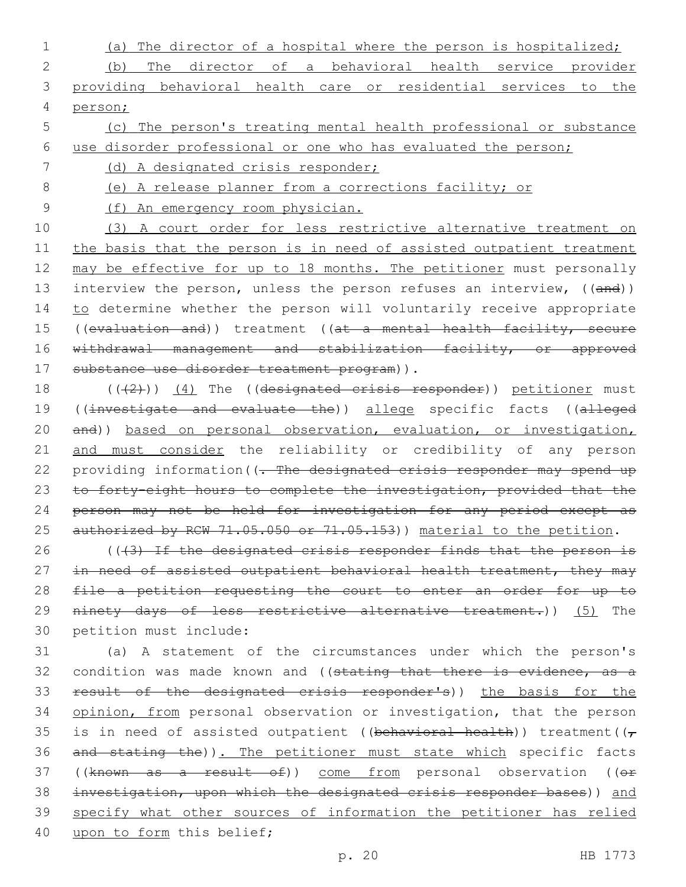- 1 (a) The director of a hospital where the person is hospitalized; 2 (b) The director of a behavioral health service provider 3 providing behavioral health care or residential services to the 4 person;
- 5 (c) The person's treating mental health professional or substance 6 use disorder professional or one who has evaluated the person;
- 7 (d) A designated crisis responder;
- 8 (e) A release planner from a corrections facility; or
- 9 (f) An emergency room physician.

10 (3) A court order for less restrictive alternative treatment on 11 the basis that the person is in need of assisted outpatient treatment 12 may be effective for up to 18 months. The petitioner must personally 13 interview the person, unless the person refuses an interview, ((and)) 14 to determine whether the person will voluntarily receive appropriate 15 ((evaluation and)) treatment ((at a mental health facility, secure 16 withdrawal management and stabilization facility, or approved 17 substance use disorder treatment program)).

18 (((2)) (4) The ((designated crisis responder)) petitioner must 19 ((investigate and evaluate the)) allege specific facts ((alleged 20 and)) based on personal observation, evaluation, or investigation, 21 and must consider the reliability or credibility of any person 22 providing information((- The designated crisis responder may spend up 23 to forty-eight hours to complete the investigation, provided that the 24 person may not be held for investigation for any period except as 25 authorized by RCW 71.05.050 or 71.05.153)) material to the petition.

26 ((43) If the designated crisis responder finds that the person is 27 in need of assisted outpatient behavioral health treatment, they may 28 file a petition requesting the court to enter an order for up to 29 ninety days of less restrictive alternative treatment.)) (5) The 30 petition must include:

31 (a) A statement of the circumstances under which the person's 32 condition was made known and ((stating that there is evidence, as a 33 result of the designated crisis responder's)) the basis for the 34 opinion, from personal observation or investigation, that the person 35 is in need of assisted outpatient ((behavioral health)) treatment( $(\tau$ 36 and stating the)). The petitioner must state which specific facts 37 ((known as a result of)) come from personal observation ((or 38 investigation, upon which the designated crisis responder bases)) and 39 specify what other sources of information the petitioner has relied 40 upon to form this belief;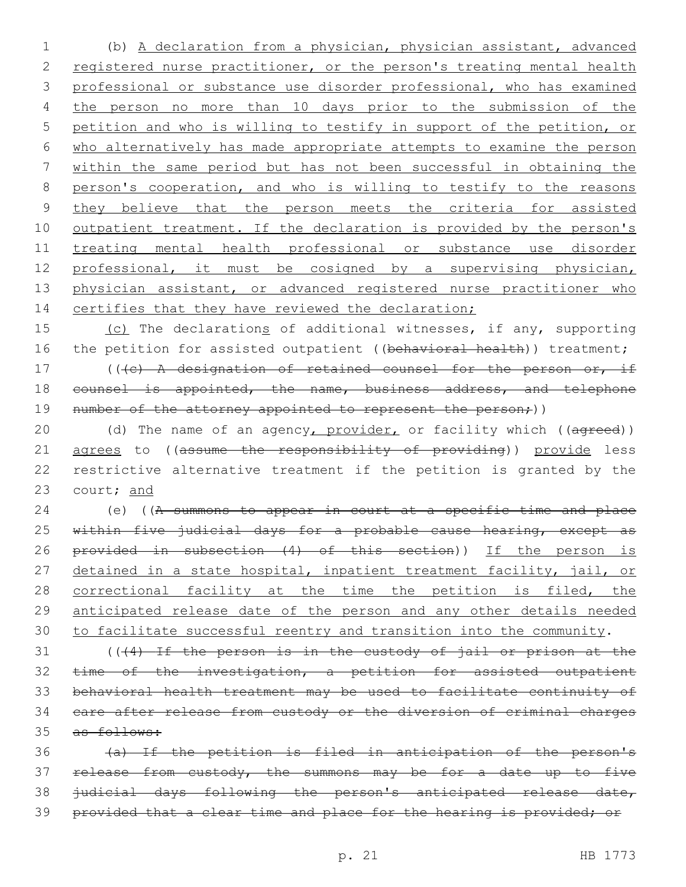1 (b) A declaration from a physician, physician assistant, advanced 2 registered nurse practitioner, or the person's treating mental health 3 professional or substance use disorder professional, who has examined 4 the person no more than 10 days prior to the submission of the 5 petition and who is willing to testify in support of the petition, or 6 who alternatively has made appropriate attempts to examine the person 7 within the same period but has not been successful in obtaining the 8 person's cooperation, and who is willing to testify to the reasons 9 they believe that the person meets the criteria for assisted 10 outpatient treatment. If the declaration is provided by the person's 11 treating mental health professional or substance use disorder 12 professional, it must be cosigned by a supervising physician, 13 physician assistant, or advanced registered nurse practitioner who 14 certifies that they have reviewed the declaration;

15 (c) The declarations of additional witnesses, if any, supporting 16 the petition for assisted outpatient ((behavioral health)) treatment;

17 (((c) A designation of retained counsel for the person or, if 18 counsel is appointed, the name, business address, and telephone 19 number of the attorney appointed to represent the person;))

20 (d) The name of an agency, provider, or facility which ((agreed)) 21 agrees to ((assume the responsibility of providing)) provide less 22 restrictive alternative treatment if the petition is granted by the 23 court; and

24 (e) ((A summons to appear in court at a specific time and place 25 within five judicial days for a probable cause hearing, except as 26 provided in subsection (4) of this section)) If the person is 27 detained in a state hospital, inpatient treatment facility, jail, or 28 correctional facility at the time the petition is filed, the 29 anticipated release date of the person and any other details needed 30 to facilitate successful reentry and transition into the community.

 (( $(4)$ ) If the person is in the custody of jail or prison at the 32 time of the investigation, a petition for assisted outpatient behavioral health treatment may be used to facilitate continuity of care after release from custody or the diversion of criminal charges as follows:

 (a) If the petition is filed in anticipation of the person's 37 release from custody, the summons may be for a date up to five judicial days following the person's anticipated release date, provided that a clear time and place for the hearing is provided; or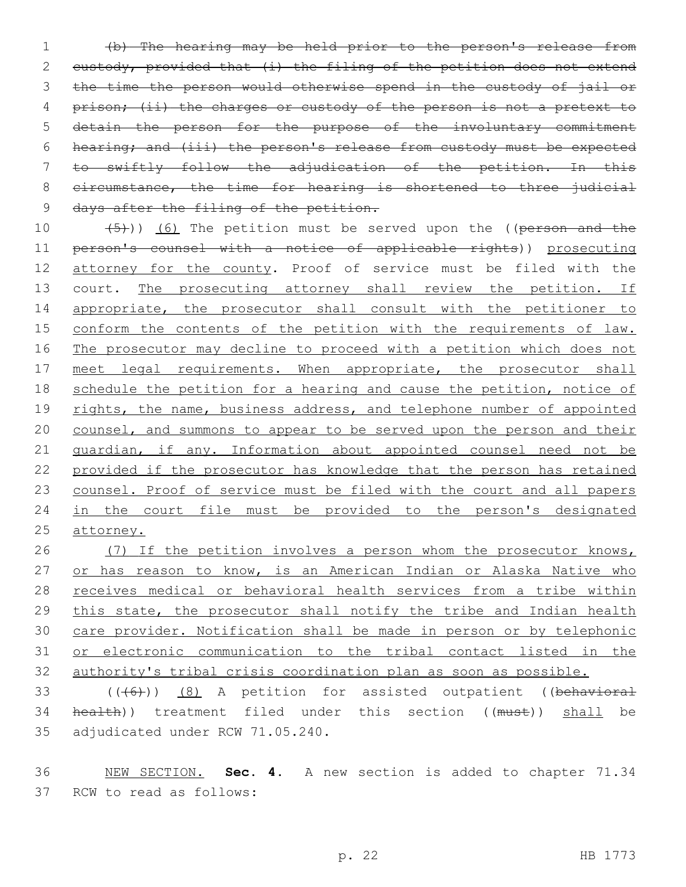1 (b) The hearing may be held prior to the person's release from 2 custody, provided that (i) the filing of the petition does not extend 3 the time the person would otherwise spend in the custody of jail or 4 prison; (ii) the charges or custody of the person is not a pretext to 5 detain the person for the purpose of the involuntary commitment 6 hearing; and (iii) the person's release from custody must be expected 7 to swiftly follow the adjudication of the petition. In this 8 circumstance, the time for hearing is shortened to three judicial 9 days after the filing of the petition.

10  $(5)$ )) (6) The petition must be served upon the ((person and the 11 person's counsel with a notice of applicable rights)) prosecuting 12 attorney for the county. Proof of service must be filed with the 13 court. The prosecuting attorney shall review the petition. If 14 appropriate, the prosecutor shall consult with the petitioner to 15 conform the contents of the petition with the requirements of law. 16 The prosecutor may decline to proceed with a petition which does not 17 meet legal requirements. When appropriate, the prosecutor shall 18 schedule the petition for a hearing and cause the petition, notice of 19 rights, the name, business address, and telephone number of appointed 20 counsel, and summons to appear to be served upon the person and their 21 guardian, if any. Information about appointed counsel need not be 22 provided if the prosecutor has knowledge that the person has retained 23 counsel. Proof of service must be filed with the court and all papers 24 in the court file must be provided to the person's designated 25 attorney.

26 (7) If the petition involves a person whom the prosecutor knows, 27 or has reason to know, is an American Indian or Alaska Native who 28 receives medical or behavioral health services from a tribe within 29 this state, the prosecutor shall notify the tribe and Indian health 30 care provider. Notification shall be made in person or by telephonic 31 or electronic communication to the tribal contact listed in the 32 authority's tribal crisis coordination plan as soon as possible.

33 (((6)) (8) A petition for assisted outpatient ((behavioral 34 health)) treatment filed under this section ((must)) shall be 35 adjudicated under RCW 71.05.240.

36 NEW SECTION. **Sec. 4.** A new section is added to chapter 71.34 37 RCW to read as follows: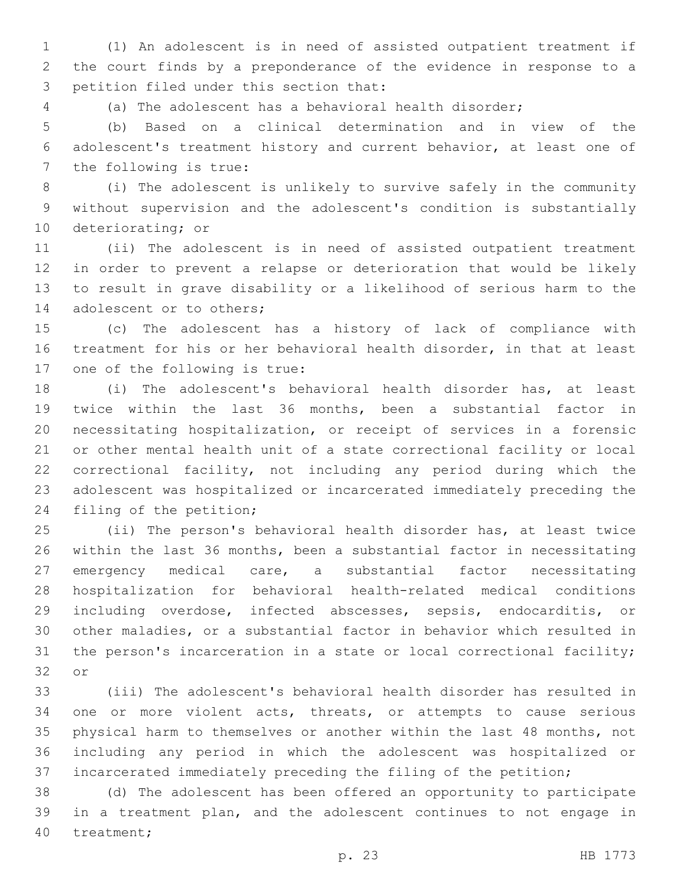(1) An adolescent is in need of assisted outpatient treatment if the court finds by a preponderance of the evidence in response to a 3 petition filed under this section that:

(a) The adolescent has a behavioral health disorder;

 (b) Based on a clinical determination and in view of the adolescent's treatment history and current behavior, at least one of 7 the following is true:

 (i) The adolescent is unlikely to survive safely in the community without supervision and the adolescent's condition is substantially 10 deteriorating; or

 (ii) The adolescent is in need of assisted outpatient treatment in order to prevent a relapse or deterioration that would be likely to result in grave disability or a likelihood of serious harm to the 14 adolescent or to others;

 (c) The adolescent has a history of lack of compliance with treatment for his or her behavioral health disorder, in that at least 17 one of the following is true:

 (i) The adolescent's behavioral health disorder has, at least twice within the last 36 months, been a substantial factor in necessitating hospitalization, or receipt of services in a forensic or other mental health unit of a state correctional facility or local correctional facility, not including any period during which the adolescent was hospitalized or incarcerated immediately preceding the 24 filing of the petition;

 (ii) The person's behavioral health disorder has, at least twice within the last 36 months, been a substantial factor in necessitating emergency medical care, a substantial factor necessitating hospitalization for behavioral health-related medical conditions including overdose, infected abscesses, sepsis, endocarditis, or other maladies, or a substantial factor in behavior which resulted in the person's incarceration in a state or local correctional facility; 32 or

 (iii) The adolescent's behavioral health disorder has resulted in one or more violent acts, threats, or attempts to cause serious physical harm to themselves or another within the last 48 months, not including any period in which the adolescent was hospitalized or incarcerated immediately preceding the filing of the petition;

 (d) The adolescent has been offered an opportunity to participate in a treatment plan, and the adolescent continues to not engage in 40 treatment;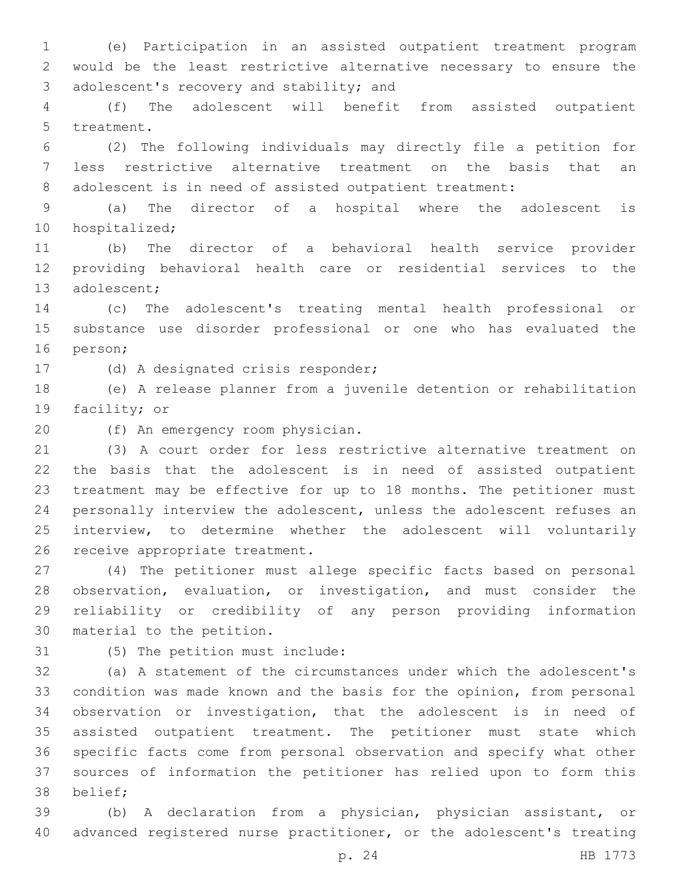(e) Participation in an assisted outpatient treatment program would be the least restrictive alternative necessary to ensure the 3 adolescent's recovery and stability; and

 (f) The adolescent will benefit from assisted outpatient 5 treatment.

 (2) The following individuals may directly file a petition for less restrictive alternative treatment on the basis that an adolescent is in need of assisted outpatient treatment:

 (a) The director of a hospital where the adolescent is 10 hospitalized;

 (b) The director of a behavioral health service provider providing behavioral health care or residential services to the 13 adolescent;

 (c) The adolescent's treating mental health professional or substance use disorder professional or one who has evaluated the 16 person;

17 (d) A designated crisis responder;

 (e) A release planner from a juvenile detention or rehabilitation 19 facility; or

20 (f) An emergency room physician.

 (3) A court order for less restrictive alternative treatment on the basis that the adolescent is in need of assisted outpatient treatment may be effective for up to 18 months. The petitioner must personally interview the adolescent, unless the adolescent refuses an interview, to determine whether the adolescent will voluntarily 26 receive appropriate treatment.

 (4) The petitioner must allege specific facts based on personal observation, evaluation, or investigation, and must consider the reliability or credibility of any person providing information 30 material to the petition.

31 (5) The petition must include:

 (a) A statement of the circumstances under which the adolescent's condition was made known and the basis for the opinion, from personal observation or investigation, that the adolescent is in need of assisted outpatient treatment. The petitioner must state which specific facts come from personal observation and specify what other sources of information the petitioner has relied upon to form this 38 belief:

 (b) A declaration from a physician, physician assistant, or advanced registered nurse practitioner, or the adolescent's treating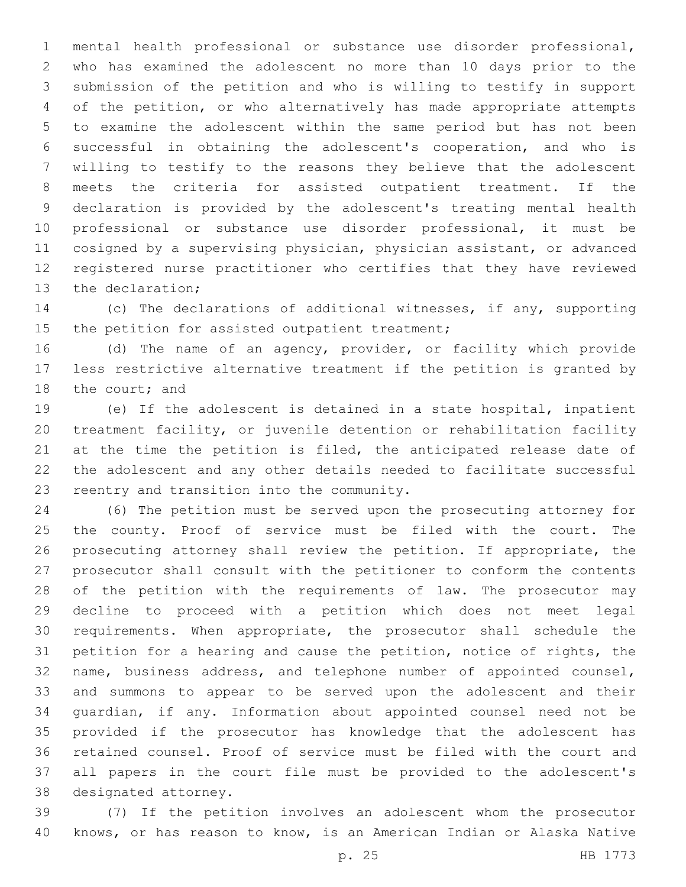mental health professional or substance use disorder professional, who has examined the adolescent no more than 10 days prior to the submission of the petition and who is willing to testify in support of the petition, or who alternatively has made appropriate attempts to examine the adolescent within the same period but has not been successful in obtaining the adolescent's cooperation, and who is willing to testify to the reasons they believe that the adolescent meets the criteria for assisted outpatient treatment. If the declaration is provided by the adolescent's treating mental health professional or substance use disorder professional, it must be cosigned by a supervising physician, physician assistant, or advanced registered nurse practitioner who certifies that they have reviewed 13 the declaration;

 (c) The declarations of additional witnesses, if any, supporting 15 the petition for assisted outpatient treatment;

 (d) The name of an agency, provider, or facility which provide less restrictive alternative treatment if the petition is granted by 18 the court; and

 (e) If the adolescent is detained in a state hospital, inpatient treatment facility, or juvenile detention or rehabilitation facility 21 at the time the petition is filed, the anticipated release date of the adolescent and any other details needed to facilitate successful 23 reentry and transition into the community.

 (6) The petition must be served upon the prosecuting attorney for the county. Proof of service must be filed with the court. The prosecuting attorney shall review the petition. If appropriate, the prosecutor shall consult with the petitioner to conform the contents of the petition with the requirements of law. The prosecutor may decline to proceed with a petition which does not meet legal requirements. When appropriate, the prosecutor shall schedule the petition for a hearing and cause the petition, notice of rights, the name, business address, and telephone number of appointed counsel, and summons to appear to be served upon the adolescent and their guardian, if any. Information about appointed counsel need not be provided if the prosecutor has knowledge that the adolescent has retained counsel. Proof of service must be filed with the court and all papers in the court file must be provided to the adolescent's 38 designated attorney.

 (7) If the petition involves an adolescent whom the prosecutor knows, or has reason to know, is an American Indian or Alaska Native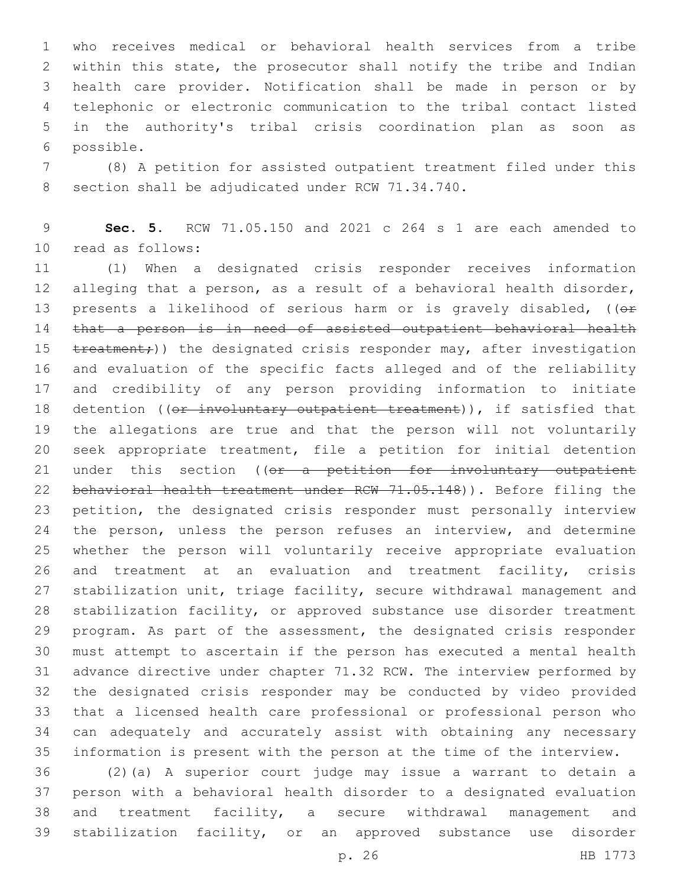who receives medical or behavioral health services from a tribe within this state, the prosecutor shall notify the tribe and Indian health care provider. Notification shall be made in person or by telephonic or electronic communication to the tribal contact listed in the authority's tribal crisis coordination plan as soon as possible.6

 (8) A petition for assisted outpatient treatment filed under this 8 section shall be adjudicated under RCW 71.34.740.

 **Sec. 5.** RCW 71.05.150 and 2021 c 264 s 1 are each amended to 10 read as follows:

 (1) When a designated crisis responder receives information alleging that a person, as a result of a behavioral health disorder, 13 presents a likelihood of serious harm or is gravely disabled, ((or that a person is in need of assisted outpatient behavioral health 15 treatment;)) the designated crisis responder may, after investigation and evaluation of the specific facts alleged and of the reliability and credibility of any person providing information to initiate 18 detention ((or involuntary outpatient treatment)), if satisfied that the allegations are true and that the person will not voluntarily seek appropriate treatment, file a petition for initial detention 21 under this section ((or a petition for involuntary outpatient behavioral health treatment under RCW 71.05.148)). Before filing the petition, the designated crisis responder must personally interview 24 the person, unless the person refuses an interview, and determine whether the person will voluntarily receive appropriate evaluation and treatment at an evaluation and treatment facility, crisis stabilization unit, triage facility, secure withdrawal management and stabilization facility, or approved substance use disorder treatment program. As part of the assessment, the designated crisis responder must attempt to ascertain if the person has executed a mental health advance directive under chapter 71.32 RCW. The interview performed by the designated crisis responder may be conducted by video provided that a licensed health care professional or professional person who can adequately and accurately assist with obtaining any necessary information is present with the person at the time of the interview.

 (2)(a) A superior court judge may issue a warrant to detain a person with a behavioral health disorder to a designated evaluation and treatment facility, a secure withdrawal management and stabilization facility, or an approved substance use disorder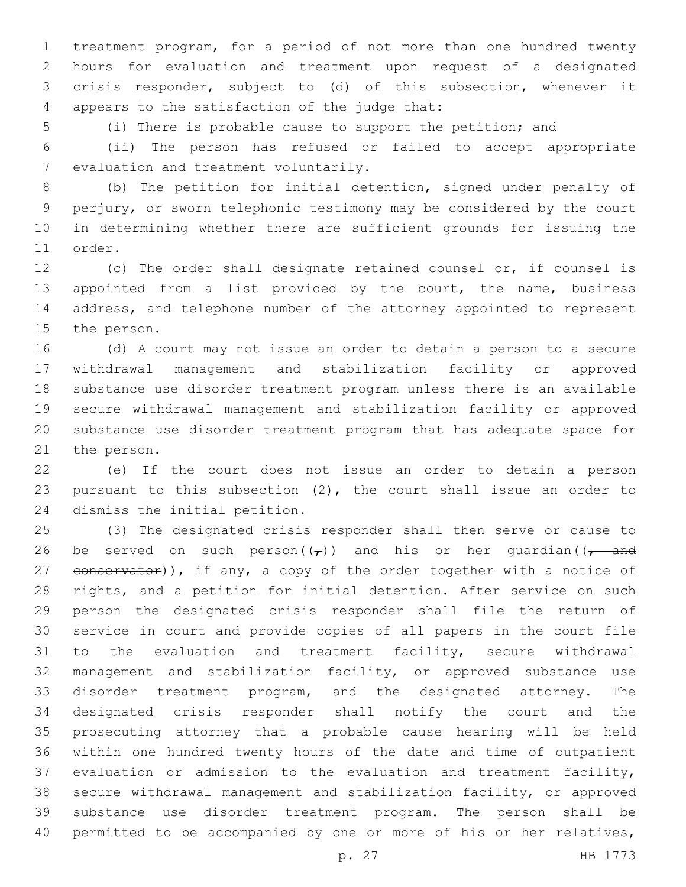treatment program, for a period of not more than one hundred twenty hours for evaluation and treatment upon request of a designated crisis responder, subject to (d) of this subsection, whenever it 4 appears to the satisfaction of the judge that:

(i) There is probable cause to support the petition; and

 (ii) The person has refused or failed to accept appropriate 7 evaluation and treatment voluntarily.

 (b) The petition for initial detention, signed under penalty of perjury, or sworn telephonic testimony may be considered by the court in determining whether there are sufficient grounds for issuing the 11 order.

 (c) The order shall designate retained counsel or, if counsel is appointed from a list provided by the court, the name, business address, and telephone number of the attorney appointed to represent 15 the person.

 (d) A court may not issue an order to detain a person to a secure withdrawal management and stabilization facility or approved substance use disorder treatment program unless there is an available secure withdrawal management and stabilization facility or approved substance use disorder treatment program that has adequate space for 21 the person.

 (e) If the court does not issue an order to detain a person pursuant to this subsection (2), the court shall issue an order to 24 dismiss the initial petition.

 (3) The designated crisis responder shall then serve or cause to 26 be served on such person( $(\tau)$ ) and his or her quardian( $(\tau$  and 27 eonservator)), if any, a copy of the order together with a notice of rights, and a petition for initial detention. After service on such person the designated crisis responder shall file the return of service in court and provide copies of all papers in the court file to the evaluation and treatment facility, secure withdrawal management and stabilization facility, or approved substance use disorder treatment program, and the designated attorney. The designated crisis responder shall notify the court and the prosecuting attorney that a probable cause hearing will be held within one hundred twenty hours of the date and time of outpatient evaluation or admission to the evaluation and treatment facility, secure withdrawal management and stabilization facility, or approved substance use disorder treatment program. The person shall be 40 permitted to be accompanied by one or more of his or her relatives,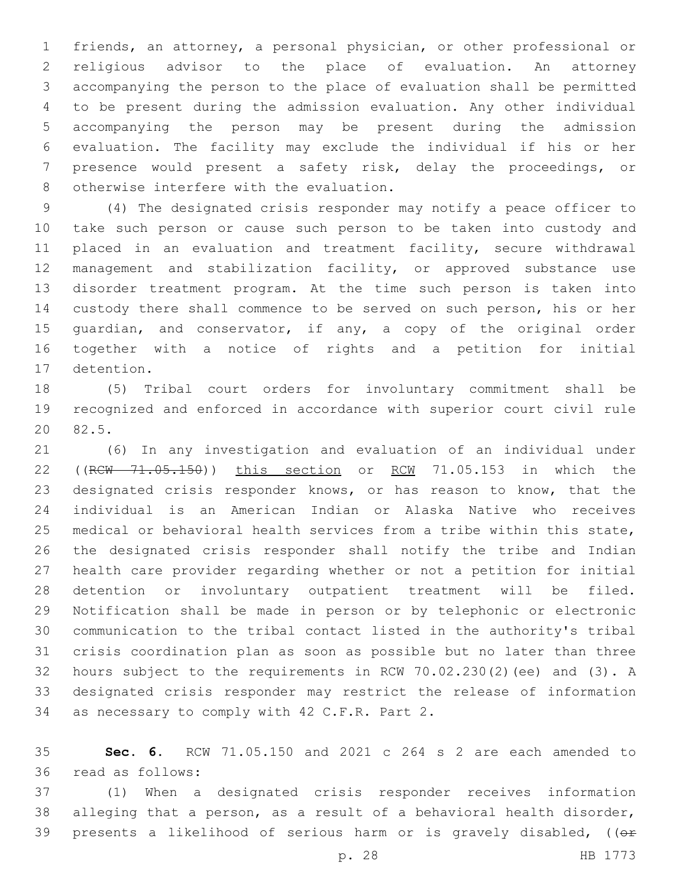friends, an attorney, a personal physician, or other professional or religious advisor to the place of evaluation. An attorney accompanying the person to the place of evaluation shall be permitted to be present during the admission evaluation. Any other individual accompanying the person may be present during the admission evaluation. The facility may exclude the individual if his or her presence would present a safety risk, delay the proceedings, or 8 otherwise interfere with the evaluation.

 (4) The designated crisis responder may notify a peace officer to take such person or cause such person to be taken into custody and 11 placed in an evaluation and treatment facility, secure withdrawal management and stabilization facility, or approved substance use disorder treatment program. At the time such person is taken into custody there shall commence to be served on such person, his or her guardian, and conservator, if any, a copy of the original order together with a notice of rights and a petition for initial 17 detention.

 (5) Tribal court orders for involuntary commitment shall be recognized and enforced in accordance with superior court civil rule 20 82.5.

 (6) In any investigation and evaluation of an individual under 22 ((RCW 71.05.150)) this section or RCW 71.05.153 in which the designated crisis responder knows, or has reason to know, that the individual is an American Indian or Alaska Native who receives medical or behavioral health services from a tribe within this state, the designated crisis responder shall notify the tribe and Indian health care provider regarding whether or not a petition for initial detention or involuntary outpatient treatment will be filed. Notification shall be made in person or by telephonic or electronic communication to the tribal contact listed in the authority's tribal crisis coordination plan as soon as possible but no later than three hours subject to the requirements in RCW 70.02.230(2)(ee) and (3). A designated crisis responder may restrict the release of information 34 as necessary to comply with 42 C.F.R. Part 2.

 **Sec. 6.** RCW 71.05.150 and 2021 c 264 s 2 are each amended to read as follows:36

 (1) When a designated crisis responder receives information alleging that a person, as a result of a behavioral health disorder, 39 presents a likelihood of serious harm or is gravely disabled, ((or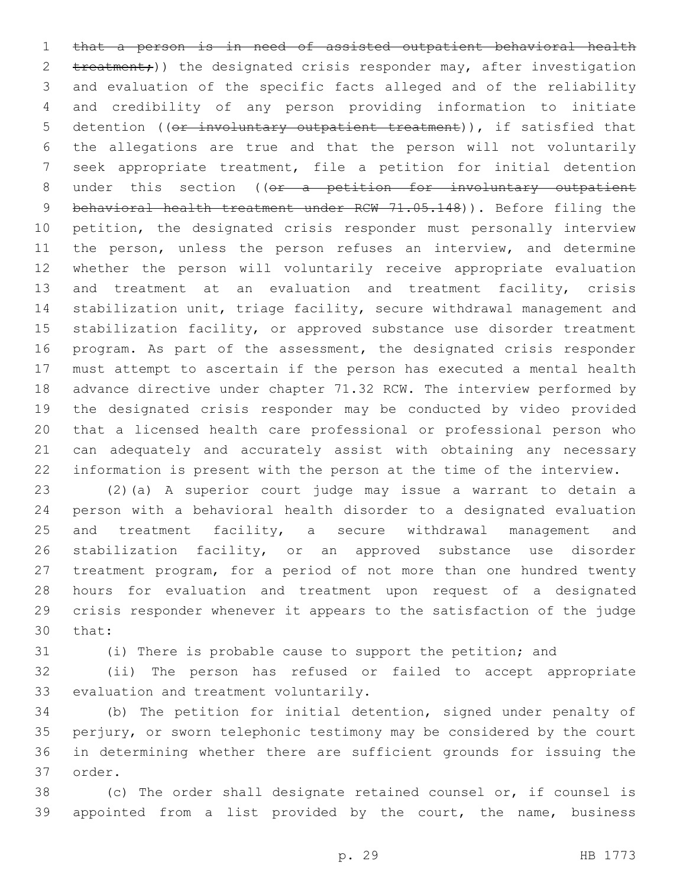that a person is in need of assisted outpatient behavioral health 2 treatment;)) the designated crisis responder may, after investigation and evaluation of the specific facts alleged and of the reliability and credibility of any person providing information to initiate 5 detention ((or involuntary outpatient treatment)), if satisfied that the allegations are true and that the person will not voluntarily seek appropriate treatment, file a petition for initial detention 8 under this section ((or a petition for involuntary outpatient 9 behavioral health treatment under RCW 71.05.148)). Before filing the petition, the designated crisis responder must personally interview 11 the person, unless the person refuses an interview, and determine whether the person will voluntarily receive appropriate evaluation 13 and treatment at an evaluation and treatment facility, crisis stabilization unit, triage facility, secure withdrawal management and 15 stabilization facility, or approved substance use disorder treatment program. As part of the assessment, the designated crisis responder must attempt to ascertain if the person has executed a mental health advance directive under chapter 71.32 RCW. The interview performed by the designated crisis responder may be conducted by video provided that a licensed health care professional or professional person who can adequately and accurately assist with obtaining any necessary information is present with the person at the time of the interview.

 (2)(a) A superior court judge may issue a warrant to detain a person with a behavioral health disorder to a designated evaluation 25 and treatment facility, a secure withdrawal management and stabilization facility, or an approved substance use disorder treatment program, for a period of not more than one hundred twenty hours for evaluation and treatment upon request of a designated crisis responder whenever it appears to the satisfaction of the judge 30 that:

(i) There is probable cause to support the petition; and

 (ii) The person has refused or failed to accept appropriate 33 evaluation and treatment voluntarily.

 (b) The petition for initial detention, signed under penalty of perjury, or sworn telephonic testimony may be considered by the court in determining whether there are sufficient grounds for issuing the 37 order.

 (c) The order shall designate retained counsel or, if counsel is appointed from a list provided by the court, the name, business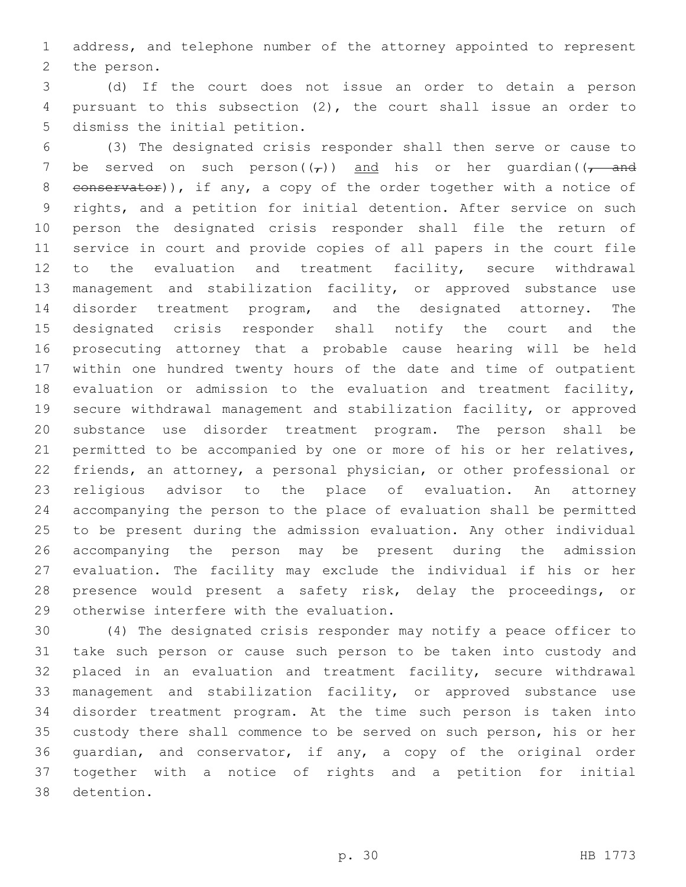address, and telephone number of the attorney appointed to represent 2 the person.

 (d) If the court does not issue an order to detain a person pursuant to this subsection (2), the court shall issue an order to 5 dismiss the initial petition.

 (3) The designated crisis responder shall then serve or cause to 7 be served on such person( $(\tau)$ ) and his or her quardian( $(\tau$  and 8 conservator)), if any, a copy of the order together with a notice of rights, and a petition for initial detention. After service on such person the designated crisis responder shall file the return of service in court and provide copies of all papers in the court file to the evaluation and treatment facility, secure withdrawal management and stabilization facility, or approved substance use disorder treatment program, and the designated attorney. The designated crisis responder shall notify the court and the prosecuting attorney that a probable cause hearing will be held within one hundred twenty hours of the date and time of outpatient evaluation or admission to the evaluation and treatment facility, secure withdrawal management and stabilization facility, or approved substance use disorder treatment program. The person shall be permitted to be accompanied by one or more of his or her relatives, friends, an attorney, a personal physician, or other professional or religious advisor to the place of evaluation. An attorney accompanying the person to the place of evaluation shall be permitted to be present during the admission evaluation. Any other individual accompanying the person may be present during the admission evaluation. The facility may exclude the individual if his or her presence would present a safety risk, delay the proceedings, or 29 otherwise interfere with the evaluation.

 (4) The designated crisis responder may notify a peace officer to take such person or cause such person to be taken into custody and placed in an evaluation and treatment facility, secure withdrawal management and stabilization facility, or approved substance use disorder treatment program. At the time such person is taken into custody there shall commence to be served on such person, his or her guardian, and conservator, if any, a copy of the original order together with a notice of rights and a petition for initial 38 detention.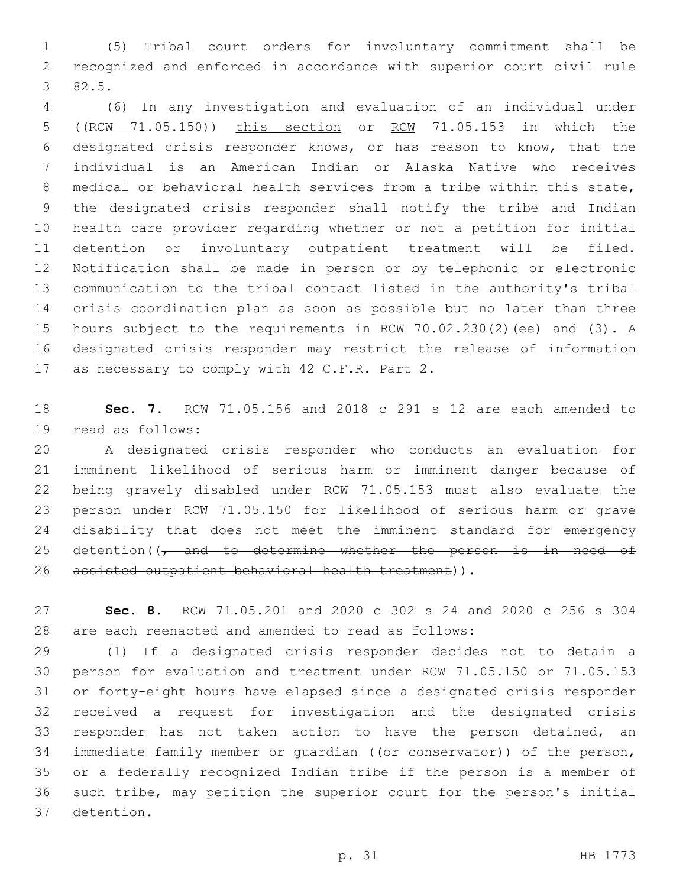(5) Tribal court orders for involuntary commitment shall be recognized and enforced in accordance with superior court civil rule 82.5.3

 (6) In any investigation and evaluation of an individual under ((RCW 71.05.150)) this section or RCW 71.05.153 in which the designated crisis responder knows, or has reason to know, that the individual is an American Indian or Alaska Native who receives medical or behavioral health services from a tribe within this state, the designated crisis responder shall notify the tribe and Indian health care provider regarding whether or not a petition for initial detention or involuntary outpatient treatment will be filed. Notification shall be made in person or by telephonic or electronic communication to the tribal contact listed in the authority's tribal crisis coordination plan as soon as possible but no later than three hours subject to the requirements in RCW 70.02.230(2)(ee) and (3). A designated crisis responder may restrict the release of information 17 as necessary to comply with 42 C.F.R. Part 2.

 **Sec. 7.** RCW 71.05.156 and 2018 c 291 s 12 are each amended to 19 read as follows:

 A designated crisis responder who conducts an evaluation for imminent likelihood of serious harm or imminent danger because of being gravely disabled under RCW 71.05.153 must also evaluate the person under RCW 71.05.150 for likelihood of serious harm or grave disability that does not meet the imminent standard for emergency 25 detention( $\sqrt{7}$  and to determine whether the person is in need of 26 assisted outpatient behavioral health treatment)).

 **Sec. 8.** RCW 71.05.201 and 2020 c 302 s 24 and 2020 c 256 s 304 are each reenacted and amended to read as follows:

 (1) If a designated crisis responder decides not to detain a person for evaluation and treatment under RCW 71.05.150 or 71.05.153 or forty-eight hours have elapsed since a designated crisis responder received a request for investigation and the designated crisis responder has not taken action to have the person detained, an 34 immediate family member or quardian ((or conservator)) of the person, or a federally recognized Indian tribe if the person is a member of such tribe, may petition the superior court for the person's initial 37 detention.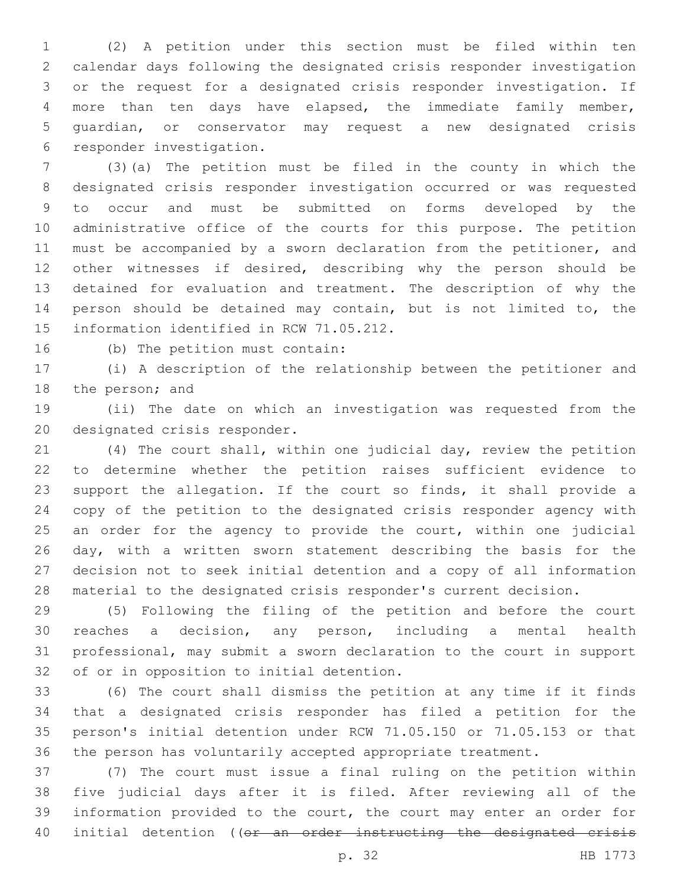(2) A petition under this section must be filed within ten calendar days following the designated crisis responder investigation or the request for a designated crisis responder investigation. If more than ten days have elapsed, the immediate family member, guardian, or conservator may request a new designated crisis 6 responder investigation.

 (3)(a) The petition must be filed in the county in which the designated crisis responder investigation occurred or was requested to occur and must be submitted on forms developed by the administrative office of the courts for this purpose. The petition must be accompanied by a sworn declaration from the petitioner, and other witnesses if desired, describing why the person should be detained for evaluation and treatment. The description of why the person should be detained may contain, but is not limited to, the 15 information identified in RCW 71.05.212.

16 (b) The petition must contain:

 (i) A description of the relationship between the petitioner and 18 the person; and

 (ii) The date on which an investigation was requested from the 20 designated crisis responder.

 (4) The court shall, within one judicial day, review the petition to determine whether the petition raises sufficient evidence to support the allegation. If the court so finds, it shall provide a copy of the petition to the designated crisis responder agency with 25 an order for the agency to provide the court, within one judicial day, with a written sworn statement describing the basis for the decision not to seek initial detention and a copy of all information material to the designated crisis responder's current decision.

 (5) Following the filing of the petition and before the court reaches a decision, any person, including a mental health professional, may submit a sworn declaration to the court in support 32 of or in opposition to initial detention.

 (6) The court shall dismiss the petition at any time if it finds that a designated crisis responder has filed a petition for the person's initial detention under RCW 71.05.150 or 71.05.153 or that the person has voluntarily accepted appropriate treatment.

 (7) The court must issue a final ruling on the petition within five judicial days after it is filed. After reviewing all of the information provided to the court, the court may enter an order for 40 initial detention ((or an order instructing the designated crisis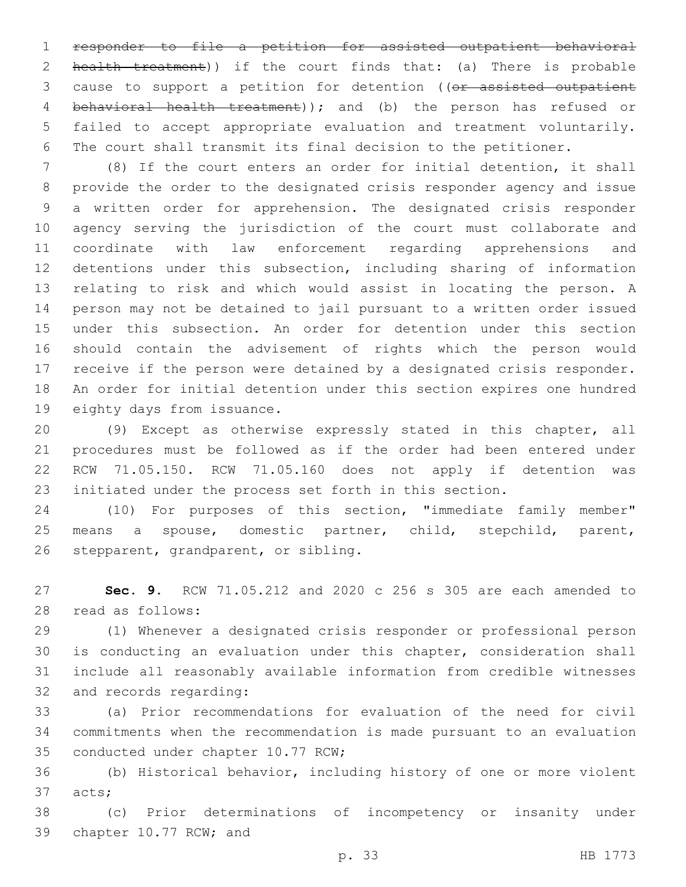responder to file a petition for assisted outpatient behavioral 2 health treatment)) if the court finds that: (a) There is probable 3 cause to support a petition for detention ((or assisted outpatient behavioral health treatment)); and (b) the person has refused or failed to accept appropriate evaluation and treatment voluntarily. The court shall transmit its final decision to the petitioner.

 (8) If the court enters an order for initial detention, it shall provide the order to the designated crisis responder agency and issue a written order for apprehension. The designated crisis responder agency serving the jurisdiction of the court must collaborate and coordinate with law enforcement regarding apprehensions and detentions under this subsection, including sharing of information relating to risk and which would assist in locating the person. A person may not be detained to jail pursuant to a written order issued under this subsection. An order for detention under this section should contain the advisement of rights which the person would receive if the person were detained by a designated crisis responder. An order for initial detention under this section expires one hundred 19 eighty days from issuance.

 (9) Except as otherwise expressly stated in this chapter, all procedures must be followed as if the order had been entered under RCW 71.05.150. RCW 71.05.160 does not apply if detention was initiated under the process set forth in this section.

 (10) For purposes of this section, "immediate family member" means a spouse, domestic partner, child, stepchild, parent, 26 stepparent, grandparent, or sibling.

 **Sec. 9.** RCW 71.05.212 and 2020 c 256 s 305 are each amended to 28 read as follows:

 (1) Whenever a designated crisis responder or professional person is conducting an evaluation under this chapter, consideration shall include all reasonably available information from credible witnesses 32 and records regarding:

 (a) Prior recommendations for evaluation of the need for civil commitments when the recommendation is made pursuant to an evaluation 35 conducted under chapter 10.77 RCW;

 (b) Historical behavior, including history of one or more violent 37 acts;

 (c) Prior determinations of incompetency or insanity under 39 chapter 10.77 RCW; and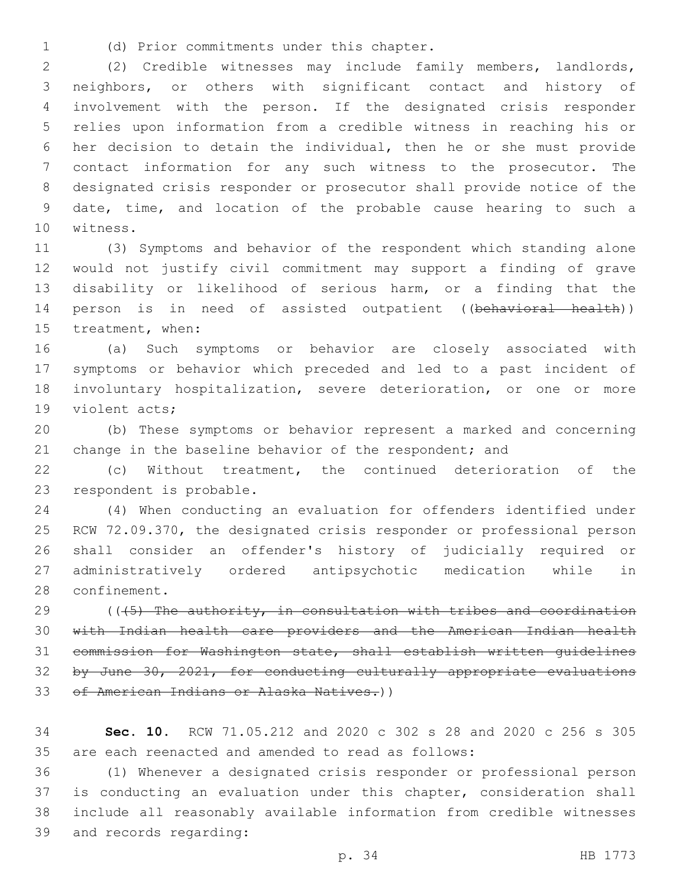(d) Prior commitments under this chapter.1

 (2) Credible witnesses may include family members, landlords, neighbors, or others with significant contact and history of involvement with the person. If the designated crisis responder relies upon information from a credible witness in reaching his or her decision to detain the individual, then he or she must provide contact information for any such witness to the prosecutor. The designated crisis responder or prosecutor shall provide notice of the date, time, and location of the probable cause hearing to such a 10 witness.

 (3) Symptoms and behavior of the respondent which standing alone would not justify civil commitment may support a finding of grave disability or likelihood of serious harm, or a finding that the 14 person is in need of assisted outpatient ((behavioral health)) 15 treatment, when:

 (a) Such symptoms or behavior are closely associated with symptoms or behavior which preceded and led to a past incident of involuntary hospitalization, severe deterioration, or one or more 19 violent acts;

 (b) These symptoms or behavior represent a marked and concerning 21 change in the baseline behavior of the respondent; and

 (c) Without treatment, the continued deterioration of the 23 respondent is probable.

 (4) When conducting an evaluation for offenders identified under RCW 72.09.370, the designated crisis responder or professional person shall consider an offender's history of judicially required or administratively ordered antipsychotic medication while in 28 confinement.

 $(1.5)$  The authority, in consultation with tribes and coordination with Indian health care providers and the American Indian health commission for Washington state, shall establish written guidelines by June 30, 2021, for conducting culturally appropriate evaluations 33 of American Indians or Alaska Natives.))

 **Sec. 10.** RCW 71.05.212 and 2020 c 302 s 28 and 2020 c 256 s 305 are each reenacted and amended to read as follows:

 (1) Whenever a designated crisis responder or professional person is conducting an evaluation under this chapter, consideration shall include all reasonably available information from credible witnesses 39 and records regarding: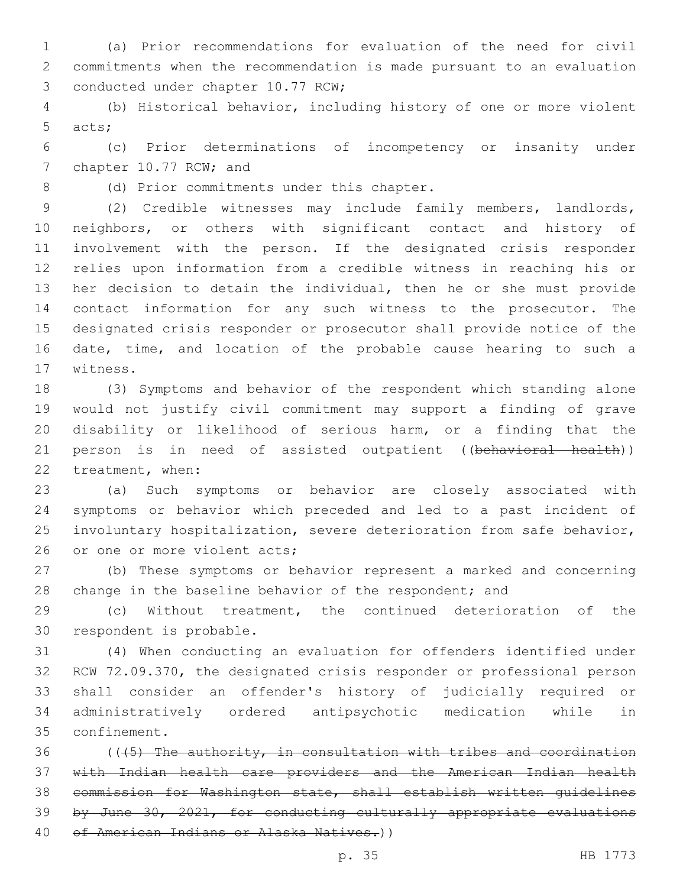(a) Prior recommendations for evaluation of the need for civil commitments when the recommendation is made pursuant to an evaluation 3 conducted under chapter 10.77 RCW;

 (b) Historical behavior, including history of one or more violent 5 acts;

 (c) Prior determinations of incompetency or insanity under 7 chapter 10.77 RCW; and

8 (d) Prior commitments under this chapter.

 (2) Credible witnesses may include family members, landlords, neighbors, or others with significant contact and history of involvement with the person. If the designated crisis responder relies upon information from a credible witness in reaching his or her decision to detain the individual, then he or she must provide contact information for any such witness to the prosecutor. The designated crisis responder or prosecutor shall provide notice of the date, time, and location of the probable cause hearing to such a 17 witness.

 (3) Symptoms and behavior of the respondent which standing alone would not justify civil commitment may support a finding of grave disability or likelihood of serious harm, or a finding that the 21 person is in need of assisted outpatient ((behavioral health)) 22 treatment, when:

 (a) Such symptoms or behavior are closely associated with symptoms or behavior which preceded and led to a past incident of involuntary hospitalization, severe deterioration from safe behavior, 26 or one or more violent acts;

 (b) These symptoms or behavior represent a marked and concerning 28 change in the baseline behavior of the respondent; and

 (c) Without treatment, the continued deterioration of the 30 respondent is probable.

 (4) When conducting an evaluation for offenders identified under RCW 72.09.370, the designated crisis responder or professional person shall consider an offender's history of judicially required or administratively ordered antipsychotic medication while in 35 confinement.

 (( $\sqrt{5}$ ) The authority, in consultation with tribes and coordination with Indian health care providers and the American Indian health commission for Washington state, shall establish written guidelines by June 30, 2021, for conducting culturally appropriate evaluations 40 of American Indians or Alaska Natives.))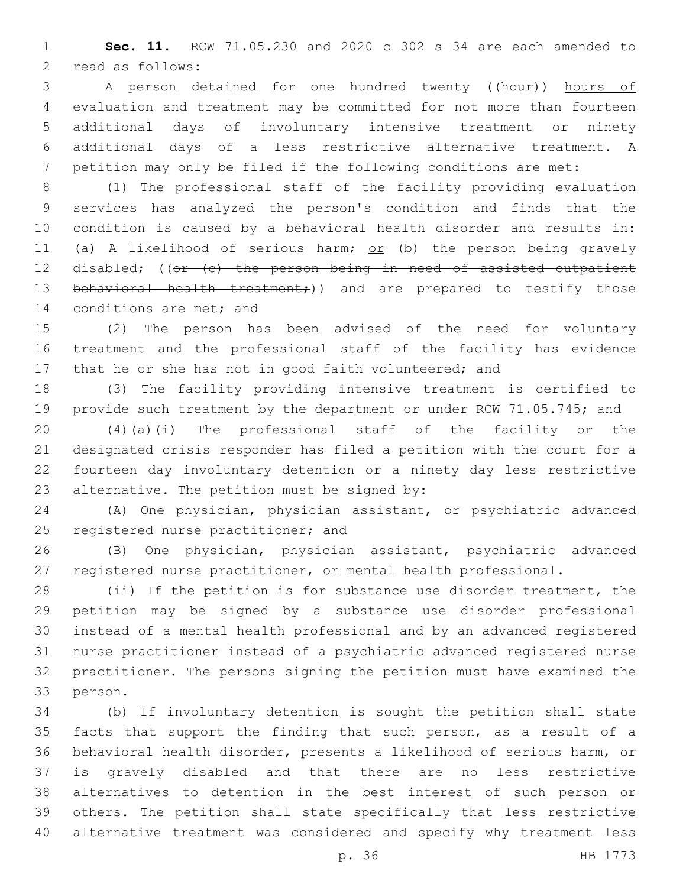**Sec. 11.** RCW 71.05.230 and 2020 c 302 s 34 are each amended to 2 read as follows:

3 A person detained for one hundred twenty ((hour)) hours of evaluation and treatment may be committed for not more than fourteen additional days of involuntary intensive treatment or ninety additional days of a less restrictive alternative treatment. A petition may only be filed if the following conditions are met:

 (1) The professional staff of the facility providing evaluation services has analyzed the person's condition and finds that the condition is caused by a behavioral health disorder and results in: 11 (a) A likelihood of serious harm; or (b) the person being gravely 12 disabled; ((or (c) the person being in need of assisted outpatient 13 behavioral health treatment;)) and are prepared to testify those 14 conditions are met; and

 (2) The person has been advised of the need for voluntary treatment and the professional staff of the facility has evidence 17 that he or she has not in good faith volunteered; and

 (3) The facility providing intensive treatment is certified to provide such treatment by the department or under RCW 71.05.745; and

 (4)(a)(i) The professional staff of the facility or the designated crisis responder has filed a petition with the court for a fourteen day involuntary detention or a ninety day less restrictive 23 alternative. The petition must be signed by:

 (A) One physician, physician assistant, or psychiatric advanced 25 registered nurse practitioner; and

 (B) One physician, physician assistant, psychiatric advanced registered nurse practitioner, or mental health professional.

 (ii) If the petition is for substance use disorder treatment, the petition may be signed by a substance use disorder professional instead of a mental health professional and by an advanced registered nurse practitioner instead of a psychiatric advanced registered nurse practitioner. The persons signing the petition must have examined the 33 person.

 (b) If involuntary detention is sought the petition shall state facts that support the finding that such person, as a result of a behavioral health disorder, presents a likelihood of serious harm, or is gravely disabled and that there are no less restrictive alternatives to detention in the best interest of such person or others. The petition shall state specifically that less restrictive alternative treatment was considered and specify why treatment less

p. 36 HB 1773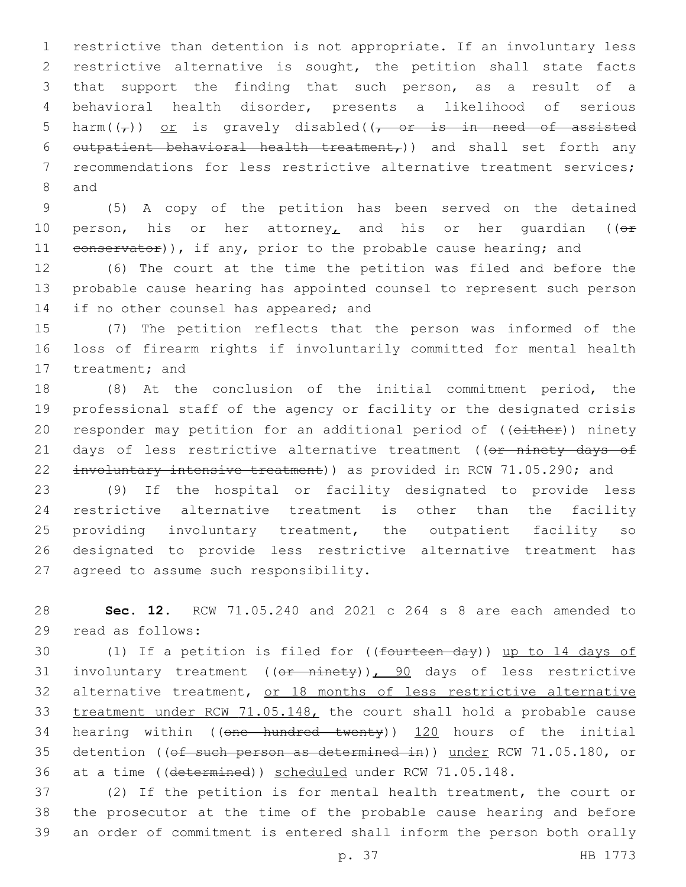restrictive than detention is not appropriate. If an involuntary less restrictive alternative is sought, the petition shall state facts that support the finding that such person, as a result of a behavioral health disorder, presents a likelihood of serious 5 harm( $(\tau)$ ) or is gravely disabled( $(\tau - \sigma r$  is in need of assisted 6 outpatient behavioral health treatment,)) and shall set forth any recommendations for less restrictive alternative treatment services; 8 and

9 (5) A copy of the petition has been served on the detained 10 person, his or her attorney, and his or her quardian (( $\theta$ r 11 eonservator)), if any, prior to the probable cause hearing; and

12 (6) The court at the time the petition was filed and before the 13 probable cause hearing has appointed counsel to represent such person 14 if no other counsel has appeared; and

15 (7) The petition reflects that the person was informed of the 16 loss of firearm rights if involuntarily committed for mental health 17 treatment; and

18 (8) At the conclusion of the initial commitment period, the 19 professional staff of the agency or facility or the designated crisis 20 responder may petition for an additional period of ((either)) ninety 21 days of less restrictive alternative treatment ((or ninety days of 22 involuntary intensive treatment)) as provided in RCW 71.05.290; and

23 (9) If the hospital or facility designated to provide less 24 restrictive alternative treatment is other than the facility 25 providing involuntary treatment, the outpatient facility so 26 designated to provide less restrictive alternative treatment has 27 agreed to assume such responsibility.

28 **Sec. 12.** RCW 71.05.240 and 2021 c 264 s 8 are each amended to 29 read as follows:

30 (1) If a petition is filed for ((<del>fourteen day</del>)) up to 14 days of 31 involuntary treatment  $((or$  ninety)), 90 days of less restrictive 32 alternative treatment, or 18 months of less restrictive alternative 33 treatment under RCW 71.05.148, the court shall hold a probable cause 34 hearing within ((one hundred twenty)) 120 hours of the initial 35 detention ((of such person as determined in)) under RCW 71.05.180, or 36 at a time ((determined)) scheduled under RCW 71.05.148.

37 (2) If the petition is for mental health treatment, the court or 38 the prosecutor at the time of the probable cause hearing and before 39 an order of commitment is entered shall inform the person both orally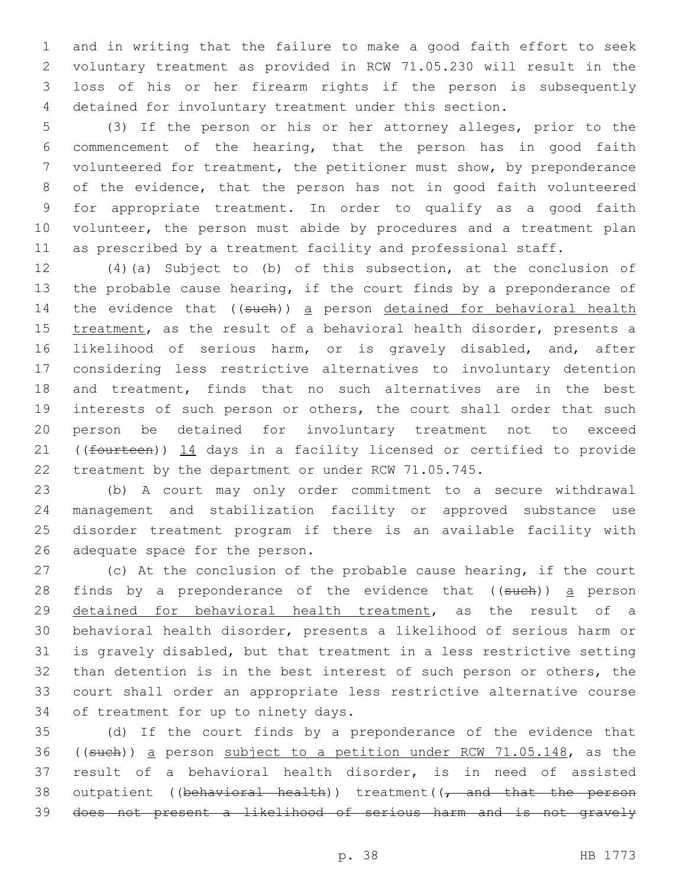and in writing that the failure to make a good faith effort to seek voluntary treatment as provided in RCW 71.05.230 will result in the loss of his or her firearm rights if the person is subsequently detained for involuntary treatment under this section.

 (3) If the person or his or her attorney alleges, prior to the commencement of the hearing, that the person has in good faith volunteered for treatment, the petitioner must show, by preponderance of the evidence, that the person has not in good faith volunteered for appropriate treatment. In order to qualify as a good faith 10 volunteer, the person must abide by procedures and a treatment plan as prescribed by a treatment facility and professional staff.

 (4)(a) Subject to (b) of this subsection, at the conclusion of the probable cause hearing, if the court finds by a preponderance of 14 the evidence that ((such)) a person detained for behavioral health 15 treatment, as the result of a behavioral health disorder, presents a likelihood of serious harm, or is gravely disabled, and, after considering less restrictive alternatives to involuntary detention and treatment, finds that no such alternatives are in the best interests of such person or others, the court shall order that such person be detained for involuntary treatment not to exceed 21 ((fourteen)) 14 days in a facility licensed or certified to provide treatment by the department or under RCW 71.05.745.

 (b) A court may only order commitment to a secure withdrawal management and stabilization facility or approved substance use disorder treatment program if there is an available facility with 26 adequate space for the person.

 (c) At the conclusion of the probable cause hearing, if the court 28 finds by a preponderance of the evidence that ((such)) a person detained for behavioral health treatment, as the result of a behavioral health disorder, presents a likelihood of serious harm or is gravely disabled, but that treatment in a less restrictive setting than detention is in the best interest of such person or others, the court shall order an appropriate less restrictive alternative course 34 of treatment for up to ninety days.

 (d) If the court finds by a preponderance of the evidence that ((such)) a person subject to a petition under RCW 71.05.148, as the result of a behavioral health disorder, is in need of assisted 38 outpatient ((behavioral health)) treatment((, and that the person does not present a likelihood of serious harm and is not gravely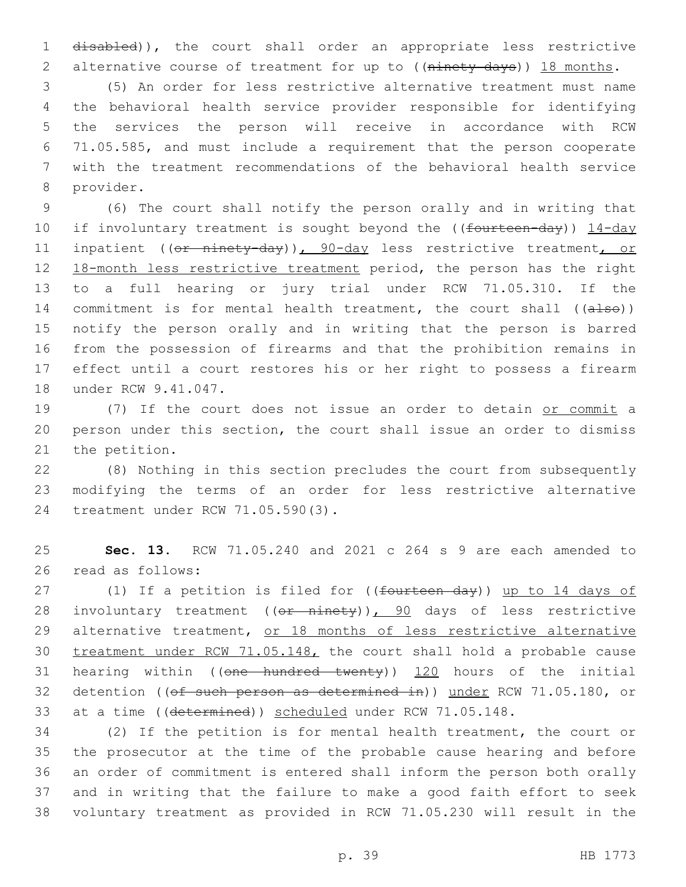disabled)), the court shall order an appropriate less restrictive 2 alternative course of treatment for up to ((ninety days)) 18 months.

 (5) An order for less restrictive alternative treatment must name the behavioral health service provider responsible for identifying the services the person will receive in accordance with RCW 71.05.585, and must include a requirement that the person cooperate with the treatment recommendations of the behavioral health service 8 provider.

 (6) The court shall notify the person orally and in writing that 10 if involuntary treatment is sought beyond the ((fourteen-day)) 14-day 11 inpatient ((or ninety-day)), 90-day less restrictive treatment, or 18-month less restrictive treatment period, the person has the right to a full hearing or jury trial under RCW 71.05.310. If the 14 commitment is for mental health treatment, the court shall ((also)) notify the person orally and in writing that the person is barred from the possession of firearms and that the prohibition remains in effect until a court restores his or her right to possess a firearm 18 under RCW 9.41.047.

 (7) If the court does not issue an order to detain or commit a person under this section, the court shall issue an order to dismiss 21 the petition.

 (8) Nothing in this section precludes the court from subsequently modifying the terms of an order for less restrictive alternative 24 treatment under RCW 71.05.590(3).

 **Sec. 13.** RCW 71.05.240 and 2021 c 264 s 9 are each amended to 26 read as follows:

27 (1) If a petition is filed for ((fourteen day)) up to 14 days of 28 involuntary treatment ((or ninety)), 90 days of less restrictive 29 alternative treatment, or 18 months of less restrictive alternative treatment under RCW 71.05.148, the court shall hold a probable cause 31 hearing within ((one hundred twenty)) 120 hours of the initial 32 detention ((of such person as determined in)) under RCW 71.05.180, or at a time ((determined)) scheduled under RCW 71.05.148.

 (2) If the petition is for mental health treatment, the court or the prosecutor at the time of the probable cause hearing and before an order of commitment is entered shall inform the person both orally and in writing that the failure to make a good faith effort to seek voluntary treatment as provided in RCW 71.05.230 will result in the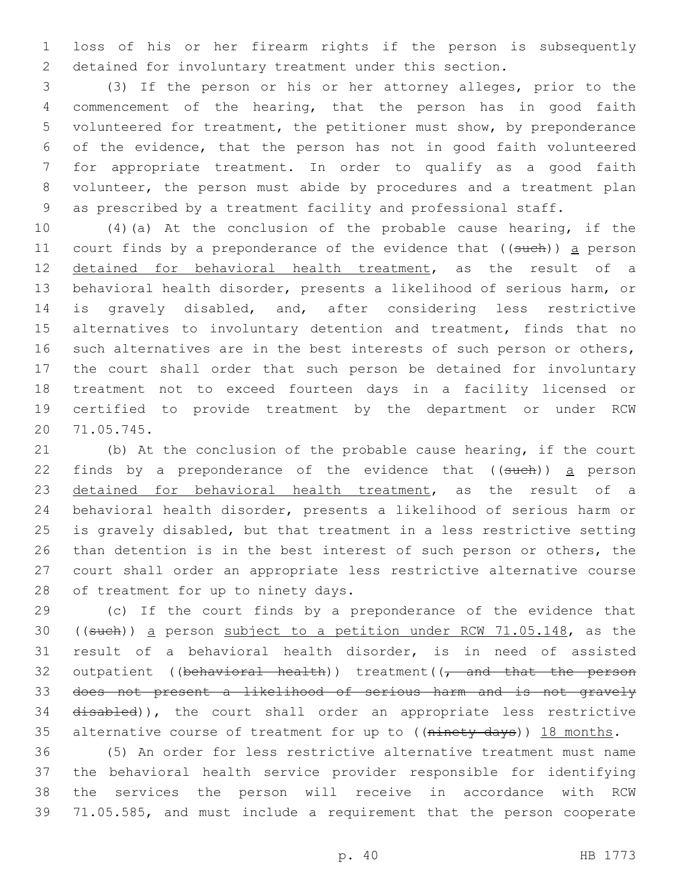loss of his or her firearm rights if the person is subsequently detained for involuntary treatment under this section.

 (3) If the person or his or her attorney alleges, prior to the commencement of the hearing, that the person has in good faith volunteered for treatment, the petitioner must show, by preponderance of the evidence, that the person has not in good faith volunteered for appropriate treatment. In order to qualify as a good faith volunteer, the person must abide by procedures and a treatment plan as prescribed by a treatment facility and professional staff.

 (4)(a) At the conclusion of the probable cause hearing, if the 11 court finds by a preponderance of the evidence that ((such)) a person detained for behavioral health treatment, as the result of a behavioral health disorder, presents a likelihood of serious harm, or is gravely disabled, and, after considering less restrictive alternatives to involuntary detention and treatment, finds that no 16 such alternatives are in the best interests of such person or others, the court shall order that such person be detained for involuntary treatment not to exceed fourteen days in a facility licensed or certified to provide treatment by the department or under RCW 71.05.745.20

 (b) At the conclusion of the probable cause hearing, if the court 22 finds by a preponderance of the evidence that  $($  (such)) a person detained for behavioral health treatment, as the result of a behavioral health disorder, presents a likelihood of serious harm or is gravely disabled, but that treatment in a less restrictive setting than detention is in the best interest of such person or others, the court shall order an appropriate less restrictive alternative course 28 of treatment for up to ninety days.

 (c) If the court finds by a preponderance of the evidence that ((such)) a person subject to a petition under RCW 71.05.148, as the result of a behavioral health disorder, is in need of assisted 32 outpatient ((behavioral health)) treatment( $\sqrt{\tau}$  and that the person does not present a likelihood of serious harm and is not gravely 34 disabled)), the court shall order an appropriate less restrictive 35 alternative course of treatment for up to ((ninety days)) 18 months.

 (5) An order for less restrictive alternative treatment must name the behavioral health service provider responsible for identifying the services the person will receive in accordance with RCW 71.05.585, and must include a requirement that the person cooperate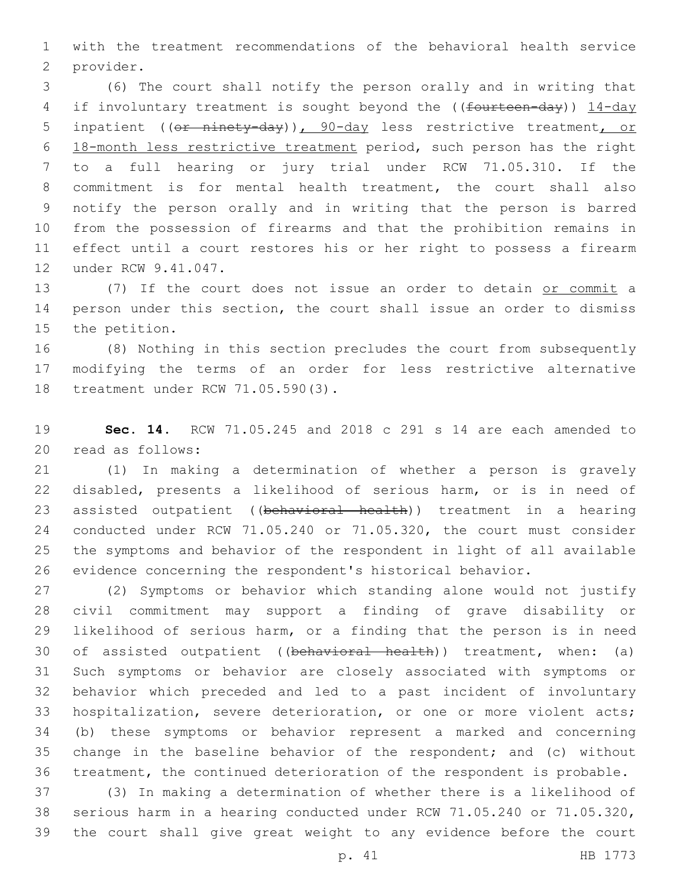with the treatment recommendations of the behavioral health service 2 provider.

 (6) The court shall notify the person orally and in writing that 4 if involuntary treatment is sought beyond the ((fourteen-day)) 14-day 5 inpatient ((or ninety-day)), 90-day less restrictive treatment, or 18-month less restrictive treatment period, such person has the right to a full hearing or jury trial under RCW 71.05.310. If the commitment is for mental health treatment, the court shall also notify the person orally and in writing that the person is barred from the possession of firearms and that the prohibition remains in effect until a court restores his or her right to possess a firearm 12 under RCW 9.41.047.

 (7) If the court does not issue an order to detain or commit a person under this section, the court shall issue an order to dismiss 15 the petition.

 (8) Nothing in this section precludes the court from subsequently modifying the terms of an order for less restrictive alternative 18 treatment under RCW 71.05.590(3).

 **Sec. 14.** RCW 71.05.245 and 2018 c 291 s 14 are each amended to 20 read as follows:

 (1) In making a determination of whether a person is gravely disabled, presents a likelihood of serious harm, or is in need of 23 assisted outpatient ((behavioral health)) treatment in a hearing conducted under RCW 71.05.240 or 71.05.320, the court must consider the symptoms and behavior of the respondent in light of all available evidence concerning the respondent's historical behavior.

 (2) Symptoms or behavior which standing alone would not justify civil commitment may support a finding of grave disability or likelihood of serious harm, or a finding that the person is in need 30 of assisted outpatient ((behavioral health)) treatment, when: (a) Such symptoms or behavior are closely associated with symptoms or behavior which preceded and led to a past incident of involuntary hospitalization, severe deterioration, or one or more violent acts; (b) these symptoms or behavior represent a marked and concerning change in the baseline behavior of the respondent; and (c) without treatment, the continued deterioration of the respondent is probable.

 (3) In making a determination of whether there is a likelihood of serious harm in a hearing conducted under RCW 71.05.240 or 71.05.320, the court shall give great weight to any evidence before the court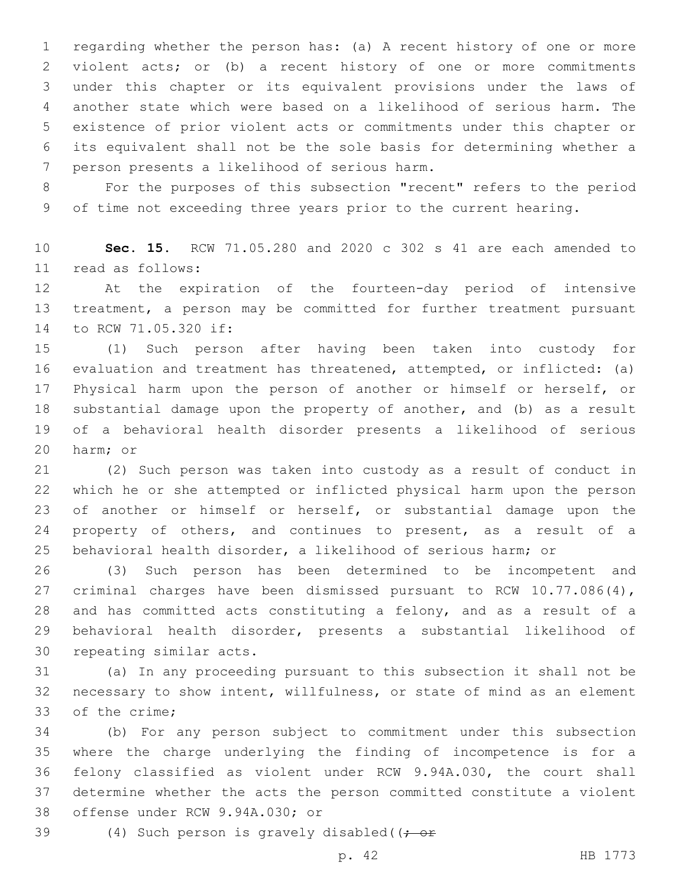regarding whether the person has: (a) A recent history of one or more violent acts; or (b) a recent history of one or more commitments under this chapter or its equivalent provisions under the laws of another state which were based on a likelihood of serious harm. The existence of prior violent acts or commitments under this chapter or its equivalent shall not be the sole basis for determining whether a 7 person presents a likelihood of serious harm.

 For the purposes of this subsection "recent" refers to the period of time not exceeding three years prior to the current hearing.

 **Sec. 15.** RCW 71.05.280 and 2020 c 302 s 41 are each amended to read as follows:11

 At the expiration of the fourteen-day period of intensive treatment, a person may be committed for further treatment pursuant 14 to RCW 71.05.320 if:

 (1) Such person after having been taken into custody for evaluation and treatment has threatened, attempted, or inflicted: (a) Physical harm upon the person of another or himself or herself, or substantial damage upon the property of another, and (b) as a result of a behavioral health disorder presents a likelihood of serious 20 harm; or

 (2) Such person was taken into custody as a result of conduct in which he or she attempted or inflicted physical harm upon the person 23 of another or himself or herself, or substantial damage upon the property of others, and continues to present, as a result of a behavioral health disorder, a likelihood of serious harm; or

 (3) Such person has been determined to be incompetent and criminal charges have been dismissed pursuant to RCW 10.77.086(4), and has committed acts constituting a felony, and as a result of a behavioral health disorder, presents a substantial likelihood of 30 repeating similar acts.

 (a) In any proceeding pursuant to this subsection it shall not be necessary to show intent, willfulness, or state of mind as an element 33 of the crime;

 (b) For any person subject to commitment under this subsection where the charge underlying the finding of incompetence is for a felony classified as violent under RCW 9.94A.030, the court shall determine whether the acts the person committed constitute a violent 38 offense under RCW 9.94A.030; or

39 (4) Such person is gravely disabled((; or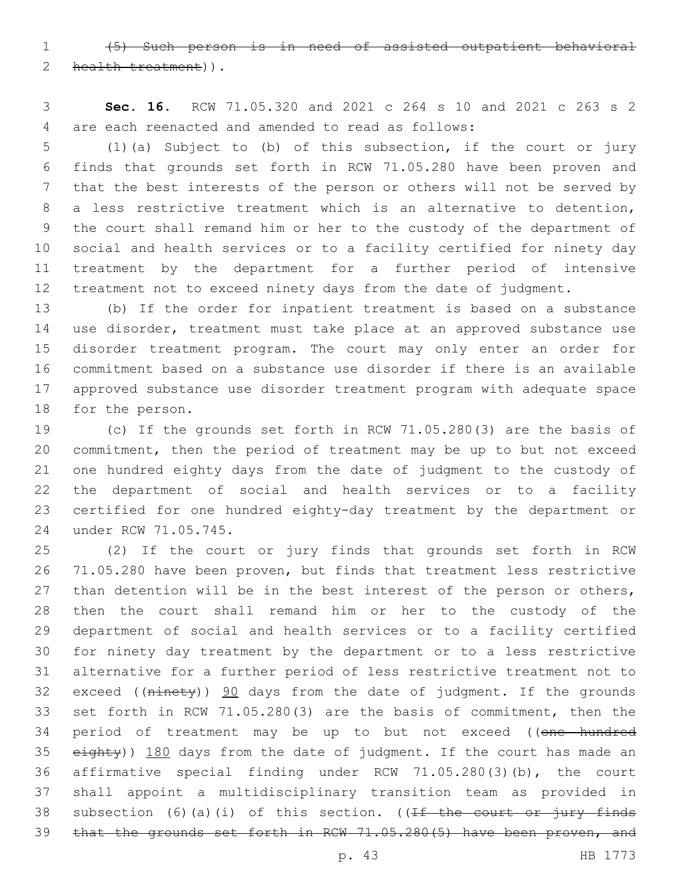(5) Such person is in need of assisted outpatient behavioral 2 health treatment)).

 **Sec. 16.** RCW 71.05.320 and 2021 c 264 s 10 and 2021 c 263 s 2 are each reenacted and amended to read as follows:4

 (1)(a) Subject to (b) of this subsection, if the court or jury finds that grounds set forth in RCW 71.05.280 have been proven and that the best interests of the person or others will not be served by a less restrictive treatment which is an alternative to detention, the court shall remand him or her to the custody of the department of social and health services or to a facility certified for ninety day treatment by the department for a further period of intensive treatment not to exceed ninety days from the date of judgment.

 (b) If the order for inpatient treatment is based on a substance use disorder, treatment must take place at an approved substance use disorder treatment program. The court may only enter an order for commitment based on a substance use disorder if there is an available approved substance use disorder treatment program with adequate space 18 for the person.

 (c) If the grounds set forth in RCW 71.05.280(3) are the basis of commitment, then the period of treatment may be up to but not exceed one hundred eighty days from the date of judgment to the custody of the department of social and health services or to a facility certified for one hundred eighty-day treatment by the department or 24 under RCW 71.05.745.

 (2) If the court or jury finds that grounds set forth in RCW 71.05.280 have been proven, but finds that treatment less restrictive 27 than detention will be in the best interest of the person or others, then the court shall remand him or her to the custody of the department of social and health services or to a facility certified for ninety day treatment by the department or to a less restrictive alternative for a further period of less restrictive treatment not to 32 exceed ((ninety)) 90 days from the date of judgment. If the grounds set forth in RCW 71.05.280(3) are the basis of commitment, then the 34 period of treatment may be up to but not exceed ((one hundred 35 eighty)) 180 days from the date of judgment. If the court has made an affirmative special finding under RCW 71.05.280(3)(b), the court shall appoint a multidisciplinary transition team as provided in 38 subsection (6)(a)(i) of this section. ( $f f$  the court or jury finds that the grounds set forth in RCW 71.05.280(5) have been proven, and

p. 43 HB 1773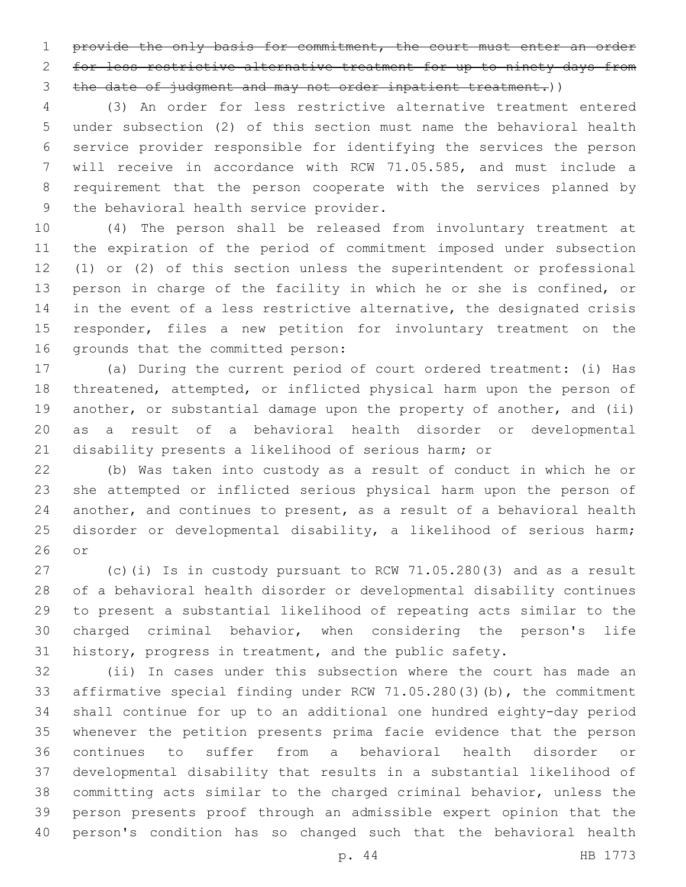1 provide the only basis for commitment, the court must enter an order for less restrictive alternative treatment for up to ninety days from the date of judgment and may not order inpatient treatment.))

 (3) An order for less restrictive alternative treatment entered under subsection (2) of this section must name the behavioral health service provider responsible for identifying the services the person will receive in accordance with RCW 71.05.585, and must include a requirement that the person cooperate with the services planned by 9 the behavioral health service provider.

 (4) The person shall be released from involuntary treatment at the expiration of the period of commitment imposed under subsection (1) or (2) of this section unless the superintendent or professional person in charge of the facility in which he or she is confined, or 14 in the event of a less restrictive alternative, the designated crisis responder, files a new petition for involuntary treatment on the 16 grounds that the committed person:

 (a) During the current period of court ordered treatment: (i) Has threatened, attempted, or inflicted physical harm upon the person of 19 another, or substantial damage upon the property of another, and (ii) as a result of a behavioral health disorder or developmental disability presents a likelihood of serious harm; or

 (b) Was taken into custody as a result of conduct in which he or she attempted or inflicted serious physical harm upon the person of another, and continues to present, as a result of a behavioral health disorder or developmental disability, a likelihood of serious harm; or

 (c)(i) Is in custody pursuant to RCW 71.05.280(3) and as a result of a behavioral health disorder or developmental disability continues to present a substantial likelihood of repeating acts similar to the charged criminal behavior, when considering the person's life history, progress in treatment, and the public safety.

 (ii) In cases under this subsection where the court has made an affirmative special finding under RCW 71.05.280(3)(b), the commitment shall continue for up to an additional one hundred eighty-day period whenever the petition presents prima facie evidence that the person continues to suffer from a behavioral health disorder or developmental disability that results in a substantial likelihood of committing acts similar to the charged criminal behavior, unless the person presents proof through an admissible expert opinion that the person's condition has so changed such that the behavioral health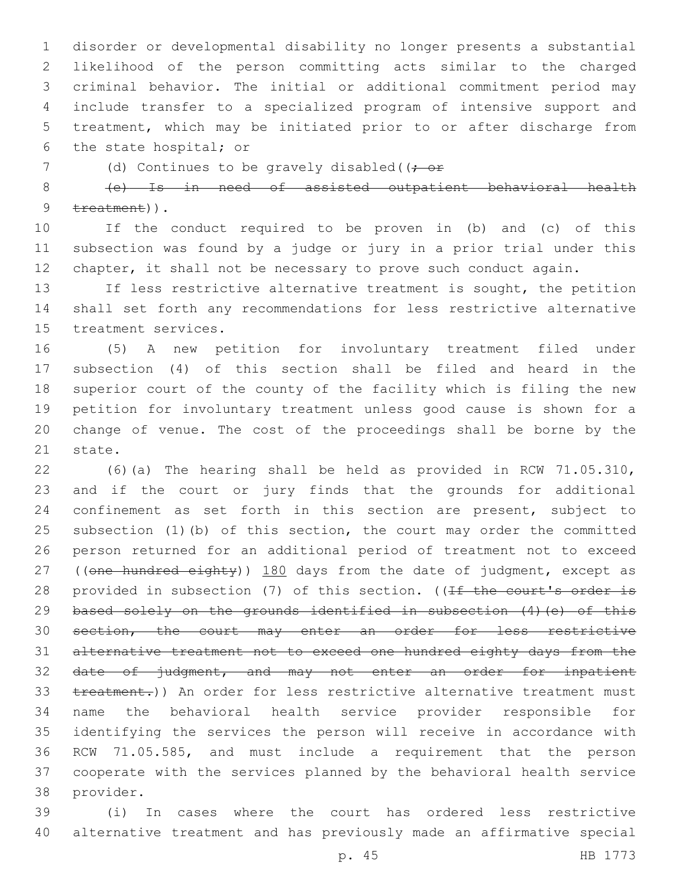disorder or developmental disability no longer presents a substantial likelihood of the person committing acts similar to the charged criminal behavior. The initial or additional commitment period may include transfer to a specialized program of intensive support and treatment, which may be initiated prior to or after discharge from 6 the state hospital; or

7 (d) Continues to be gravely disabled((; or

 (e) Is in need of assisted outpatient behavioral health  $treatment)$ ).

 If the conduct required to be proven in (b) and (c) of this subsection was found by a judge or jury in a prior trial under this chapter, it shall not be necessary to prove such conduct again.

13 If less restrictive alternative treatment is sought, the petition shall set forth any recommendations for less restrictive alternative 15 treatment services.

 (5) A new petition for involuntary treatment filed under subsection (4) of this section shall be filed and heard in the superior court of the county of the facility which is filing the new petition for involuntary treatment unless good cause is shown for a change of venue. The cost of the proceedings shall be borne by the 21 state.

 (6)(a) The hearing shall be held as provided in RCW 71.05.310, and if the court or jury finds that the grounds for additional confinement as set forth in this section are present, subject to subsection (1)(b) of this section, the court may order the committed person returned for an additional period of treatment not to exceed 27 ((one hundred eighty)) 180 days from the date of judgment, except as 28 provided in subsection (7) of this section. ((If the court's order is 29 based solely on the grounds identified in subsection (4) (e) of this section, the court may enter an order for less restrictive alternative treatment not to exceed one hundred eighty days from the date of judgment, and may not enter an order for inpatient 33 treatment.)) An order for less restrictive alternative treatment must name the behavioral health service provider responsible for identifying the services the person will receive in accordance with RCW 71.05.585, and must include a requirement that the person cooperate with the services planned by the behavioral health service 38 provider.

 (i) In cases where the court has ordered less restrictive alternative treatment and has previously made an affirmative special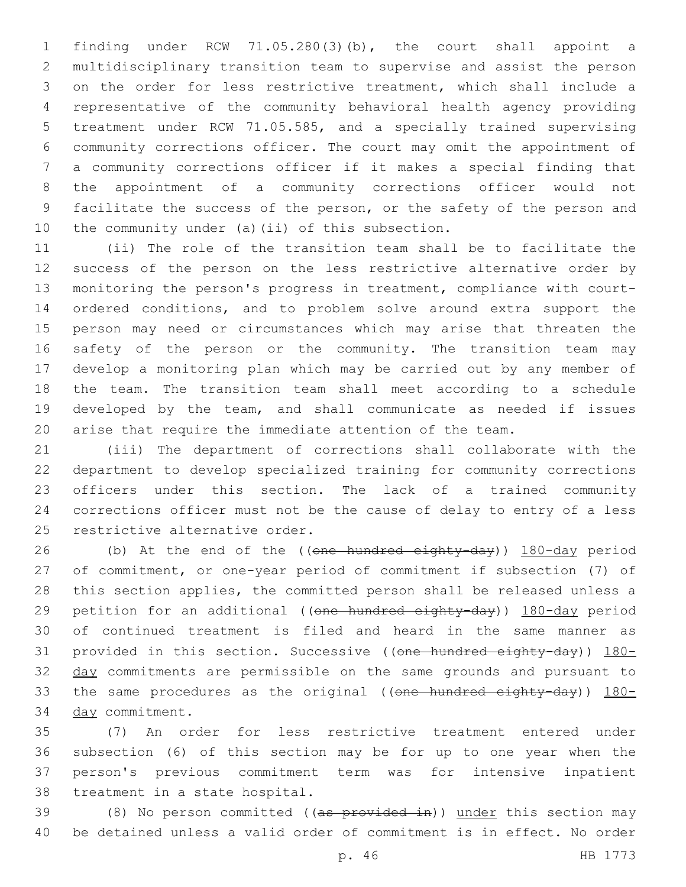finding under RCW 71.05.280(3)(b), the court shall appoint a multidisciplinary transition team to supervise and assist the person on the order for less restrictive treatment, which shall include a representative of the community behavioral health agency providing treatment under RCW 71.05.585, and a specially trained supervising community corrections officer. The court may omit the appointment of a community corrections officer if it makes a special finding that the appointment of a community corrections officer would not facilitate the success of the person, or the safety of the person and 10 the community under (a)(ii) of this subsection.

 (ii) The role of the transition team shall be to facilitate the success of the person on the less restrictive alternative order by monitoring the person's progress in treatment, compliance with court- ordered conditions, and to problem solve around extra support the person may need or circumstances which may arise that threaten the safety of the person or the community. The transition team may develop a monitoring plan which may be carried out by any member of the team. The transition team shall meet according to a schedule developed by the team, and shall communicate as needed if issues arise that require the immediate attention of the team.

 (iii) The department of corrections shall collaborate with the department to develop specialized training for community corrections officers under this section. The lack of a trained community corrections officer must not be the cause of delay to entry of a less 25 restrictive alternative order.

26 (b) At the end of the ((one hundred eighty-day)) 180-day period of commitment, or one-year period of commitment if subsection (7) of this section applies, the committed person shall be released unless a 29 petition for an additional ((one hundred eighty-day)) 180-day period of continued treatment is filed and heard in the same manner as 31 provided in this section. Successive ((one hundred eighty-day)) 180-32 day commitments are permissible on the same grounds and pursuant to 33 the same procedures as the original ((one hundred eighty-day)) 180-34 day commitment.

 (7) An order for less restrictive treatment entered under subsection (6) of this section may be for up to one year when the person's previous commitment term was for intensive inpatient 38 treatment in a state hospital.

39 (8) No person committed ((as provided in)) under this section may be detained unless a valid order of commitment is in effect. No order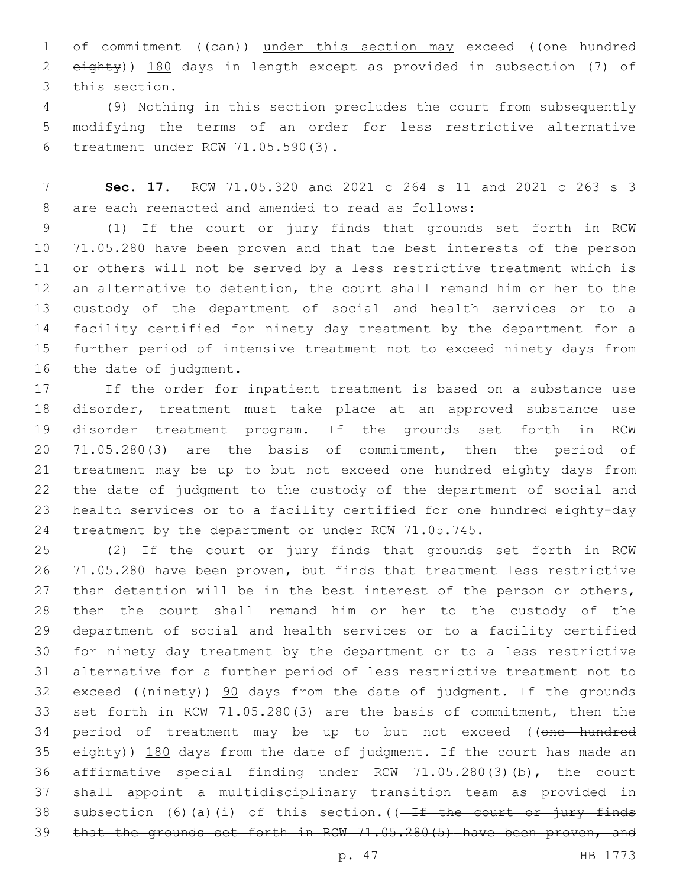1 of commitment ((ean)) under this section may exceed ((one hundred eighty)) 180 days in length except as provided in subsection (7) of 3 this section.

 (9) Nothing in this section precludes the court from subsequently modifying the terms of an order for less restrictive alternative treatment under RCW 71.05.590(3).6

 **Sec. 17.** RCW 71.05.320 and 2021 c 264 s 11 and 2021 c 263 s 3 8 are each reenacted and amended to read as follows:

 (1) If the court or jury finds that grounds set forth in RCW 71.05.280 have been proven and that the best interests of the person or others will not be served by a less restrictive treatment which is an alternative to detention, the court shall remand him or her to the custody of the department of social and health services or to a facility certified for ninety day treatment by the department for a further period of intensive treatment not to exceed ninety days from 16 the date of judgment.

 If the order for inpatient treatment is based on a substance use disorder, treatment must take place at an approved substance use disorder treatment program. If the grounds set forth in RCW 71.05.280(3) are the basis of commitment, then the period of treatment may be up to but not exceed one hundred eighty days from the date of judgment to the custody of the department of social and health services or to a facility certified for one hundred eighty-day treatment by the department or under RCW 71.05.745.

 (2) If the court or jury finds that grounds set forth in RCW 71.05.280 have been proven, but finds that treatment less restrictive 27 than detention will be in the best interest of the person or others, then the court shall remand him or her to the custody of the department of social and health services or to a facility certified for ninety day treatment by the department or to a less restrictive alternative for a further period of less restrictive treatment not to 32 exceed  $((\text{ni} + \text{not} + \text{ni}) \leq 90)$  days from the date of judgment. If the grounds set forth in RCW 71.05.280(3) are the basis of commitment, then the 34 period of treatment may be up to but not exceed ((one hundred 35 eighty)) 180 days from the date of judgment. If the court has made an affirmative special finding under RCW 71.05.280(3)(b), the court shall appoint a multidisciplinary transition team as provided in 38 subsection (6)(a)(i) of this section.  $(-If$  the court or jury finds that the grounds set forth in RCW 71.05.280(5) have been proven, and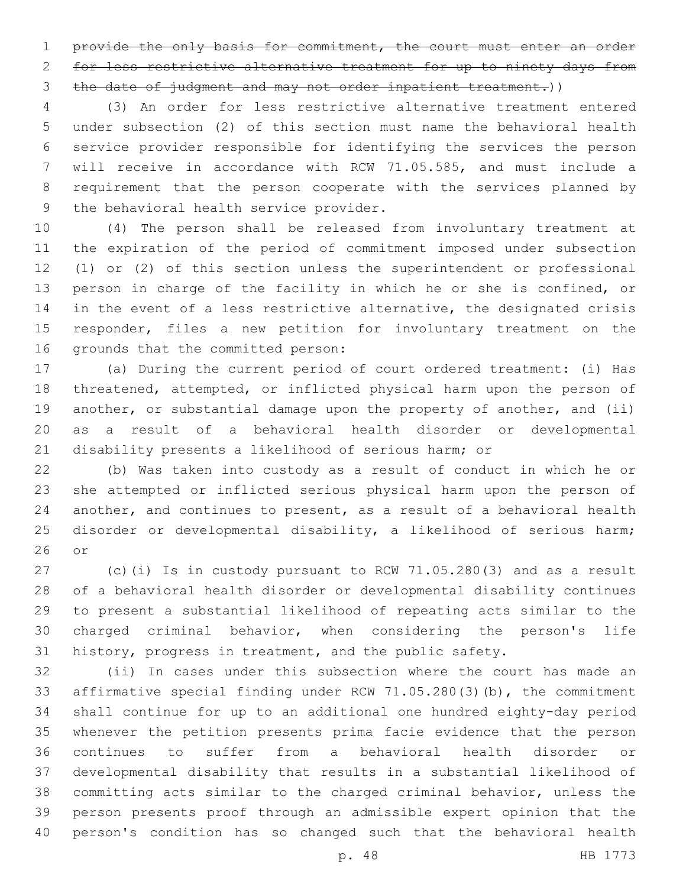1 provide the only basis for commitment, the court must enter an order for less restrictive alternative treatment for up to ninety days from the date of judgment and may not order inpatient treatment.))

 (3) An order for less restrictive alternative treatment entered under subsection (2) of this section must name the behavioral health service provider responsible for identifying the services the person will receive in accordance with RCW 71.05.585, and must include a requirement that the person cooperate with the services planned by 9 the behavioral health service provider.

 (4) The person shall be released from involuntary treatment at the expiration of the period of commitment imposed under subsection (1) or (2) of this section unless the superintendent or professional person in charge of the facility in which he or she is confined, or 14 in the event of a less restrictive alternative, the designated crisis responder, files a new petition for involuntary treatment on the 16 grounds that the committed person:

 (a) During the current period of court ordered treatment: (i) Has threatened, attempted, or inflicted physical harm upon the person of 19 another, or substantial damage upon the property of another, and (ii) as a result of a behavioral health disorder or developmental disability presents a likelihood of serious harm; or

 (b) Was taken into custody as a result of conduct in which he or she attempted or inflicted serious physical harm upon the person of another, and continues to present, as a result of a behavioral health disorder or developmental disability, a likelihood of serious harm; or

 (c)(i) Is in custody pursuant to RCW 71.05.280(3) and as a result of a behavioral health disorder or developmental disability continues to present a substantial likelihood of repeating acts similar to the charged criminal behavior, when considering the person's life history, progress in treatment, and the public safety.

 (ii) In cases under this subsection where the court has made an affirmative special finding under RCW 71.05.280(3)(b), the commitment shall continue for up to an additional one hundred eighty-day period whenever the petition presents prima facie evidence that the person continues to suffer from a behavioral health disorder or developmental disability that results in a substantial likelihood of committing acts similar to the charged criminal behavior, unless the person presents proof through an admissible expert opinion that the person's condition has so changed such that the behavioral health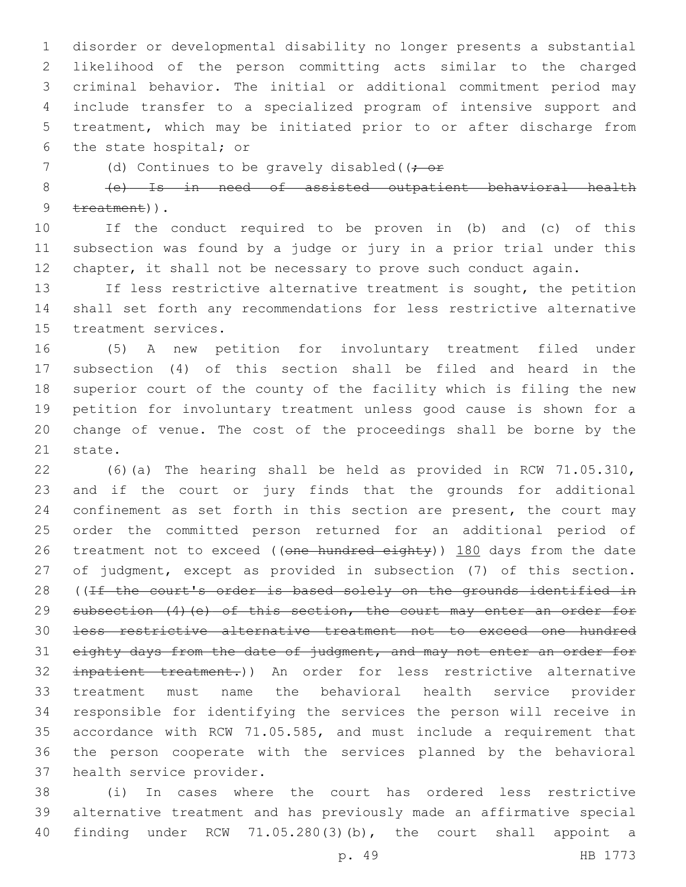disorder or developmental disability no longer presents a substantial likelihood of the person committing acts similar to the charged criminal behavior. The initial or additional commitment period may include transfer to a specialized program of intensive support and treatment, which may be initiated prior to or after discharge from 6 the state hospital; or

7 (d) Continues to be gravely disabled((; or

 (e) Is in need of assisted outpatient behavioral health  $treatment)$ ).

 If the conduct required to be proven in (b) and (c) of this subsection was found by a judge or jury in a prior trial under this chapter, it shall not be necessary to prove such conduct again.

13 If less restrictive alternative treatment is sought, the petition shall set forth any recommendations for less restrictive alternative 15 treatment services.

 (5) A new petition for involuntary treatment filed under subsection (4) of this section shall be filed and heard in the superior court of the county of the facility which is filing the new petition for involuntary treatment unless good cause is shown for a change of venue. The cost of the proceedings shall be borne by the 21 state.

 (6)(a) The hearing shall be held as provided in RCW 71.05.310, and if the court or jury finds that the grounds for additional confinement as set forth in this section are present, the court may order the committed person returned for an additional period of 26 treatment not to exceed ((one hundred eighty)) 180 days from the date of judgment, except as provided in subsection (7) of this section. 28 ((If the court's order is based solely on the grounds identified in 29 subsection (4) (e) of this section, the court may enter an order for less restrictive alternative treatment not to exceed one hundred 31 eighty days from the date of judgment, and may not enter an order for inpatient treatment.)) An order for less restrictive alternative treatment must name the behavioral health service provider responsible for identifying the services the person will receive in accordance with RCW 71.05.585, and must include a requirement that the person cooperate with the services planned by the behavioral 37 health service provider.

 (i) In cases where the court has ordered less restrictive alternative treatment and has previously made an affirmative special finding under RCW 71.05.280(3)(b), the court shall appoint a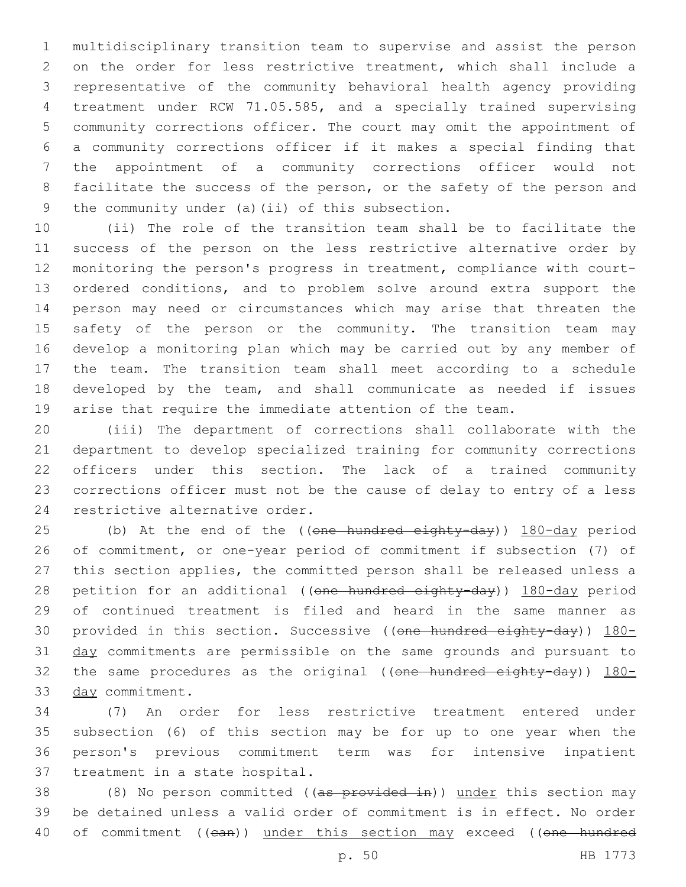multidisciplinary transition team to supervise and assist the person on the order for less restrictive treatment, which shall include a representative of the community behavioral health agency providing treatment under RCW 71.05.585, and a specially trained supervising community corrections officer. The court may omit the appointment of a community corrections officer if it makes a special finding that the appointment of a community corrections officer would not 8 facilitate the success of the person, or the safety of the person and 9 the community under (a)(ii) of this subsection.

 (ii) The role of the transition team shall be to facilitate the success of the person on the less restrictive alternative order by monitoring the person's progress in treatment, compliance with court- ordered conditions, and to problem solve around extra support the person may need or circumstances which may arise that threaten the safety of the person or the community. The transition team may develop a monitoring plan which may be carried out by any member of the team. The transition team shall meet according to a schedule developed by the team, and shall communicate as needed if issues arise that require the immediate attention of the team.

 (iii) The department of corrections shall collaborate with the department to develop specialized training for community corrections officers under this section. The lack of a trained community corrections officer must not be the cause of delay to entry of a less 24 restrictive alternative order.

25 (b) At the end of the ((one hundred eighty-day)) 180-day period of commitment, or one-year period of commitment if subsection (7) of this section applies, the committed person shall be released unless a 28 petition for an additional ((one hundred eighty-day)) 180-day period of continued treatment is filed and heard in the same manner as 30 provided in this section. Successive ((one hundred eighty-day)) 180-31 day commitments are permissible on the same grounds and pursuant to 32 the same procedures as the original (( $one$  hundred eighty-day))  $180-$ 33 day commitment.

 (7) An order for less restrictive treatment entered under subsection (6) of this section may be for up to one year when the person's previous commitment term was for intensive inpatient 37 treatment in a state hospital.

38 (8) No person committed ((as provided in)) under this section may be detained unless a valid order of commitment is in effect. No order 40 of commitment ((ean)) under this section may exceed ((one hundred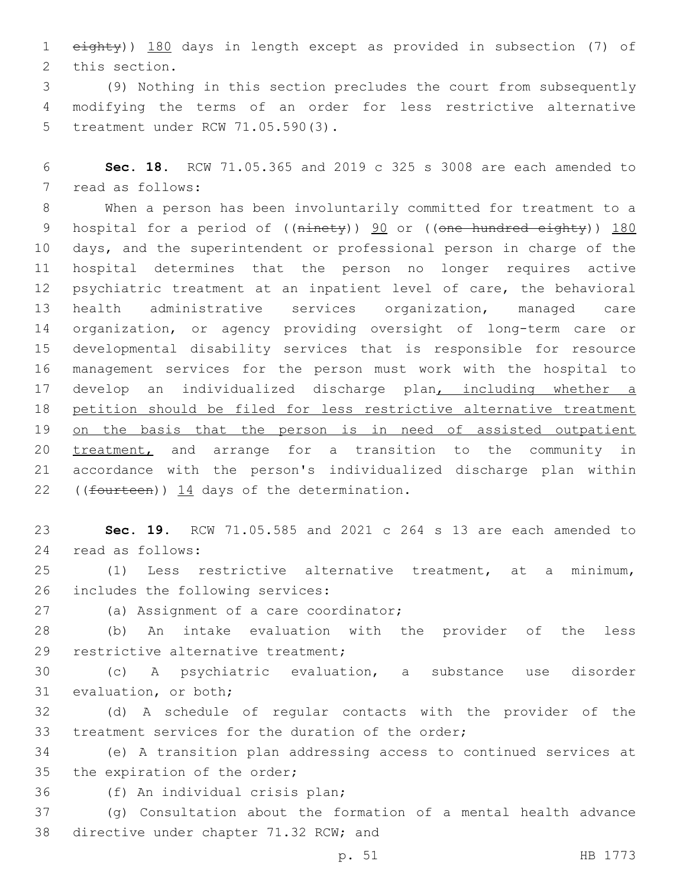1 eighty)) 180 days in length except as provided in subsection (7) of 2 this section.

3 (9) Nothing in this section precludes the court from subsequently 4 modifying the terms of an order for less restrictive alternative 5 treatment under RCW 71.05.590(3).

6 **Sec. 18.** RCW 71.05.365 and 2019 c 325 s 3008 are each amended to 7 read as follows:

 When a person has been involuntarily committed for treatment to a 9 hospital for a period of ((ninety)) 90 or ((one hundred eighty)) 180 days, and the superintendent or professional person in charge of the hospital determines that the person no longer requires active psychiatric treatment at an inpatient level of care, the behavioral health administrative services organization, managed care organization, or agency providing oversight of long-term care or developmental disability services that is responsible for resource management services for the person must work with the hospital to develop an individualized discharge plan, including whether a petition should be filed for less restrictive alternative treatment 19 on the basis that the person is in need of assisted outpatient 20 treatment, and arrange for a transition to the community in accordance with the person's individualized discharge plan within 22 ((fourteen)) 14 days of the determination.

23 **Sec. 19.** RCW 71.05.585 and 2021 c 264 s 13 are each amended to read as follows:24

25 (1) Less restrictive alternative treatment, at a minimum, 26 includes the following services:

27 (a) Assignment of a care coordinator;

28 (b) An intake evaluation with the provider of the less 29 restrictive alternative treatment;

30 (c) A psychiatric evaluation, a substance use disorder 31 evaluation, or both;

32 (d) A schedule of regular contacts with the provider of the 33 treatment services for the duration of the order;

34 (e) A transition plan addressing access to continued services at 35 the expiration of the order;

36 (f) An individual crisis plan;

37 (g) Consultation about the formation of a mental health advance 38 directive under chapter 71.32 RCW; and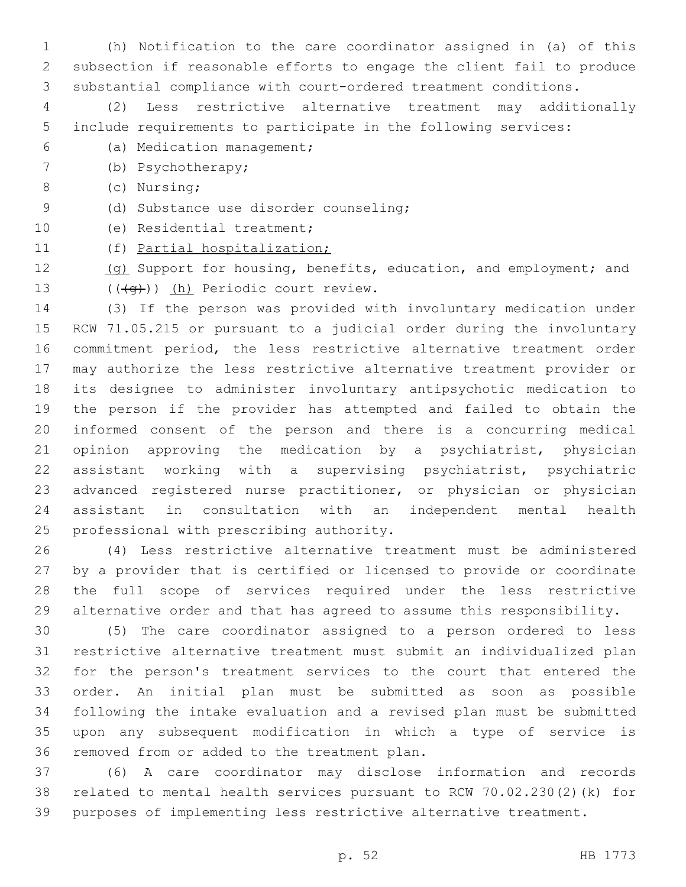(h) Notification to the care coordinator assigned in (a) of this subsection if reasonable efforts to engage the client fail to produce substantial compliance with court-ordered treatment conditions.

 (2) Less restrictive alternative treatment may additionally include requirements to participate in the following services:

- (a) Medication management;6
- 7 (b) Psychotherapy;
- (c) Nursing;8
- (d) Substance use disorder counseling;9
- 10 (e) Residential treatment;
- (f) Partial hospitalization;
- 12 (g) Support for housing, benefits, education, and employment; and 13 (((q))) (h) Periodic court review.

 (3) If the person was provided with involuntary medication under RCW 71.05.215 or pursuant to a judicial order during the involuntary commitment period, the less restrictive alternative treatment order may authorize the less restrictive alternative treatment provider or its designee to administer involuntary antipsychotic medication to the person if the provider has attempted and failed to obtain the informed consent of the person and there is a concurring medical opinion approving the medication by a psychiatrist, physician assistant working with a supervising psychiatrist, psychiatric advanced registered nurse practitioner, or physician or physician assistant in consultation with an independent mental health 25 professional with prescribing authority.

 (4) Less restrictive alternative treatment must be administered by a provider that is certified or licensed to provide or coordinate the full scope of services required under the less restrictive alternative order and that has agreed to assume this responsibility.

 (5) The care coordinator assigned to a person ordered to less restrictive alternative treatment must submit an individualized plan for the person's treatment services to the court that entered the order. An initial plan must be submitted as soon as possible following the intake evaluation and a revised plan must be submitted upon any subsequent modification in which a type of service is 36 removed from or added to the treatment plan.

 (6) A care coordinator may disclose information and records related to mental health services pursuant to RCW 70.02.230(2)(k) for purposes of implementing less restrictive alternative treatment.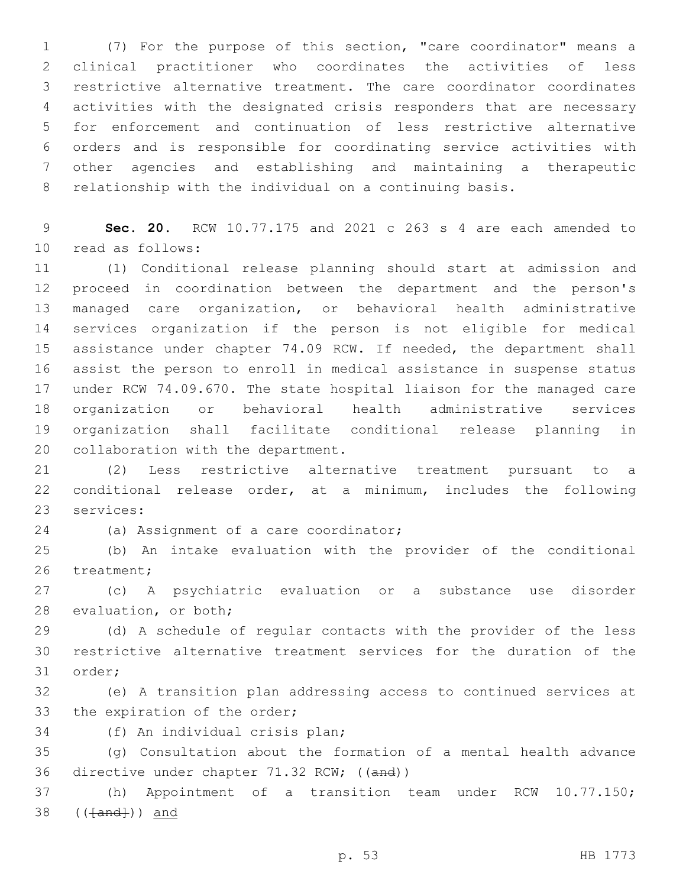(7) For the purpose of this section, "care coordinator" means a clinical practitioner who coordinates the activities of less restrictive alternative treatment. The care coordinator coordinates activities with the designated crisis responders that are necessary for enforcement and continuation of less restrictive alternative orders and is responsible for coordinating service activities with other agencies and establishing and maintaining a therapeutic relationship with the individual on a continuing basis.

 **Sec. 20.** RCW 10.77.175 and 2021 c 263 s 4 are each amended to 10 read as follows:

 (1) Conditional release planning should start at admission and proceed in coordination between the department and the person's managed care organization, or behavioral health administrative services organization if the person is not eligible for medical assistance under chapter 74.09 RCW. If needed, the department shall assist the person to enroll in medical assistance in suspense status under RCW 74.09.670. The state hospital liaison for the managed care organization or behavioral health administrative services organization shall facilitate conditional release planning in 20 collaboration with the department.

 (2) Less restrictive alternative treatment pursuant to a conditional release order, at a minimum, includes the following 23 services:

24 (a) Assignment of a care coordinator;

 (b) An intake evaluation with the provider of the conditional 26 treatment;

 (c) A psychiatric evaluation or a substance use disorder 28 evaluation, or both;

 (d) A schedule of regular contacts with the provider of the less restrictive alternative treatment services for the duration of the 31 order;

 (e) A transition plan addressing access to continued services at 33 the expiration of the order;

34 (f) An individual crisis plan;

 (g) Consultation about the formation of a mental health advance 36 directive under chapter 71.32 RCW; ((and))

 (h) Appointment of a transition team under RCW 10.77.150; 38 (( $\{and\}$ )) and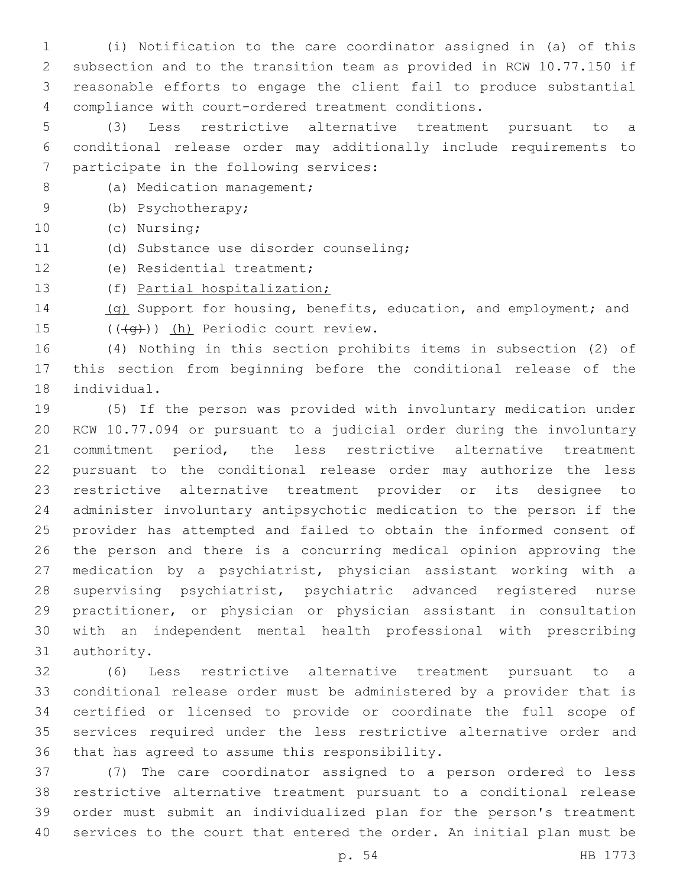(i) Notification to the care coordinator assigned in (a) of this subsection and to the transition team as provided in RCW 10.77.150 if reasonable efforts to engage the client fail to produce substantial compliance with court-ordered treatment conditions.

 (3) Less restrictive alternative treatment pursuant to a conditional release order may additionally include requirements to 7 participate in the following services:

- 8 (a) Medication management;
- (b) Psychotherapy;9

10 (c) Nursing;

- (d) Substance use disorder counseling;11
- 12 (e) Residential treatment;

(f) Partial hospitalization;

14 (g) Support for housing, benefits, education, and employment; and 15 (((q))) (h) Periodic court review.

 (4) Nothing in this section prohibits items in subsection (2) of this section from beginning before the conditional release of the 18 individual.

 (5) If the person was provided with involuntary medication under RCW 10.77.094 or pursuant to a judicial order during the involuntary commitment period, the less restrictive alternative treatment pursuant to the conditional release order may authorize the less restrictive alternative treatment provider or its designee to administer involuntary antipsychotic medication to the person if the provider has attempted and failed to obtain the informed consent of the person and there is a concurring medical opinion approving the medication by a psychiatrist, physician assistant working with a supervising psychiatrist, psychiatric advanced registered nurse practitioner, or physician or physician assistant in consultation with an independent mental health professional with prescribing 31 authority.

 (6) Less restrictive alternative treatment pursuant to a conditional release order must be administered by a provider that is certified or licensed to provide or coordinate the full scope of services required under the less restrictive alternative order and 36 that has agreed to assume this responsibility.

 (7) The care coordinator assigned to a person ordered to less restrictive alternative treatment pursuant to a conditional release order must submit an individualized plan for the person's treatment services to the court that entered the order. An initial plan must be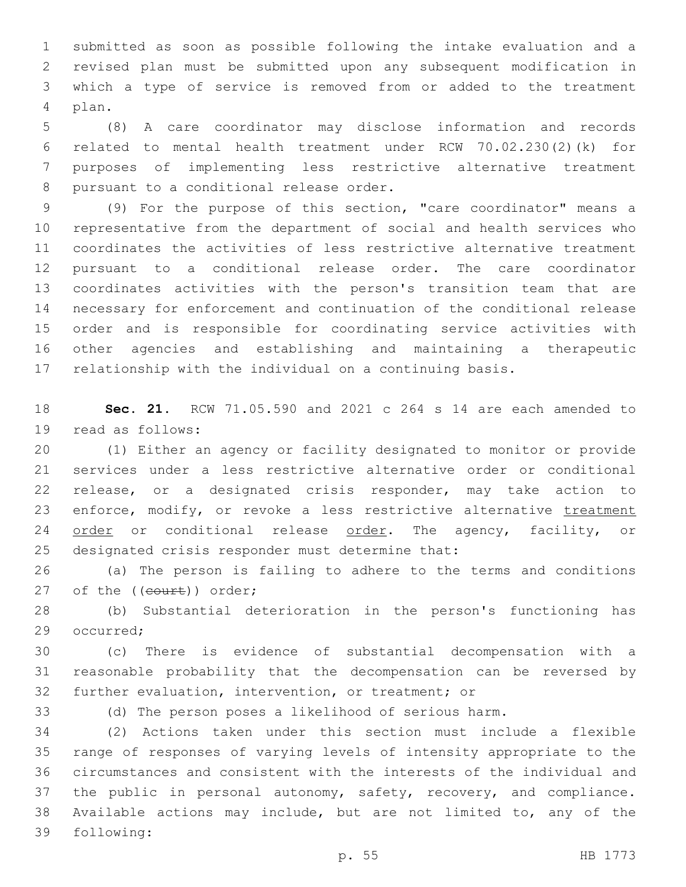submitted as soon as possible following the intake evaluation and a revised plan must be submitted upon any subsequent modification in which a type of service is removed from or added to the treatment plan.4

 (8) A care coordinator may disclose information and records related to mental health treatment under RCW 70.02.230(2)(k) for purposes of implementing less restrictive alternative treatment 8 pursuant to a conditional release order.

 (9) For the purpose of this section, "care coordinator" means a representative from the department of social and health services who coordinates the activities of less restrictive alternative treatment pursuant to a conditional release order. The care coordinator coordinates activities with the person's transition team that are necessary for enforcement and continuation of the conditional release order and is responsible for coordinating service activities with other agencies and establishing and maintaining a therapeutic relationship with the individual on a continuing basis.

 **Sec. 21.** RCW 71.05.590 and 2021 c 264 s 14 are each amended to 19 read as follows:

 (1) Either an agency or facility designated to monitor or provide services under a less restrictive alternative order or conditional release, or a designated crisis responder, may take action to 23 enforce, modify, or revoke a less restrictive alternative treatment 24 order or conditional release order. The agency, facility, or 25 designated crisis responder must determine that:

 (a) The person is failing to adhere to the terms and conditions 27 of the ((court)) order;

 (b) Substantial deterioration in the person's functioning has 29 occurred:

 (c) There is evidence of substantial decompensation with a reasonable probability that the decompensation can be reversed by further evaluation, intervention, or treatment; or

(d) The person poses a likelihood of serious harm.

 (2) Actions taken under this section must include a flexible range of responses of varying levels of intensity appropriate to the circumstances and consistent with the interests of the individual and 37 the public in personal autonomy, safety, recovery, and compliance. Available actions may include, but are not limited to, any of the 39 following: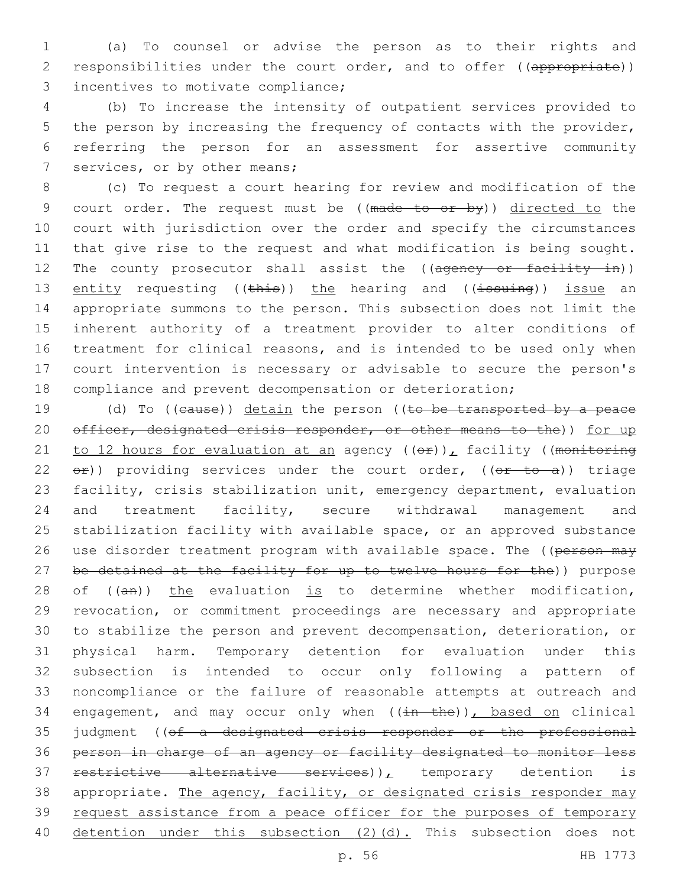1 (a) To counsel or advise the person as to their rights and 2 responsibilities under the court order, and to offer ((appropriate)) 3 incentives to motivate compliance;

 (b) To increase the intensity of outpatient services provided to the person by increasing the frequency of contacts with the provider, referring the person for an assessment for assertive community 7 services, or by other means;

 (c) To request a court hearing for review and modification of the 9 court order. The request must be ((made to or by)) directed to the court with jurisdiction over the order and specify the circumstances that give rise to the request and what modification is being sought. 12 The county prosecutor shall assist the ((agency or facility in)) 13 entity requesting ((this)) the hearing and ((issuing)) issue an appropriate summons to the person. This subsection does not limit the inherent authority of a treatment provider to alter conditions of treatment for clinical reasons, and is intended to be used only when court intervention is necessary or advisable to secure the person's compliance and prevent decompensation or deterioration;

19 (d) To ((cause)) detain the person ((to be transported by a peace 20 officer, designated crisis responder, or other means to the)) for up 21 to 12 hours for evaluation at an agency  $((\theta \hat{r}))_L$  facility ((monitoring 22  $e^2$ ) providing services under the court order,  $(e^e + e^e)$ ) triage 23 facility, crisis stabilization unit, emergency department, evaluation 24 and treatment facility, secure withdrawal management and 25 stabilization facility with available space, or an approved substance 26 use disorder treatment program with available space. The ((person may 27 be detained at the facility for up to twelve hours for the)) purpose 28 of ((an)) the evaluation is to determine whether modification, 29 revocation, or commitment proceedings are necessary and appropriate 30 to stabilize the person and prevent decompensation, deterioration, or 31 physical harm. Temporary detention for evaluation under this 32 subsection is intended to occur only following a pattern of 33 noncompliance or the failure of reasonable attempts at outreach and 34 engagement, and may occur only when  $((\frac{in - the}{s}))$ , based on clinical 35 judgment ((of a designated crisis responder or the professional 36 person in charge of an agency or facility designated to monitor less 37 restrictive alternative services)), temporary detention is 38 appropriate. The agency, facility, or designated crisis responder may 39 request assistance from a peace officer for the purposes of temporary 40 detention under this subsection (2)(d). This subsection does not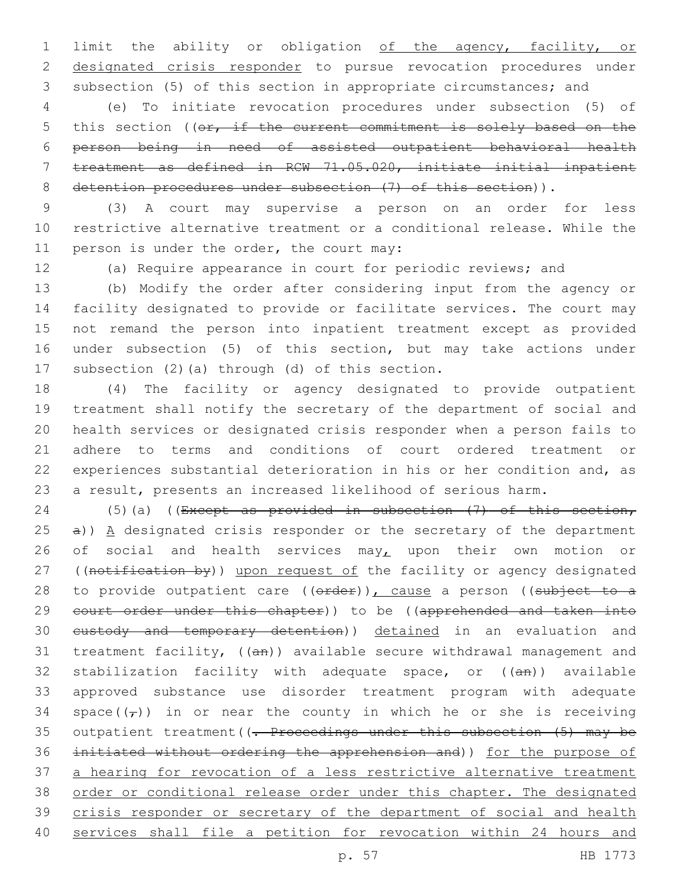limit the ability or obligation of the agency, facility, or designated crisis responder to pursue revocation procedures under subsection (5) of this section in appropriate circumstances; and

 (e) To initiate revocation procedures under subsection (5) of 5 this section ((or, if the current commitment is solely based on the person being in need of assisted outpatient behavioral health treatment as defined in RCW 71.05.020, initiate initial inpatient 8 detention procedures under subsection (7) of this section)).

 (3) A court may supervise a person on an order for less restrictive alternative treatment or a conditional release. While the 11 person is under the order, the court may:

(a) Require appearance in court for periodic reviews; and

 (b) Modify the order after considering input from the agency or facility designated to provide or facilitate services. The court may not remand the person into inpatient treatment except as provided under subsection (5) of this section, but may take actions under 17 subsection  $(2)$  (a) through  $(d)$  of this section.

 (4) The facility or agency designated to provide outpatient treatment shall notify the secretary of the department of social and health services or designated crisis responder when a person fails to adhere to terms and conditions of court ordered treatment or experiences substantial deterioration in his or her condition and, as a result, presents an increased likelihood of serious harm.

24 (5)(a) ((Except as provided in subsection  $(7)$  of this section, a)) A designated crisis responder or the secretary of the department 26 of social and health services may, upon their own motion or 27 ((notification by)) upon request of the facility or agency designated 28 to provide outpatient care ((order)), cause a person ((subject to a 29 court order under this chapter)) to be ((apprehended and taken into 30 eustody and temporary detention)) detained in an evaluation and 31 treatment facility, ((an)) available secure withdrawal management and 32 stabilization facility with adequate space, or ((an)) available approved substance use disorder treatment program with adequate 34 space( $(\tau)$ ) in or near the county in which he or she is receiving 35 outpatient treatment ((- Proceedings under this subsection (5) may be initiated without ordering the apprehension and)) for the purpose of a hearing for revocation of a less restrictive alternative treatment order or conditional release order under this chapter. The designated 39 crisis responder or secretary of the department of social and health services shall file a petition for revocation within 24 hours and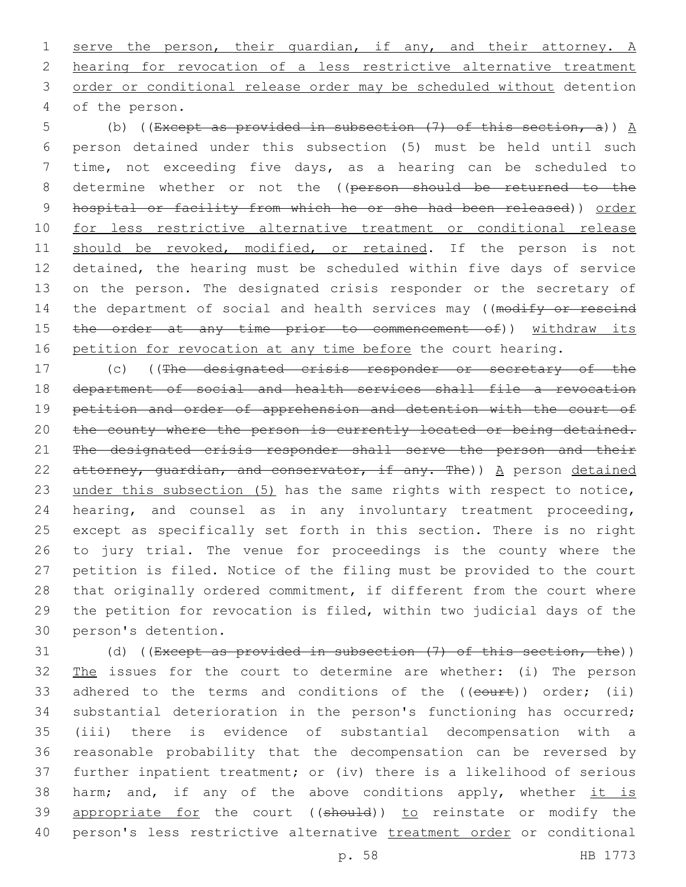serve the person, their guardian, if any, and their attorney. A hearing for revocation of a less restrictive alternative treatment order or conditional release order may be scheduled without detention of the person.4

5 (b) ((Except as provided in subsection  $(7)$  of this section, a))  $\underline{A}$ 6 person detained under this subsection (5) must be held until such 7 time, not exceeding five days, as a hearing can be scheduled to 8 determine whether or not the ((person should be returned to the 9 hospital or facility from which he or she had been released)) order 10 for less restrictive alternative treatment or conditional release 11 should be revoked, modified, or retained. If the person is not 12 detained, the hearing must be scheduled within five days of service 13 on the person. The designated crisis responder or the secretary of 14 the department of social and health services may ((modify or rescind 15 the order at any time prior to commencement of)) withdraw its 16 petition for revocation at any time before the court hearing.

 (c) ((The designated crisis responder or secretary of the department of social and health services shall file a revocation petition and order of apprehension and detention with the court of 20 the county where the person is currently located or being detained. The designated crisis responder shall serve the person and their 22 attorney, quardian, and conservator, if any. The))  $A$  person detained 23 under this subsection (5) has the same rights with respect to notice, hearing, and counsel as in any involuntary treatment proceeding, except as specifically set forth in this section. There is no right to jury trial. The venue for proceedings is the county where the petition is filed. Notice of the filing must be provided to the court that originally ordered commitment, if different from the court where the petition for revocation is filed, within two judicial days of the 30 person's detention.

31 (d) ((Except as provided in subsection (7) of this section, the)) 32 The issues for the court to determine are whether: (i) The person 33 adhered to the terms and conditions of the ((court)) order; (ii) 34 substantial deterioration in the person's functioning has occurred; 35 (iii) there is evidence of substantial decompensation with a 36 reasonable probability that the decompensation can be reversed by 37 further inpatient treatment; or (iv) there is a likelihood of serious 38 harm; and, if any of the above conditions apply, whether it is 39 appropriate for the court ((should)) to reinstate or modify the 40 person's less restrictive alternative treatment order or conditional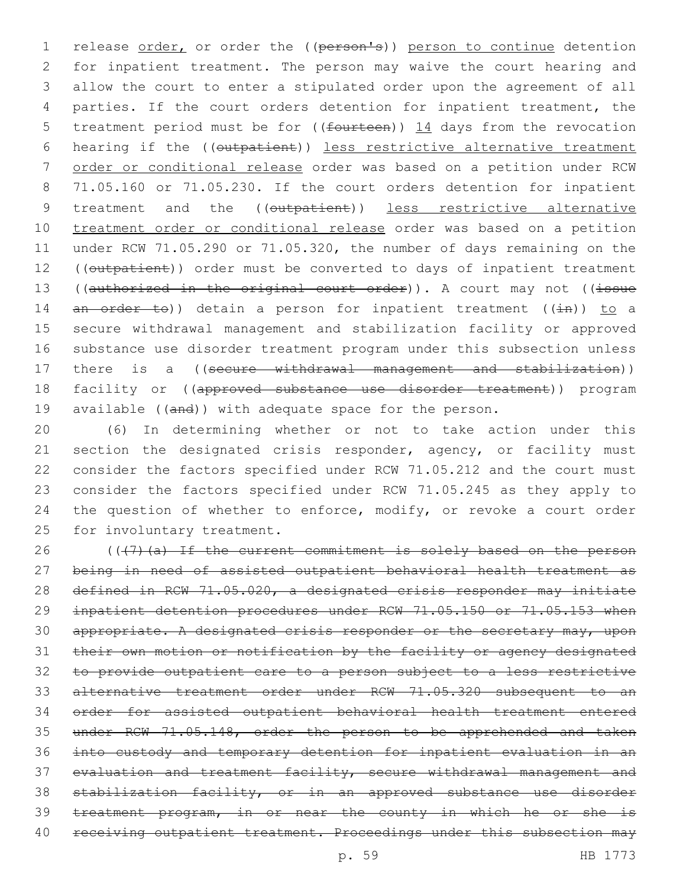1 release order, or order the ((person's)) person to continue detention for inpatient treatment. The person may waive the court hearing and allow the court to enter a stipulated order upon the agreement of all parties. If the court orders detention for inpatient treatment, the 5 treatment period must be for ((fourteen)) 14 days from the revocation hearing if the ((outpatient)) less restrictive alternative treatment order or conditional release order was based on a petition under RCW 71.05.160 or 71.05.230. If the court orders detention for inpatient 9 treatment and the ((outpatient)) less restrictive alternative treatment order or conditional release order was based on a petition under RCW 71.05.290 or 71.05.320, the number of days remaining on the 12 ((outpatient)) order must be converted to days of inpatient treatment 13 ((authorized in the original court order)). A court may not ((issue 14  $an - order - to$ ) detain a person for inpatient treatment ((in)) to a secure withdrawal management and stabilization facility or approved substance use disorder treatment program under this subsection unless 17 there is a ((secure withdrawal management and stabilization)) 18 facility or ((approved substance use disorder treatment)) program 19 available ((and)) with adequate space for the person.

 (6) In determining whether or not to take action under this 21 section the designated crisis responder, agency, or facility must consider the factors specified under RCW 71.05.212 and the court must consider the factors specified under RCW 71.05.245 as they apply to the question of whether to enforce, modify, or revoke a court order 25 for involuntary treatment.

26 (((7)(a) If the current commitment is solely based on the person being in need of assisted outpatient behavioral health treatment as defined in RCW 71.05.020, a designated crisis responder may initiate inpatient detention procedures under RCW 71.05.150 or 71.05.153 when 30 appropriate. A designated crisis responder or the secretary may, upon their own motion or notification by the facility or agency designated to provide outpatient care to a person subject to a less restrictive alternative treatment order under RCW 71.05.320 subsequent to an order for assisted outpatient behavioral health treatment entered under RCW 71.05.148, order the person to be apprehended and taken into custody and temporary detention for inpatient evaluation in an evaluation and treatment facility, secure withdrawal management and stabilization facility, or in an approved substance use disorder treatment program, in or near the county in which he or she is 40 receiving outpatient treatment. Proceedings under this subsection may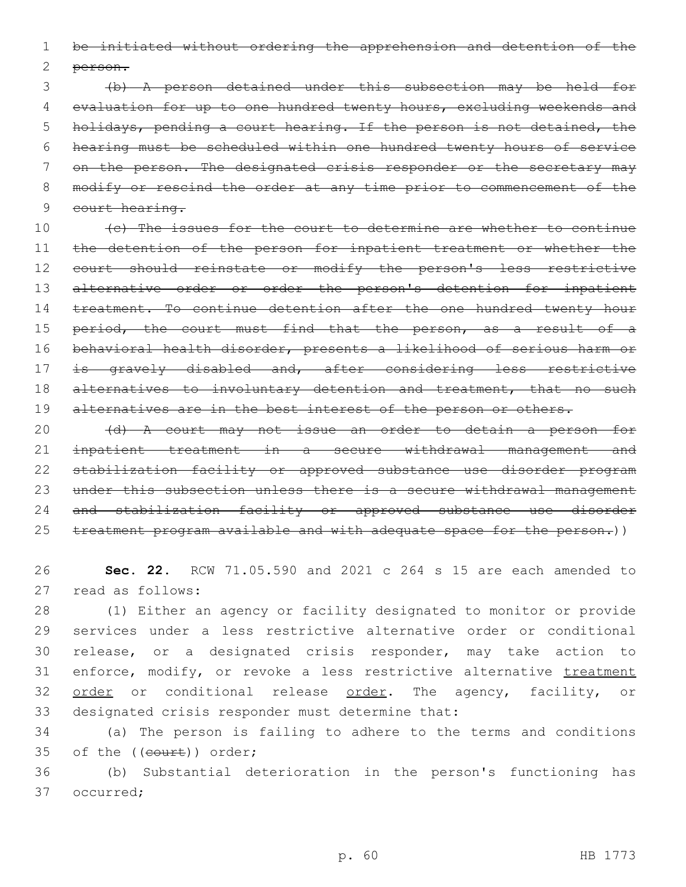1 be initiated without ordering the apprehension and detention of the 2 person.

 (b) A person detained under this subsection may be held for evaluation for up to one hundred twenty hours, excluding weekends and holidays, pending a court hearing. If the person is not detained, the hearing must be scheduled within one hundred twenty hours of service 7 on the person. The designated crisis responder or the secretary may modify or rescind the order at any time prior to commencement of the 9 court hearing.

10 (c) The issues for the court to determine are whether to continue 11 the detention of the person for inpatient treatment or whether the 12 court should reinstate or modify the person's less restrictive 13 alternative order or order the person's detention for inpatient 14 treatment. To continue detention after the one hundred twenty hour 15 period, the court must find that the person, as a result of a 16 behavioral health disorder, presents a likelihood of serious harm or 17 is gravely disabled and, after considering less restrictive 18 alternatives to involuntary detention and treatment, that no such 19 alternatives are in the best interest of the person or others.

20 (d) A court may not issue an order to detain a person for 21 inpatient treatment in a secure withdrawal management and 22 stabilization facility or approved substance use disorder program 23 under this subsection unless there is a secure withdrawal management 24 and stabilization facility or approved substance use disorder 25 treatment program available and with adequate space for the person.))

26 **Sec. 22.** RCW 71.05.590 and 2021 c 264 s 15 are each amended to 27 read as follows:

28 (1) Either an agency or facility designated to monitor or provide 29 services under a less restrictive alternative order or conditional 30 release, or a designated crisis responder, may take action to 31 enforce, modify, or revoke a less restrictive alternative treatment 32 order or conditional release order. The agency, facility, or 33 designated crisis responder must determine that:

34 (a) The person is failing to adhere to the terms and conditions 35 of the ((court)) order;

36 (b) Substantial deterioration in the person's functioning has 37 occurred: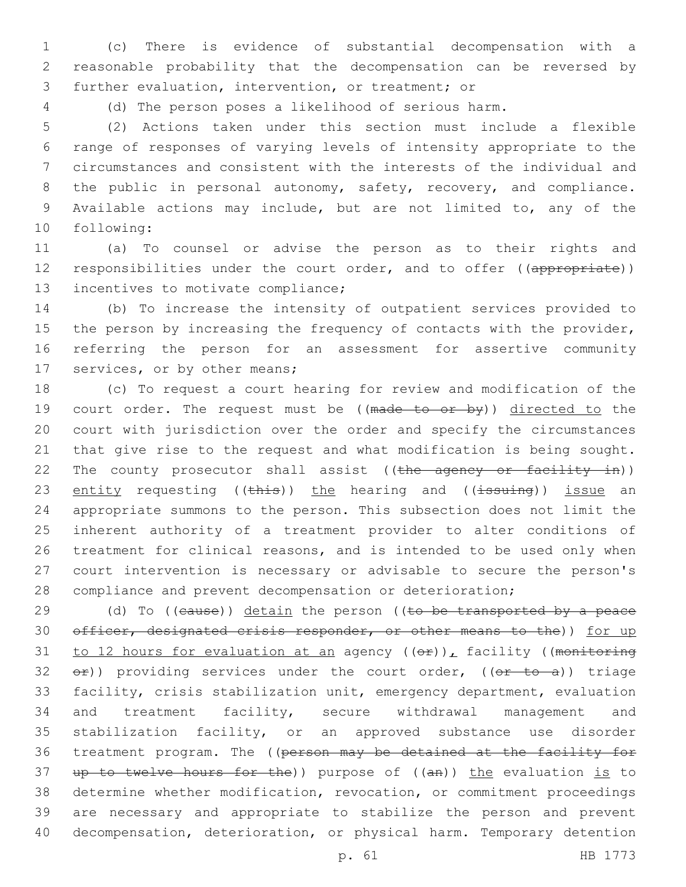(c) There is evidence of substantial decompensation with a reasonable probability that the decompensation can be reversed by 3 further evaluation, intervention, or treatment; or

(d) The person poses a likelihood of serious harm.

 (2) Actions taken under this section must include a flexible range of responses of varying levels of intensity appropriate to the circumstances and consistent with the interests of the individual and 8 the public in personal autonomy, safety, recovery, and compliance. Available actions may include, but are not limited to, any of the 10 following:

 (a) To counsel or advise the person as to their rights and 12 responsibilities under the court order, and to offer ((appropriate)) 13 incentives to motivate compliance;

 (b) To increase the intensity of outpatient services provided to 15 the person by increasing the frequency of contacts with the provider, referring the person for an assessment for assertive community 17 services, or by other means;

 (c) To request a court hearing for review and modification of the 19 court order. The request must be ((made to or by)) directed to the court with jurisdiction over the order and specify the circumstances that give rise to the request and what modification is being sought. 22 The county prosecutor shall assist ((the agency or facility in)) 23 entity requesting (( $\frac{1}{2}$ ) the hearing and (( $\frac{1}{3}$ suing)) issue an appropriate summons to the person. This subsection does not limit the inherent authority of a treatment provider to alter conditions of treatment for clinical reasons, and is intended to be used only when court intervention is necessary or advisable to secure the person's compliance and prevent decompensation or deterioration;

 $(d)$  To ((eause)) detain the person ((to be transported by a peace 30 officer, designated crisis responder, or other means to the)) for up 31 to 12 hours for evaluation at an agency  $((\theta \cdot \hat{r}))_L$  facility ((monitoring  $e^{\pm}$ ) providing services under the court order, (( $e^{\pm}$  to a)) triage facility, crisis stabilization unit, emergency department, evaluation and treatment facility, secure withdrawal management and stabilization facility, or an approved substance use disorder treatment program. The ((person may be detained at the facility for 37 up to twelve hours for the)) purpose of  $((an))$  the evaluation is to determine whether modification, revocation, or commitment proceedings are necessary and appropriate to stabilize the person and prevent decompensation, deterioration, or physical harm. Temporary detention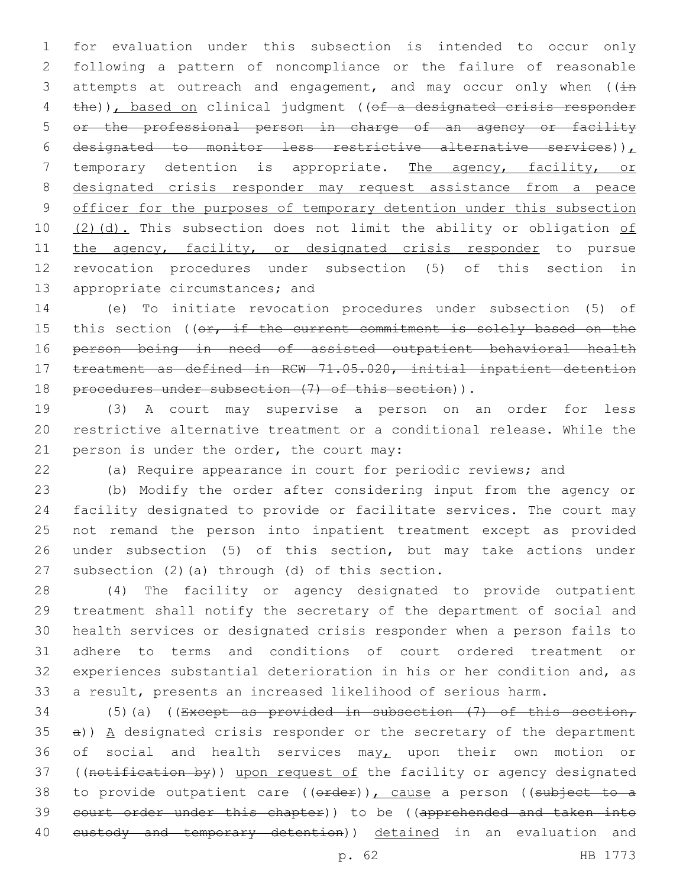1 for evaluation under this subsection is intended to occur only 2 following a pattern of noncompliance or the failure of reasonable 3 attempts at outreach and engagement, and may occur only when  $((\pm n)^2)^2$ 4 the)), based on clinical judgment ((of a designated crisis responder 5 or the professional person in charge of an agency or facility 6 designated to monitor less restrictive alternative services)) $<sub>L</sub>$ </sub> 7 temporary detention is appropriate. The agency, facility, or 8 designated crisis responder may request assistance from a peace 9 officer for the purposes of temporary detention under this subsection 10  $(2)(d)$ . This subsection does not limit the ability or obligation of 11 the agency, facility, or designated crisis responder to pursue 12 revocation procedures under subsection (5) of this section in 13 appropriate circumstances; and

14 (e) To initiate revocation procedures under subsection (5) of 15 this section ((or, if the current commitment is solely based on the 16 person being in need of assisted outpatient behavioral health 17 treatment as defined in RCW 71.05.020, initial inpatient detention 18 procedures under subsection (7) of this section)).

19 (3) A court may supervise a person on an order for less 20 restrictive alternative treatment or a conditional release. While the 21 person is under the order, the court may:

22 (a) Require appearance in court for periodic reviews; and

 (b) Modify the order after considering input from the agency or facility designated to provide or facilitate services. The court may not remand the person into inpatient treatment except as provided under subsection (5) of this section, but may take actions under 27 subsection  $(2)$   $(a)$  through  $(d)$  of this section.

 (4) The facility or agency designated to provide outpatient treatment shall notify the secretary of the department of social and health services or designated crisis responder when a person fails to adhere to terms and conditions of court ordered treatment or experiences substantial deterioration in his or her condition and, as a result, presents an increased likelihood of serious harm.

34 (5)(a) ((Except as provided in subsection  $(7)$  of this section,  $35$  a))  $A$  designated crisis responder or the secretary of the department 36 of social and health services may, upon their own motion or 37 ((notification by)) upon request of the facility or agency designated 38 to provide outpatient care ((order)), cause a person ((subject to a 39 court order under this chapter)) to be ((apprehended and taken into 40 eustody and temporary detention)) detained in an evaluation and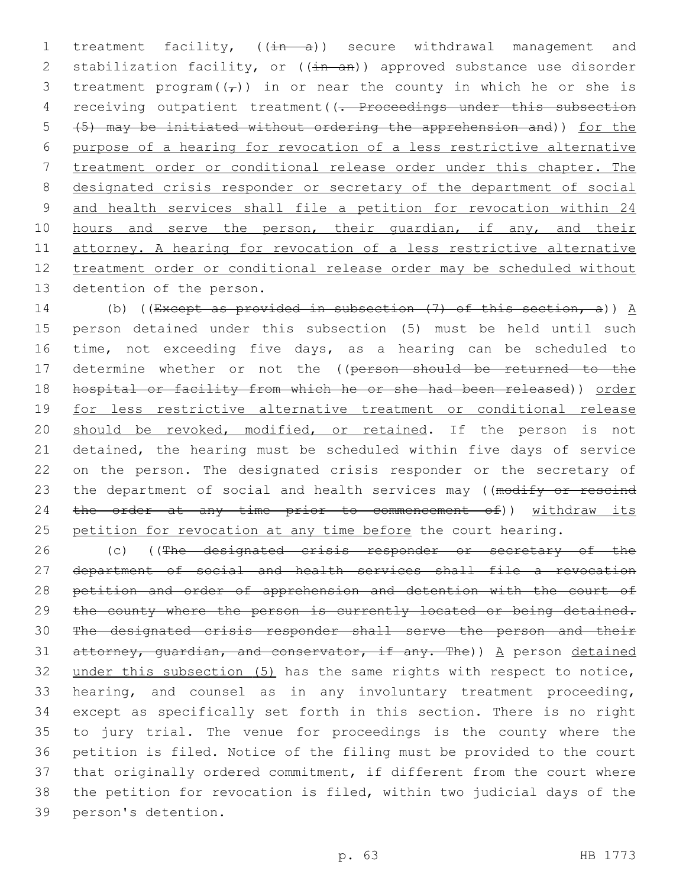1 treatment facility,  $((\frac{1}{n} - a))$  secure withdrawal management and 2 stabilization facility, or  $((\frac{1}{2}n - \frac{1}{2}n))$  approved substance use disorder 3 treatment program( $(\tau)$ ) in or near the county in which he or she is 4 receiving outpatient treatment((<del>. Proceedings under this subsection</del> 5 (5) may be initiated without ordering the apprehension and)) for the 6 purpose of a hearing for revocation of a less restrictive alternative 7 treatment order or conditional release order under this chapter. The 8 designated crisis responder or secretary of the department of social 9 and health services shall file a petition for revocation within 24 10 hours and serve the person, their guardian, if any, and their 11 attorney. A hearing for revocation of a less restrictive alternative 12 treatment order or conditional release order may be scheduled without 13 detention of the person.

14 (b) ((Except as provided in subsection  $(7)$  of this section, a))  $\underline{A}$ 15 person detained under this subsection (5) must be held until such 16 time, not exceeding five days, as a hearing can be scheduled to 17 determine whether or not the ((person should be returned to the 18 hospital or facility from which he or she had been released)) order 19 for less restrictive alternative treatment or conditional release 20 should be revoked, modified, or retained. If the person is not 21 detained, the hearing must be scheduled within five days of service 22 on the person. The designated crisis responder or the secretary of 23 the department of social and health services may ((modify or rescind 24 the order at any time prior to commencement of)) withdraw its 25 petition for revocation at any time before the court hearing.

26 (c) ((The designated crisis responder or secretary of the department of social and health services shall file a revocation 28 petition and order of apprehension and detention with the court of 29 the county where the person is currently located or being detained. The designated crisis responder shall serve the person and their 31 attorney, guardian, and conservator, if any. The))  $A$  person detained under this subsection (5) has the same rights with respect to notice, hearing, and counsel as in any involuntary treatment proceeding, except as specifically set forth in this section. There is no right to jury trial. The venue for proceedings is the county where the petition is filed. Notice of the filing must be provided to the court that originally ordered commitment, if different from the court where the petition for revocation is filed, within two judicial days of the 39 person's detention.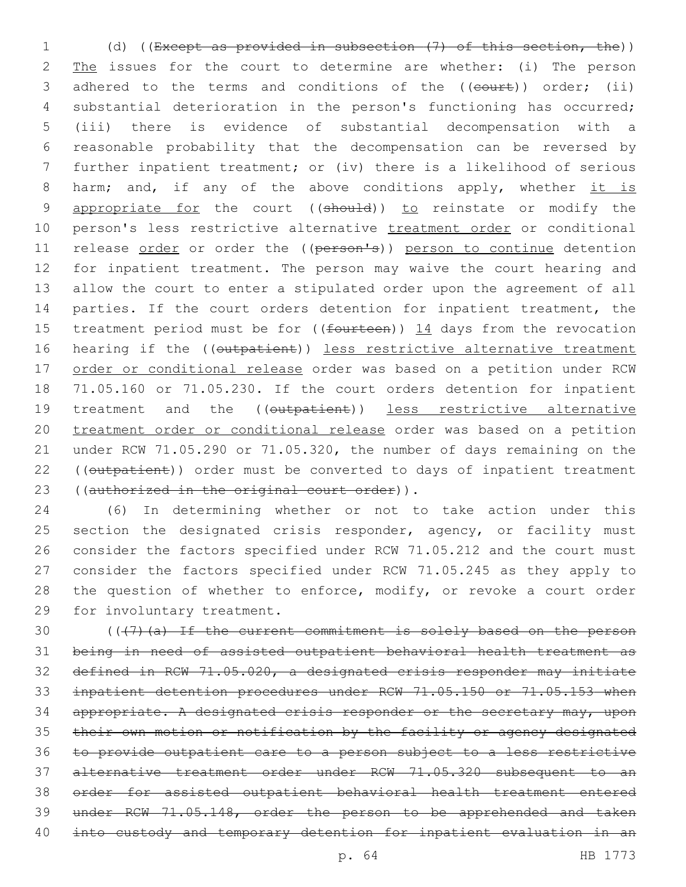(d) ((Except as provided in subsection (7) of this section, the)) 2 The issues for the court to determine are whether: (i) The person 3 adhered to the terms and conditions of the ((court)) order; (ii) substantial deterioration in the person's functioning has occurred; (iii) there is evidence of substantial decompensation with a reasonable probability that the decompensation can be reversed by further inpatient treatment; or (iv) there is a likelihood of serious 8 harm; and, if any of the above conditions apply, whether it is 9 appropriate for the court ((should)) to reinstate or modify the 10 person's less restrictive alternative treatment order or conditional 11 release order or order the ((person's)) person to continue detention for inpatient treatment. The person may waive the court hearing and allow the court to enter a stipulated order upon the agreement of all parties. If the court orders detention for inpatient treatment, the 15 treatment period must be for  $((f{outteen}) )$  14 days from the revocation 16 hearing if the ((outpatient)) less restrictive alternative treatment order or conditional release order was based on a petition under RCW 71.05.160 or 71.05.230. If the court orders detention for inpatient 19 treatment and the ((outpatient)) less restrictive alternative treatment order or conditional release order was based on a petition under RCW 71.05.290 or 71.05.320, the number of days remaining on the 22 ((outpatient)) order must be converted to days of inpatient treatment 23 ((authorized in the original court order)).

 (6) In determining whether or not to take action under this 25 section the designated crisis responder, agency, or facility must consider the factors specified under RCW 71.05.212 and the court must consider the factors specified under RCW 71.05.245 as they apply to 28 the question of whether to enforce, modify, or revoke a court order 29 for involuntary treatment.

 (( $\left($   $\left($   $\left($   $\right)$   $\right)$   $\left($   $\right)$   $\left($   $\right)$   $\right)$   $\left($   $\right)$   $\left($   $\right)$   $\left($   $\right)$   $\left($   $\right)$   $\left($   $\right)$   $\left($   $\right)$   $\left($   $\right)$   $\left($   $\right)$   $\left($   $\right)$   $\left($   $\right)$   $\left($   $\right)$   $\left($   $\right)$   $\left($   $\right)$  being in need of assisted outpatient behavioral health treatment as defined in RCW 71.05.020, a designated crisis responder may initiate inpatient detention procedures under RCW 71.05.150 or 71.05.153 when 34 appropriate. A designated crisis responder or the secretary may, upon their own motion or notification by the facility or agency designated to provide outpatient care to a person subject to a less restrictive alternative treatment order under RCW 71.05.320 subsequent to an order for assisted outpatient behavioral health treatment entered under RCW 71.05.148, order the person to be apprehended and taken into custody and temporary detention for inpatient evaluation in an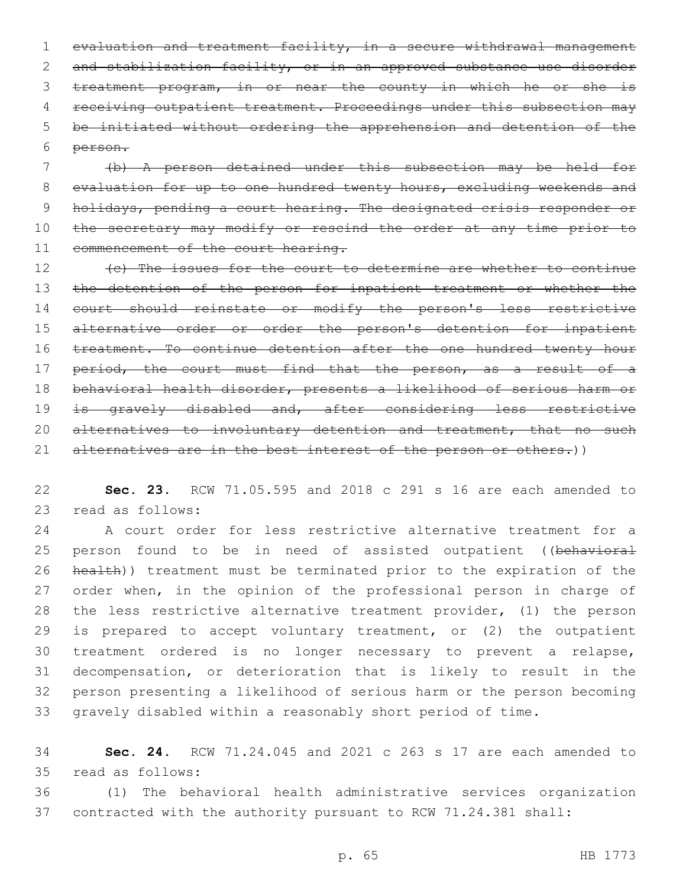1 evaluation and treatment facility, in a secure withdrawal management 2 and stabilization facility, or in an approved substance use disorder 3 treatment program, in or near the county in which he or she is 4 receiving outpatient treatment. Proceedings under this subsection may 5 be initiated without ordering the apprehension and detention of the person.6

7 (b) A person detained under this subsection may be held for 8 evaluation for up to one hundred twenty hours, excluding weekends and 9 holidays, pending a court hearing. The designated crisis responder or 10 the secretary may modify or rescind the order at any time prior to 11 commencement of the court hearing.

12 (c) The issues for the court to determine are whether to continue 13 the detention of the person for inpatient treatment or whether the 14 court should reinstate or modify the person's less restrictive 15 alternative order or order the person's detention for inpatient 16 treatment. To continue detention after the one hundred twenty hour 17 period, the court must find that the person, as a result of a 18 behavioral health disorder, presents a likelihood of serious harm or 19 is gravely disabled and, after considering less restrictive 20 alternatives to involuntary detention and treatment, that no such 21 alternatives are in the best interest of the person or others.))

22 **Sec. 23.** RCW 71.05.595 and 2018 c 291 s 16 are each amended to 23 read as follows:

 A court order for less restrictive alternative treatment for a 25 person found to be in need of assisted outpatient ((behavioral health)) treatment must be terminated prior to the expiration of the 27 order when, in the opinion of the professional person in charge of the less restrictive alternative treatment provider, (1) the person is prepared to accept voluntary treatment, or (2) the outpatient treatment ordered is no longer necessary to prevent a relapse, decompensation, or deterioration that is likely to result in the person presenting a likelihood of serious harm or the person becoming gravely disabled within a reasonably short period of time.

34 **Sec. 24.** RCW 71.24.045 and 2021 c 263 s 17 are each amended to read as follows:35

36 (1) The behavioral health administrative services organization 37 contracted with the authority pursuant to RCW 71.24.381 shall: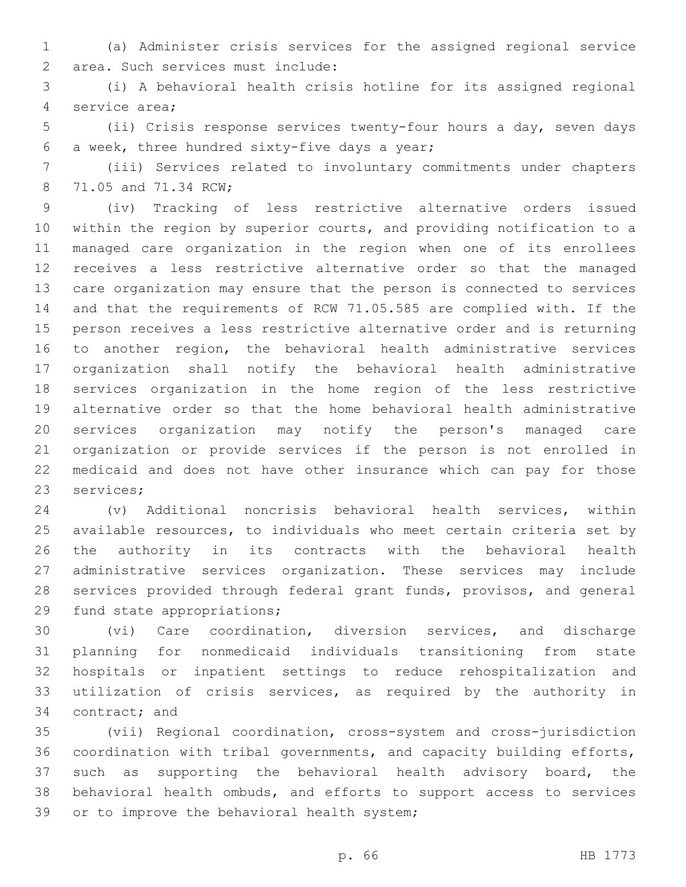(a) Administer crisis services for the assigned regional service 2 area. Such services must include:

 (i) A behavioral health crisis hotline for its assigned regional 4 service area;

 (ii) Crisis response services twenty-four hours a day, seven days 6 a week, three hundred sixty-five days a year;

 (iii) Services related to involuntary commitments under chapters 8 71.05 and 71.34 RCW;

 (iv) Tracking of less restrictive alternative orders issued within the region by superior courts, and providing notification to a managed care organization in the region when one of its enrollees receives a less restrictive alternative order so that the managed care organization may ensure that the person is connected to services and that the requirements of RCW 71.05.585 are complied with. If the person receives a less restrictive alternative order and is returning to another region, the behavioral health administrative services organization shall notify the behavioral health administrative services organization in the home region of the less restrictive alternative order so that the home behavioral health administrative services organization may notify the person's managed care organization or provide services if the person is not enrolled in medicaid and does not have other insurance which can pay for those 23 services;

 (v) Additional noncrisis behavioral health services, within available resources, to individuals who meet certain criteria set by the authority in its contracts with the behavioral health administrative services organization. These services may include services provided through federal grant funds, provisos, and general 29 fund state appropriations;

 (vi) Care coordination, diversion services, and discharge planning for nonmedicaid individuals transitioning from state hospitals or inpatient settings to reduce rehospitalization and utilization of crisis services, as required by the authority in 34 contract; and

 (vii) Regional coordination, cross-system and cross-jurisdiction coordination with tribal governments, and capacity building efforts, such as supporting the behavioral health advisory board, the behavioral health ombuds, and efforts to support access to services 39 or to improve the behavioral health system;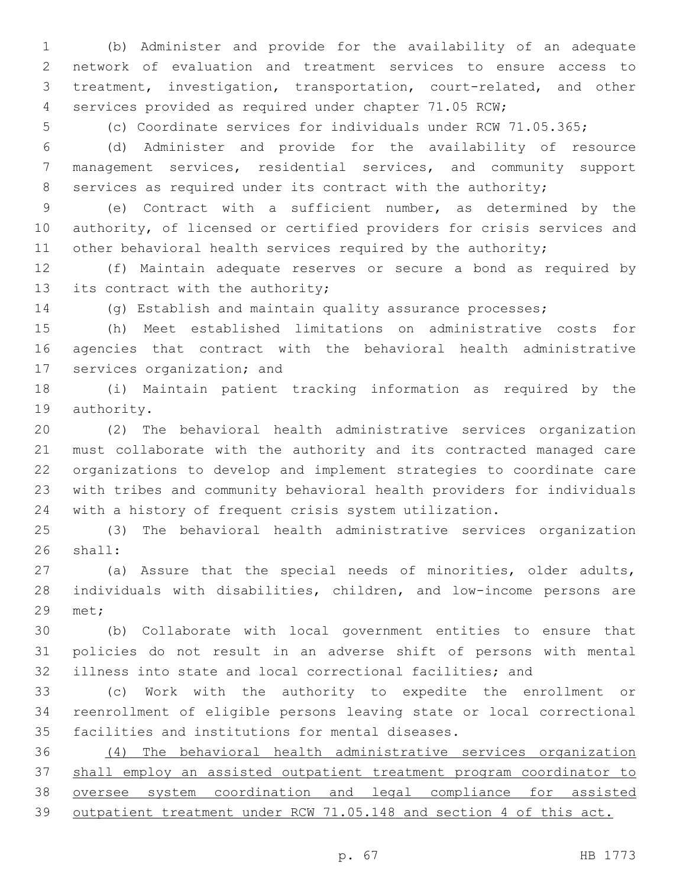(b) Administer and provide for the availability of an adequate network of evaluation and treatment services to ensure access to treatment, investigation, transportation, court-related, and other services provided as required under chapter 71.05 RCW;

(c) Coordinate services for individuals under RCW 71.05.365;

 (d) Administer and provide for the availability of resource management services, residential services, and community support 8 services as required under its contract with the authority;

 (e) Contract with a sufficient number, as determined by the authority, of licensed or certified providers for crisis services and 11 other behavioral health services required by the authority;

 (f) Maintain adequate reserves or secure a bond as required by 13 its contract with the authority;

(g) Establish and maintain quality assurance processes;

 (h) Meet established limitations on administrative costs for agencies that contract with the behavioral health administrative 17 services organization; and

 (i) Maintain patient tracking information as required by the 19 authority.

 (2) The behavioral health administrative services organization must collaborate with the authority and its contracted managed care organizations to develop and implement strategies to coordinate care with tribes and community behavioral health providers for individuals with a history of frequent crisis system utilization.

 (3) The behavioral health administrative services organization 26 shall:

 (a) Assure that the special needs of minorities, older adults, individuals with disabilities, children, and low-income persons are 29 met;

 (b) Collaborate with local government entities to ensure that policies do not result in an adverse shift of persons with mental illness into state and local correctional facilities; and

 (c) Work with the authority to expedite the enrollment or reenrollment of eligible persons leaving state or local correctional 35 facilities and institutions for mental diseases.

 (4) The behavioral health administrative services organization shall employ an assisted outpatient treatment program coordinator to oversee system coordination and legal compliance for assisted outpatient treatment under RCW 71.05.148 and section 4 of this act.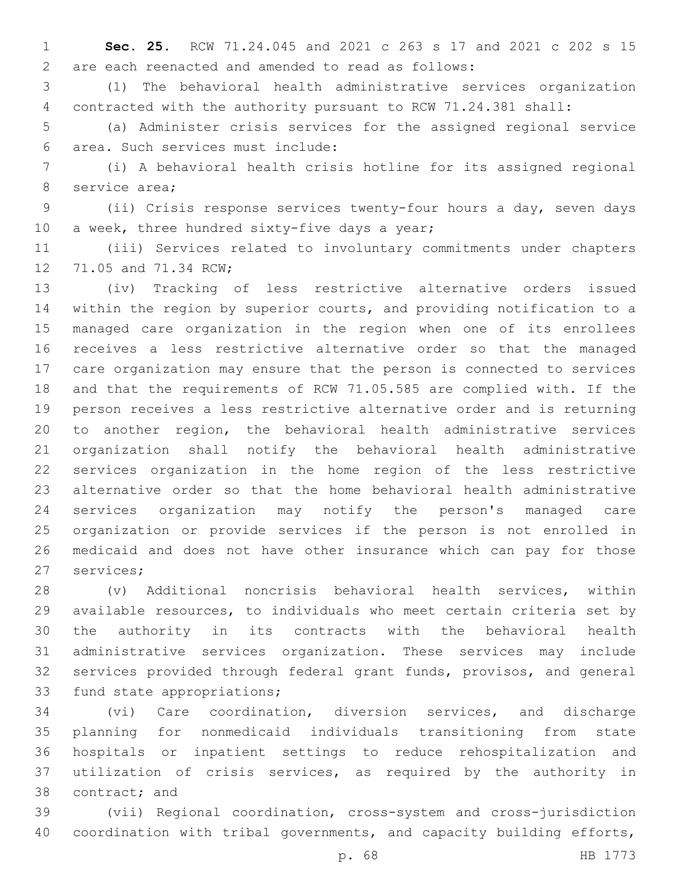**Sec. 25.** RCW 71.24.045 and 2021 c 263 s 17 and 2021 c 202 s 15 are each reenacted and amended to read as follows:2

 (1) The behavioral health administrative services organization contracted with the authority pursuant to RCW 71.24.381 shall:

 (a) Administer crisis services for the assigned regional service area. Such services must include:6

 (i) A behavioral health crisis hotline for its assigned regional 8 service area;

 (ii) Crisis response services twenty-four hours a day, seven days 10 a week, three hundred sixty-five days a year;

 (iii) Services related to involuntary commitments under chapters 12 71.05 and 71.34 RCW;

 (iv) Tracking of less restrictive alternative orders issued within the region by superior courts, and providing notification to a managed care organization in the region when one of its enrollees receives a less restrictive alternative order so that the managed care organization may ensure that the person is connected to services and that the requirements of RCW 71.05.585 are complied with. If the person receives a less restrictive alternative order and is returning to another region, the behavioral health administrative services organization shall notify the behavioral health administrative services organization in the home region of the less restrictive alternative order so that the home behavioral health administrative services organization may notify the person's managed care organization or provide services if the person is not enrolled in medicaid and does not have other insurance which can pay for those 27 services;

 (v) Additional noncrisis behavioral health services, within available resources, to individuals who meet certain criteria set by the authority in its contracts with the behavioral health administrative services organization. These services may include services provided through federal grant funds, provisos, and general 33 fund state appropriations;

 (vi) Care coordination, diversion services, and discharge planning for nonmedicaid individuals transitioning from state hospitals or inpatient settings to reduce rehospitalization and utilization of crisis services, as required by the authority in 38 contract; and

 (vii) Regional coordination, cross-system and cross-jurisdiction coordination with tribal governments, and capacity building efforts,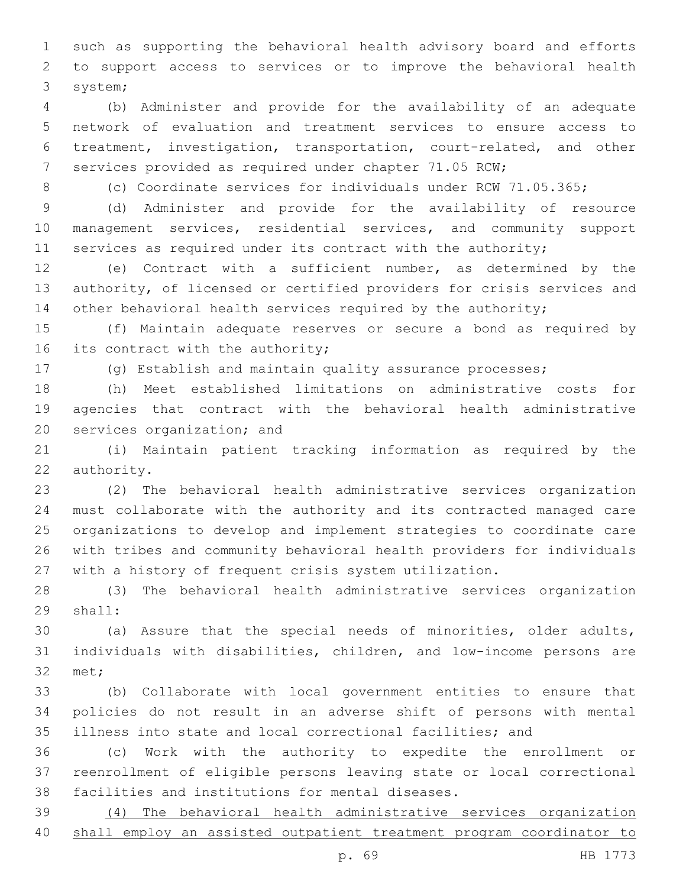such as supporting the behavioral health advisory board and efforts to support access to services or to improve the behavioral health 3 system;

 (b) Administer and provide for the availability of an adequate network of evaluation and treatment services to ensure access to treatment, investigation, transportation, court-related, and other services provided as required under chapter 71.05 RCW;

8 (c) Coordinate services for individuals under RCW 71.05.365;

 (d) Administer and provide for the availability of resource management services, residential services, and community support 11 services as required under its contract with the authority;

 (e) Contract with a sufficient number, as determined by the authority, of licensed or certified providers for crisis services and 14 other behavioral health services required by the authority;

 (f) Maintain adequate reserves or secure a bond as required by 16 its contract with the authority;

(g) Establish and maintain quality assurance processes;

 (h) Meet established limitations on administrative costs for agencies that contract with the behavioral health administrative 20 services organization; and

 (i) Maintain patient tracking information as required by the 22 authority.

 (2) The behavioral health administrative services organization must collaborate with the authority and its contracted managed care organizations to develop and implement strategies to coordinate care with tribes and community behavioral health providers for individuals with a history of frequent crisis system utilization.

 (3) The behavioral health administrative services organization 29 shall:

 (a) Assure that the special needs of minorities, older adults, individuals with disabilities, children, and low-income persons are 32 met;

 (b) Collaborate with local government entities to ensure that policies do not result in an adverse shift of persons with mental illness into state and local correctional facilities; and

 (c) Work with the authority to expedite the enrollment or reenrollment of eligible persons leaving state or local correctional 38 facilities and institutions for mental diseases.

 (4) The behavioral health administrative services organization shall employ an assisted outpatient treatment program coordinator to

p. 69 HB 1773